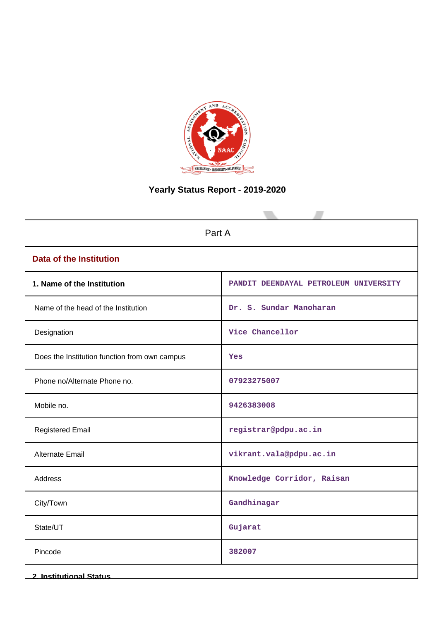

# **Yearly Status Report - 2019-2020**

| Part A                                        |                                       |  |  |  |
|-----------------------------------------------|---------------------------------------|--|--|--|
| <b>Data of the Institution</b>                |                                       |  |  |  |
| 1. Name of the Institution                    | PANDIT DEENDAYAL PETROLEUM UNIVERSITY |  |  |  |
| Name of the head of the Institution           | Dr. S. Sundar Manoharan               |  |  |  |
| Designation                                   | Vice Chancellor                       |  |  |  |
| Does the Institution function from own campus | Yes                                   |  |  |  |
| Phone no/Alternate Phone no.                  | 07923275007                           |  |  |  |
| Mobile no.                                    | 9426383008                            |  |  |  |
| <b>Registered Email</b>                       | registrar@pdpu.ac.in                  |  |  |  |
| Alternate Email                               | vikrant.vala@pdpu.ac.in               |  |  |  |
| <b>Address</b>                                | Knowledge Corridor, Raisan            |  |  |  |
| City/Town                                     | Gandhinagar                           |  |  |  |
| State/UT                                      | Gujarat                               |  |  |  |
| Pincode                                       | 382007                                |  |  |  |
| <b>2. Institutional Status</b>                |                                       |  |  |  |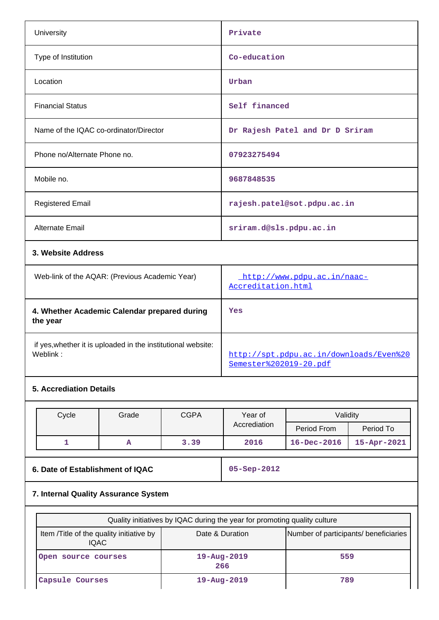|                                        | University                                                               |                                                |             | Private                                                           |                             |             |
|----------------------------------------|--------------------------------------------------------------------------|------------------------------------------------|-------------|-------------------------------------------------------------------|-----------------------------|-------------|
|                                        | Type of Institution                                                      |                                                |             | Co-education                                                      |                             |             |
| Location                               |                                                                          |                                                |             | Urban                                                             |                             |             |
| <b>Financial Status</b>                |                                                                          |                                                |             | Self financed                                                     |                             |             |
| Name of the IQAC co-ordinator/Director |                                                                          |                                                |             | Dr Rajesh Patel and Dr D Sriram                                   |                             |             |
|                                        | Phone no/Alternate Phone no.                                             |                                                |             | 07923275494                                                       |                             |             |
| Mobile no.                             |                                                                          |                                                |             | 9687848535                                                        |                             |             |
|                                        | <b>Registered Email</b>                                                  |                                                |             | rajesh.patel@sot.pdpu.ac.in                                       |                             |             |
|                                        | Alternate Email                                                          |                                                |             | sriram.d@sls.pdpu.ac.in                                           |                             |             |
| 3. Website Address                     |                                                                          |                                                |             |                                                                   |                             |             |
|                                        |                                                                          | Web-link of the AQAR: (Previous Academic Year) |             | Accreditation.html                                                | http://www.pdpu.ac.in/naac- |             |
| the year                               |                                                                          | 4. Whether Academic Calendar prepared during   |             | Yes                                                               |                             |             |
|                                        | if yes, whether it is uploaded in the institutional website:<br>Weblink: |                                                |             | http://spt.pdpu.ac.in/downloads/Even%20<br>Semester%202019-20.pdf |                             |             |
|                                        | <b>5. Accrediation Details</b>                                           |                                                |             |                                                                   |                             |             |
|                                        | Cycle                                                                    | Grade                                          | <b>CGPA</b> | Year of                                                           | Validity                    |             |
|                                        |                                                                          |                                                |             | Accrediation                                                      | Period From                 | Period To   |
|                                        | $\mathbf{1}$                                                             | A                                              | 3.39        | 2016                                                              | $16 - Dec - 2016$           | 15-Apr-2021 |
|                                        |                                                                          |                                                |             |                                                                   |                             |             |

**6. Date of Establishment of IQAC 05-Sep-2012**

# **7. Internal Quality Assurance System**

| Quality initiatives by IQAC during the year for promoting quality culture |                          |                                       |  |  |
|---------------------------------------------------------------------------|--------------------------|---------------------------------------|--|--|
| Item / Title of the quality initiative by<br><b>IQAC</b>                  | Date & Duration          | Number of participants/ beneficiaries |  |  |
| Open source courses                                                       | $19 - Aug - 2019$<br>266 | 559                                   |  |  |
| Capsule Courses                                                           | $19 - Aug - 2019$        | 789                                   |  |  |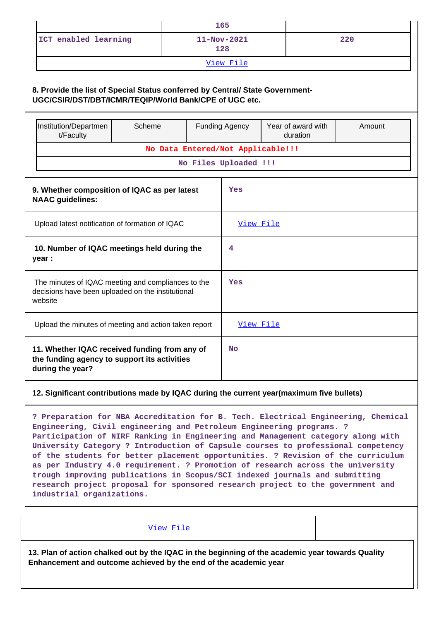|                                                                                                                    |                                                                                                                                         |  |           |                          | 165                               |        |  |
|--------------------------------------------------------------------------------------------------------------------|-----------------------------------------------------------------------------------------------------------------------------------------|--|-----------|--------------------------|-----------------------------------|--------|--|
|                                                                                                                    | ICT enabled learning                                                                                                                    |  |           | $11 - Nov - 2021$<br>128 |                                   | 220    |  |
|                                                                                                                    |                                                                                                                                         |  |           |                          | View File                         |        |  |
|                                                                                                                    | 8. Provide the list of Special Status conferred by Central/ State Government-<br>UGC/CSIR/DST/DBT/ICMR/TEQIP/World Bank/CPE of UGC etc. |  |           |                          |                                   |        |  |
|                                                                                                                    | Institution/Departmen<br>Scheme<br>t/Faculty                                                                                            |  |           | <b>Funding Agency</b>    | Year of award with<br>duration    | Amount |  |
|                                                                                                                    |                                                                                                                                         |  |           |                          | No Data Entered/Not Applicable!!! |        |  |
|                                                                                                                    |                                                                                                                                         |  |           |                          | No Files Uploaded !!!             |        |  |
|                                                                                                                    | 9. Whether composition of IQAC as per latest<br><b>NAAC</b> guidelines:                                                                 |  |           |                          | Yes                               |        |  |
| Upload latest notification of formation of IQAC                                                                    |                                                                                                                                         |  | View File |                          |                                   |        |  |
| 10. Number of IQAC meetings held during the<br>year :                                                              |                                                                                                                                         |  | 4         |                          |                                   |        |  |
| The minutes of IQAC meeting and compliances to the<br>decisions have been uploaded on the institutional<br>website |                                                                                                                                         |  | Yes       |                          |                                   |        |  |
|                                                                                                                    | Upload the minutes of meeting and action taken report                                                                                   |  |           |                          | View File                         |        |  |
|                                                                                                                    | 11. Whether IQAC received funding from any of<br>the funding agency to support its activities<br>during the year?                       |  |           | <b>No</b>                |                                   |        |  |
|                                                                                                                    |                                                                                                                                         |  |           |                          |                                   |        |  |

### **12. Significant contributions made by IQAC during the current year(maximum five bullets)**

**? Preparation for NBA Accreditation for B. Tech. Electrical Engineering, Chemical Engineering, Civil engineering and Petroleum Engineering programs. ? Participation of NIRF Ranking in Engineering and Management category along with University Category ? Introduction of Capsule courses to professional competency of the students for better placement opportunities. ? Revision of the curriculum as per Industry 4.0 requirement. ? Promotion of research across the university trough improving publications in Scopus/SCI indexed journals and submitting research project proposal for sponsored research project to the government and industrial organizations.**

[View File](https://assessmentonline.naac.gov.in/public/Postacc/Contribution/10088_Contribution.xlsx)

**13. Plan of action chalked out by the IQAC in the beginning of the academic year towards Quality Enhancement and outcome achieved by the end of the academic year**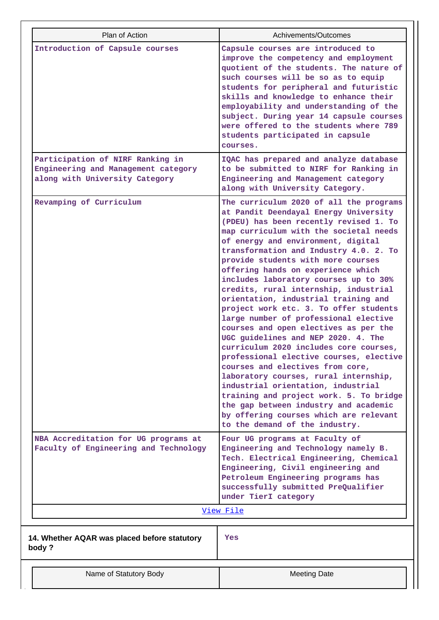| Plan of Action                                                                                            | Achivements/Outcomes                                                                                                                                                                                                                                                                                                                                                                                                                                                                                                                                                                                                                                                                                                                                                                                                                                                                                                                                                                                  |
|-----------------------------------------------------------------------------------------------------------|-------------------------------------------------------------------------------------------------------------------------------------------------------------------------------------------------------------------------------------------------------------------------------------------------------------------------------------------------------------------------------------------------------------------------------------------------------------------------------------------------------------------------------------------------------------------------------------------------------------------------------------------------------------------------------------------------------------------------------------------------------------------------------------------------------------------------------------------------------------------------------------------------------------------------------------------------------------------------------------------------------|
| Introduction of Capsule courses                                                                           | Capsule courses are introduced to                                                                                                                                                                                                                                                                                                                                                                                                                                                                                                                                                                                                                                                                                                                                                                                                                                                                                                                                                                     |
|                                                                                                           | improve the competency and employment<br>quotient of the students. The nature of<br>such courses will be so as to equip<br>students for peripheral and futuristic<br>skills and knowledge to enhance their<br>employability and understanding of the<br>subject. During year 14 capsule courses<br>were offered to the students where 789<br>students participated in capsule<br>courses.                                                                                                                                                                                                                                                                                                                                                                                                                                                                                                                                                                                                             |
| Participation of NIRF Ranking in<br>Engineering and Management category<br>along with University Category | IQAC has prepared and analyze database<br>to be submitted to NIRF for Ranking in<br>Engineering and Management category<br>along with University Category.                                                                                                                                                                                                                                                                                                                                                                                                                                                                                                                                                                                                                                                                                                                                                                                                                                            |
| Revamping of Curriculum                                                                                   | The curriculum 2020 of all the programs<br>at Pandit Deendayal Energy University<br>(PDEU) has been recently revised 1. To<br>map curriculum with the societal needs<br>of energy and environment, digital<br>transformation and Industry 4.0. 2. To<br>provide students with more courses<br>offering hands on experience which<br>includes laboratory courses up to 30%<br>credits, rural internship, industrial<br>orientation, industrial training and<br>project work etc. 3. To offer students<br>large number of professional elective<br>courses and open electives as per the<br>UGC guidelines and NEP 2020. 4. The<br>curriculum 2020 includes core courses,<br>professional elective courses, elective<br>courses and electives from core,<br>laboratory courses, rural internship,<br>industrial orientation, industrial<br>training and project work. 5. To bridge<br>the gap between industry and academic<br>by offering courses which are relevant<br>to the demand of the industry. |
| NBA Accreditation for UG programs at<br>Faculty of Engineering and Technology                             | Four UG programs at Faculty of<br>Engineering and Technology namely B.<br>Tech. Electrical Engineering, Chemical<br>Engineering, Civil engineering and<br>Petroleum Engineering programs has<br>successfully submitted PreQualifier<br>under TierI category                                                                                                                                                                                                                                                                                                                                                                                                                                                                                                                                                                                                                                                                                                                                           |
|                                                                                                           | View File                                                                                                                                                                                                                                                                                                                                                                                                                                                                                                                                                                                                                                                                                                                                                                                                                                                                                                                                                                                             |
| 14. Whether AQAR was placed before statutory<br>body?                                                     | Yes                                                                                                                                                                                                                                                                                                                                                                                                                                                                                                                                                                                                                                                                                                                                                                                                                                                                                                                                                                                                   |
| Name of Statutory Body                                                                                    | <b>Meeting Date</b>                                                                                                                                                                                                                                                                                                                                                                                                                                                                                                                                                                                                                                                                                                                                                                                                                                                                                                                                                                                   |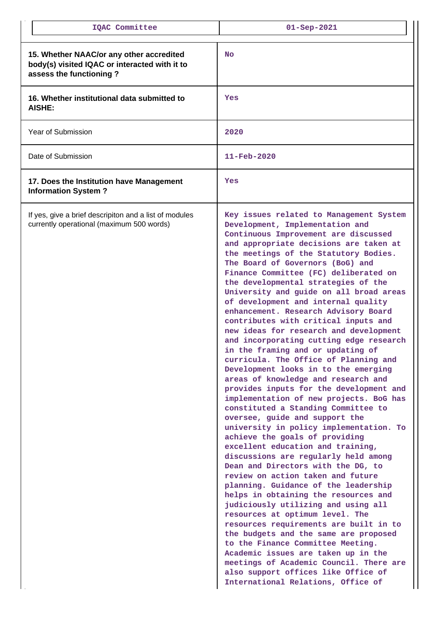| IQAC Committee                                                                                                       | $01 -$ Sep-2021                                                                                                                                                                                                                                                                                                                                                                                                                                                                                                                                                                                                                                                                                                                                                                                                                                                                                                                                                                                                                                                                                                                                                                                                                                                                                                                                                                                                                                                                                                                                                                                    |
|----------------------------------------------------------------------------------------------------------------------|----------------------------------------------------------------------------------------------------------------------------------------------------------------------------------------------------------------------------------------------------------------------------------------------------------------------------------------------------------------------------------------------------------------------------------------------------------------------------------------------------------------------------------------------------------------------------------------------------------------------------------------------------------------------------------------------------------------------------------------------------------------------------------------------------------------------------------------------------------------------------------------------------------------------------------------------------------------------------------------------------------------------------------------------------------------------------------------------------------------------------------------------------------------------------------------------------------------------------------------------------------------------------------------------------------------------------------------------------------------------------------------------------------------------------------------------------------------------------------------------------------------------------------------------------------------------------------------------------|
| 15. Whether NAAC/or any other accredited<br>body(s) visited IQAC or interacted with it to<br>assess the functioning? | <b>No</b>                                                                                                                                                                                                                                                                                                                                                                                                                                                                                                                                                                                                                                                                                                                                                                                                                                                                                                                                                                                                                                                                                                                                                                                                                                                                                                                                                                                                                                                                                                                                                                                          |
| 16. Whether institutional data submitted to<br><b>AISHE:</b>                                                         | Yes                                                                                                                                                                                                                                                                                                                                                                                                                                                                                                                                                                                                                                                                                                                                                                                                                                                                                                                                                                                                                                                                                                                                                                                                                                                                                                                                                                                                                                                                                                                                                                                                |
| Year of Submission                                                                                                   | 2020                                                                                                                                                                                                                                                                                                                                                                                                                                                                                                                                                                                                                                                                                                                                                                                                                                                                                                                                                                                                                                                                                                                                                                                                                                                                                                                                                                                                                                                                                                                                                                                               |
| Date of Submission                                                                                                   | $11 - \text{Feb} - 2020$                                                                                                                                                                                                                                                                                                                                                                                                                                                                                                                                                                                                                                                                                                                                                                                                                                                                                                                                                                                                                                                                                                                                                                                                                                                                                                                                                                                                                                                                                                                                                                           |
| 17. Does the Institution have Management<br><b>Information System?</b>                                               | Yes                                                                                                                                                                                                                                                                                                                                                                                                                                                                                                                                                                                                                                                                                                                                                                                                                                                                                                                                                                                                                                                                                                                                                                                                                                                                                                                                                                                                                                                                                                                                                                                                |
| If yes, give a brief descripiton and a list of modules<br>currently operational (maximum 500 words)                  | Key issues related to Management System<br>Development, Implementation and<br>Continuous Improvement are discussed<br>and appropriate decisions are taken at<br>the meetings of the Statutory Bodies.<br>The Board of Governors (BoG) and<br>Finance Committee (FC) deliberated on<br>the developmental strategies of the<br>University and guide on all broad areas<br>of development and internal quality<br>enhancement. Research Advisory Board<br>contributes with critical inputs and<br>new ideas for research and development<br>and incorporating cutting edge research<br>in the framing and or updating of<br>curricula. The Office of Planning and<br>Development looks in to the emerging<br>areas of knowledge and research and<br>provides inputs for the development and<br>implementation of new projects. BoG has<br>constituted a Standing Committee to<br>oversee, guide and support the<br>university in policy implementation. To<br>achieve the goals of providing<br>excellent education and training,<br>discussions are regularly held among<br>Dean and Directors with the DG, to<br>review on action taken and future<br>planning. Guidance of the leadership<br>helps in obtaining the resources and<br>judiciously utilizing and using all<br>resources at optimum level. The<br>resources requirements are built in to<br>the budgets and the same are proposed<br>to the Finance Committee Meeting.<br>Academic issues are taken up in the<br>meetings of Academic Council. There are<br>also support offices like Office of<br>International Relations, Office of |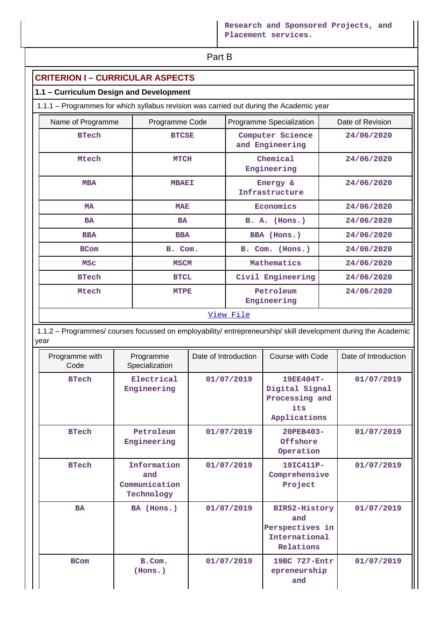**Part B** 

# **CRITERION I – CURRICULAR ASPECTS**

# **1.1 – Curriculum Design and Development**

1.1.1 – Programmes for which syllabus revision was carried out during the Academic year

| Name of Programme | Programme Code | Programme Specialization            | Date of Revision |  |  |
|-------------------|----------------|-------------------------------------|------------------|--|--|
| <b>BTech</b>      | <b>BTCSE</b>   | Computer Science<br>and Engineering | 24/06/2020       |  |  |
| Mtech             | <b>MTCH</b>    | Chemical<br>Engineering             | 24/06/2020       |  |  |
| <b>MBA</b>        | <b>MBAEI</b>   | Energy &<br>Infrastructure          | 24/06/2020       |  |  |
| <b>MA</b>         | <b>MAE</b>     | Economics                           | 24/06/2020       |  |  |
| <b>BA</b>         | <b>BA</b>      | $B. A.$ (Hons.)                     | 24/06/2020       |  |  |
| <b>BBA</b>        | <b>BBA</b>     | BBA (Hons.)                         | 24/06/2020       |  |  |
| <b>BCom</b>       | B. Com.        | B. Com. (Hons.)                     | 24/06/2020       |  |  |
| <b>MSC</b>        | <b>MSCM</b>    | Mathematics                         | 24/06/2020       |  |  |
| <b>BTech</b>      | <b>BTCL</b>    | Civil Engineering                   | 24/06/2020       |  |  |
| Mtech             | <b>MTPE</b>    | Petroleum<br>Engineering            | 24/06/2020       |  |  |
| <u>View File</u>  |                |                                     |                  |  |  |

 1.1.2 – Programmes/ courses focussed on employability/ entrepreneurship/ skill development during the Academic year

| Programme with<br>Code | Programme<br>Specialization                       | Date of Introduction | Course with Code                                                      | Date of Introduction |
|------------------------|---------------------------------------------------|----------------------|-----------------------------------------------------------------------|----------------------|
| <b>BTech</b>           | Electrical<br>Engineering                         | 01/07/2019           | 19EE404T-<br>Digital Signal<br>Processing and<br>its.<br>Applications | 01/07/2019           |
| <b>BTech</b>           | Petroleum<br>Engineering                          | 01/07/2019           | 20PEB403-<br>Offshore<br>Operation                                    | 01/07/2019           |
| <b>BTech</b>           | Information<br>and<br>Communication<br>Technology | 01/07/2019           | 19IC411P-<br>Comprehensive<br>Project                                 | 01/07/2019           |
| <b>BA</b>              | BA (Hons.)                                        | 01/07/2019           | BIR52-History<br>and<br>Perspectives in<br>International<br>Relations | 01/07/2019           |
| <b>BCom</b>            | B.Com.<br>(Hons.)                                 | 01/07/2019           | 19BC 727-Entr<br>epreneurship<br>and                                  | 01/07/2019           |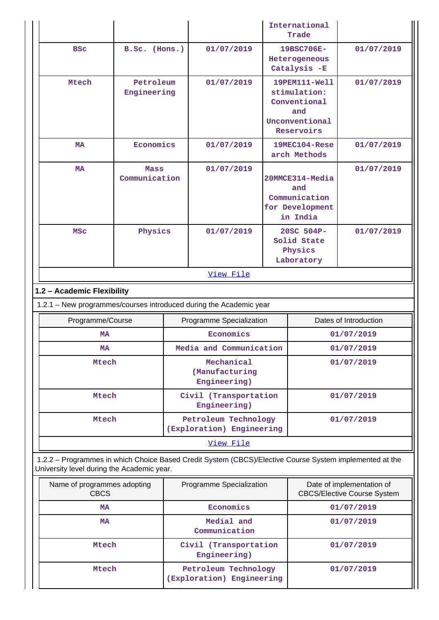|                                                                                                                                                       |                              |                                      |                                                   |  | International<br>Trade                                                               |                                                                 |
|-------------------------------------------------------------------------------------------------------------------------------------------------------|------------------------------|--------------------------------------|---------------------------------------------------|--|--------------------------------------------------------------------------------------|-----------------------------------------------------------------|
| <b>BSC</b>                                                                                                                                            | B.Sc. (Hons.)                |                                      | 01/07/2019                                        |  | 19BSC706E-<br>Heterogeneous<br>Catalysis -E                                          | 01/07/2019                                                      |
| Mtech                                                                                                                                                 | Petroleum<br>Engineering     |                                      | 01/07/2019                                        |  | 19PEM111-Well<br>stimulation:<br>Conventional<br>and<br>Unconventional<br>Reservoirs | 01/07/2019                                                      |
| <b>MA</b>                                                                                                                                             | Economics                    |                                      | 01/07/2019                                        |  | 19MEC104-Rese<br>arch Methods                                                        | 01/07/2019                                                      |
| <b>MA</b>                                                                                                                                             | <b>Mass</b><br>Communication |                                      | 01/07/2019                                        |  | 20MMCE314-Media<br>and<br>Communication<br>for Development<br>in India               | 01/07/2019                                                      |
| <b>MSC</b>                                                                                                                                            | Physics                      |                                      | 01/07/2019                                        |  | 20SC 504P-<br>Solid State<br>Physics<br>Laboratory                                   | 01/07/2019                                                      |
|                                                                                                                                                       | View File                    |                                      |                                                   |  |                                                                                      |                                                                 |
| 1.2 - Academic Flexibility                                                                                                                            |                              |                                      |                                                   |  |                                                                                      |                                                                 |
| 1.2.1 - New programmes/courses introduced during the Academic year                                                                                    |                              |                                      |                                                   |  |                                                                                      |                                                                 |
| Programme/Course                                                                                                                                      |                              |                                      | Programme Specialization                          |  |                                                                                      | Dates of Introduction                                           |
| MA                                                                                                                                                    |                              | Economics<br>Media and Communication |                                                   |  | 01/07/2019<br>01/07/2019                                                             |                                                                 |
|                                                                                                                                                       | MA<br>Mtech                  |                                      | Mechanical<br>(Manufacturing<br>Engineering)      |  |                                                                                      | 01/07/2019                                                      |
|                                                                                                                                                       |                              |                                      |                                                   |  |                                                                                      |                                                                 |
| Mtech                                                                                                                                                 |                              |                                      | Civil (Transportation<br>Engineering)             |  |                                                                                      | 01/07/2019                                                      |
| Mtech                                                                                                                                                 |                              |                                      | Petroleum Technology<br>(Exploration) Engineering |  |                                                                                      | 01/07/2019                                                      |
|                                                                                                                                                       |                              |                                      | View File                                         |  |                                                                                      |                                                                 |
| 1.2.2 - Programmes in which Choice Based Credit System (CBCS)/Elective Course System implemented at the<br>University level during the Academic year. |                              |                                      |                                                   |  |                                                                                      |                                                                 |
| Name of programmes adopting<br><b>CBCS</b>                                                                                                            |                              |                                      | Programme Specialization                          |  |                                                                                      | Date of implementation of<br><b>CBCS/Elective Course System</b> |
| <b>MA</b>                                                                                                                                             |                              |                                      | Economics                                         |  |                                                                                      | 01/07/2019                                                      |
| <b>MA</b>                                                                                                                                             |                              |                                      | Medial and<br>Communication                       |  |                                                                                      | 01/07/2019                                                      |

 **Mtech Petroleum Technology**

**(Exploration) Engineering**

 **01/07/2019**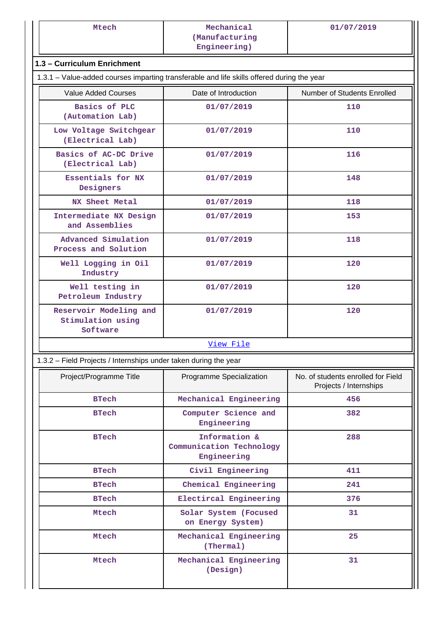| Mechanical<br>(Manufacturing<br>Engineering)                     | 01/07/2019                                                                                                                |  |  |  |  |  |  |  |
|------------------------------------------------------------------|---------------------------------------------------------------------------------------------------------------------------|--|--|--|--|--|--|--|
|                                                                  |                                                                                                                           |  |  |  |  |  |  |  |
|                                                                  |                                                                                                                           |  |  |  |  |  |  |  |
|                                                                  | 1.3 - Curriculum Enrichment<br>1.3.1 – Value-added courses imparting transferable and life skills offered during the year |  |  |  |  |  |  |  |
|                                                                  |                                                                                                                           |  |  |  |  |  |  |  |
| Date of Introduction                                             | Number of Students Enrolled                                                                                               |  |  |  |  |  |  |  |
|                                                                  | 110                                                                                                                       |  |  |  |  |  |  |  |
| 01/07/2019                                                       | 110                                                                                                                       |  |  |  |  |  |  |  |
| 01/07/2019                                                       | 116                                                                                                                       |  |  |  |  |  |  |  |
| 01/07/2019                                                       | 148                                                                                                                       |  |  |  |  |  |  |  |
| 01/07/2019                                                       | 118                                                                                                                       |  |  |  |  |  |  |  |
| 01/07/2019                                                       | 153                                                                                                                       |  |  |  |  |  |  |  |
| 01/07/2019                                                       | 118                                                                                                                       |  |  |  |  |  |  |  |
| 01/07/2019                                                       | 120                                                                                                                       |  |  |  |  |  |  |  |
| 01/07/2019                                                       | 120                                                                                                                       |  |  |  |  |  |  |  |
| 01/07/2019                                                       | 120                                                                                                                       |  |  |  |  |  |  |  |
| View File                                                        |                                                                                                                           |  |  |  |  |  |  |  |
| 1.3.2 - Field Projects / Internships under taken during the year |                                                                                                                           |  |  |  |  |  |  |  |
| Programme Specialization                                         | No. of students enrolled for Field<br>Projects / Internships                                                              |  |  |  |  |  |  |  |
| Mechanical Engineering                                           | 456                                                                                                                       |  |  |  |  |  |  |  |
| Computer Science and<br>Engineering                              | 382                                                                                                                       |  |  |  |  |  |  |  |
| Information &<br>Communication Technology<br>Engineering         | 288                                                                                                                       |  |  |  |  |  |  |  |
| Civil Engineering                                                | 411                                                                                                                       |  |  |  |  |  |  |  |
| Chemical Engineering                                             | 241                                                                                                                       |  |  |  |  |  |  |  |
| Electircal Engineering                                           | 376                                                                                                                       |  |  |  |  |  |  |  |
| Solar System (Focused<br>on Energy System)                       | 31                                                                                                                        |  |  |  |  |  |  |  |
| Mechanical Engineering                                           | 25                                                                                                                        |  |  |  |  |  |  |  |
| (Thermal)                                                        |                                                                                                                           |  |  |  |  |  |  |  |
|                                                                  | 01/07/2019                                                                                                                |  |  |  |  |  |  |  |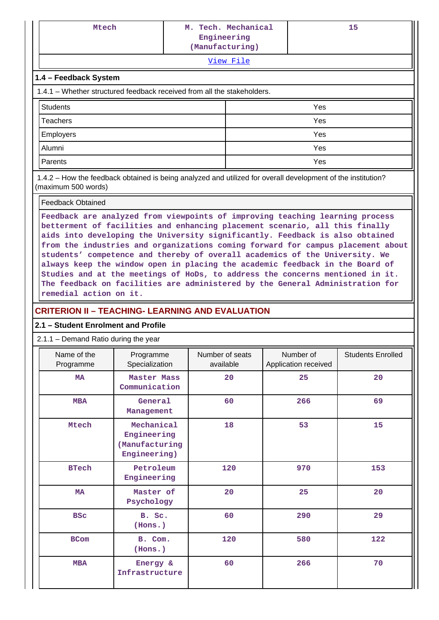| v | w | ۰. |
|---|---|----|

[View File](https://assessmentonline.naac.gov.in/public/Postacc/Projects_undertaken/10088_Projects_undertaken_1630571158.xlsx)

### **1.4 – Feedback System**

1.4.1 – Whether structured feedback received from all the stakeholders.

| Students  | Yes |
|-----------|-----|
| Teachers  | Yes |
| Employers | Yes |
| Alumni    | Yes |
| Parents   | Yes |

 1.4.2 – How the feedback obtained is being analyzed and utilized for overall development of the institution? (maximum 500 words)

#### Feedback Obtained

**Feedback are analyzed from viewpoints of improving teaching learning process betterment of facilities and enhancing placement scenario, all this finally aids into developing the University significantly. Feedback is also obtained from the industries and organizations coming forward for campus placement about students' competence and thereby of overall academics of the University. We always keep the window open in placing the academic feedback in the Board of Studies and at the meetings of HoDs, to address the concerns mentioned in it. The feedback on facilities are administered by the General Administration for remedial action on it.**

### **CRITERION II – TEACHING- LEARNING AND EVALUATION**

### **2.1 – Student Enrolment and Profile**

#### 2.1.1 – Demand Ratio during the year

| Name of the<br>Programme | Programme<br>Specialization                                 | Number of seats<br>available | Number of<br>Application received | <b>Students Enrolled</b> |
|--------------------------|-------------------------------------------------------------|------------------------------|-----------------------------------|--------------------------|
| <b>MA</b>                | Master Mass<br>Communication                                | 20                           | 25                                | 20                       |
| <b>MBA</b>               | General<br>Management                                       | 60                           | 266                               | 69                       |
| Mtech                    | Mechanical<br>Engineering<br>(Manufacturing<br>Engineering) | 18                           | 53                                | 15                       |
| <b>BTech</b>             | Petroleum<br>Engineering                                    |                              | 120<br>970                        |                          |
| <b>MA</b>                | Master of<br>Psychology                                     | 20                           | 25                                | 20                       |
| <b>BSC</b>               | B. Sc.<br>(Hons.)                                           | 60                           | 290                               | 29                       |
| <b>BCom</b>              | B. Com.<br>(Hons.)                                          |                              | 580                               | 122                      |
| <b>MBA</b>               | Energy &<br>Infrastructure                                  | 60                           | 266                               | 70                       |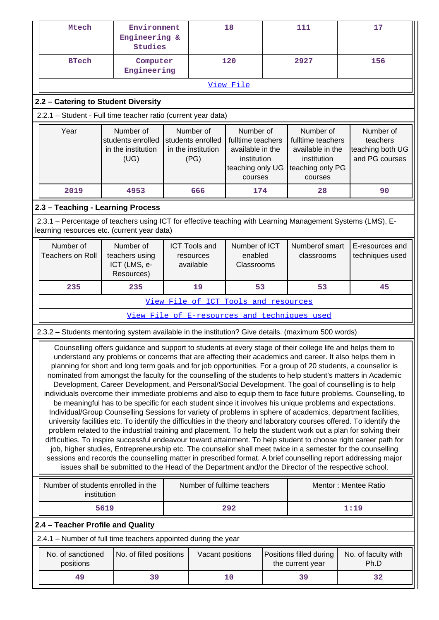| Mtech                                                                                                                                                                                                                                                                                                                                                                                                                                                                                                                                                                                                                                                                                                                                                                                                                                                                                                                                                                                                                                                                                                                                                                                                                                                                                                                                                                                                                                                                                                                                                                                                                   | Environment<br>Engineering &<br><b>Studies</b>                                                                                                        |                                                              |                                      | 18                                                                                               |                                    | 111                                                                                              | 17                                                          |  |  |  |  |  |
|-------------------------------------------------------------------------------------------------------------------------------------------------------------------------------------------------------------------------------------------------------------------------------------------------------------------------------------------------------------------------------------------------------------------------------------------------------------------------------------------------------------------------------------------------------------------------------------------------------------------------------------------------------------------------------------------------------------------------------------------------------------------------------------------------------------------------------------------------------------------------------------------------------------------------------------------------------------------------------------------------------------------------------------------------------------------------------------------------------------------------------------------------------------------------------------------------------------------------------------------------------------------------------------------------------------------------------------------------------------------------------------------------------------------------------------------------------------------------------------------------------------------------------------------------------------------------------------------------------------------------|-------------------------------------------------------------------------------------------------------------------------------------------------------|--------------------------------------------------------------|--------------------------------------|--------------------------------------------------------------------------------------------------|------------------------------------|--------------------------------------------------------------------------------------------------|-------------------------------------------------------------|--|--|--|--|--|
| <b>BTech</b>                                                                                                                                                                                                                                                                                                                                                                                                                                                                                                                                                                                                                                                                                                                                                                                                                                                                                                                                                                                                                                                                                                                                                                                                                                                                                                                                                                                                                                                                                                                                                                                                            | Computer<br>Engineering                                                                                                                               |                                                              |                                      | 120                                                                                              |                                    | 2927                                                                                             | 156                                                         |  |  |  |  |  |
|                                                                                                                                                                                                                                                                                                                                                                                                                                                                                                                                                                                                                                                                                                                                                                                                                                                                                                                                                                                                                                                                                                                                                                                                                                                                                                                                                                                                                                                                                                                                                                                                                         | View File                                                                                                                                             |                                                              |                                      |                                                                                                  |                                    |                                                                                                  |                                                             |  |  |  |  |  |
| 2.2 - Catering to Student Diversity                                                                                                                                                                                                                                                                                                                                                                                                                                                                                                                                                                                                                                                                                                                                                                                                                                                                                                                                                                                                                                                                                                                                                                                                                                                                                                                                                                                                                                                                                                                                                                                     |                                                                                                                                                       |                                                              |                                      |                                                                                                  |                                    |                                                                                                  |                                                             |  |  |  |  |  |
| 2.2.1 - Student - Full time teacher ratio (current year data)                                                                                                                                                                                                                                                                                                                                                                                                                                                                                                                                                                                                                                                                                                                                                                                                                                                                                                                                                                                                                                                                                                                                                                                                                                                                                                                                                                                                                                                                                                                                                           |                                                                                                                                                       |                                                              |                                      |                                                                                                  |                                    |                                                                                                  |                                                             |  |  |  |  |  |
| Year                                                                                                                                                                                                                                                                                                                                                                                                                                                                                                                                                                                                                                                                                                                                                                                                                                                                                                                                                                                                                                                                                                                                                                                                                                                                                                                                                                                                                                                                                                                                                                                                                    | Number of<br>students enrolled<br>in the institution<br>(UG)                                                                                          | Number of<br>students enrolled<br>in the institution<br>(PG) |                                      | Number of<br>fulltime teachers<br>available in the<br>institution<br>teaching only UG<br>courses |                                    | Number of<br>fulltime teachers<br>available in the<br>institution<br>teaching only PG<br>courses | Number of<br>teachers<br>teaching both UG<br>and PG courses |  |  |  |  |  |
| 2019                                                                                                                                                                                                                                                                                                                                                                                                                                                                                                                                                                                                                                                                                                                                                                                                                                                                                                                                                                                                                                                                                                                                                                                                                                                                                                                                                                                                                                                                                                                                                                                                                    | 4953                                                                                                                                                  |                                                              | 666                                  | 174                                                                                              |                                    | 28                                                                                               | 90                                                          |  |  |  |  |  |
| 2.3 - Teaching - Learning Process                                                                                                                                                                                                                                                                                                                                                                                                                                                                                                                                                                                                                                                                                                                                                                                                                                                                                                                                                                                                                                                                                                                                                                                                                                                                                                                                                                                                                                                                                                                                                                                       |                                                                                                                                                       |                                                              |                                      |                                                                                                  |                                    |                                                                                                  |                                                             |  |  |  |  |  |
| 2.3.1 – Percentage of teachers using ICT for effective teaching with Learning Management Systems (LMS), E-<br>learning resources etc. (current year data)                                                                                                                                                                                                                                                                                                                                                                                                                                                                                                                                                                                                                                                                                                                                                                                                                                                                                                                                                                                                                                                                                                                                                                                                                                                                                                                                                                                                                                                               |                                                                                                                                                       |                                                              |                                      |                                                                                                  |                                    |                                                                                                  |                                                             |  |  |  |  |  |
| Number of<br><b>Teachers on Roll</b>                                                                                                                                                                                                                                                                                                                                                                                                                                                                                                                                                                                                                                                                                                                                                                                                                                                                                                                                                                                                                                                                                                                                                                                                                                                                                                                                                                                                                                                                                                                                                                                    | Number of<br><b>ICT Tools and</b><br>Number of ICT<br>enabled<br>teachers using<br>resources<br>ICT (LMS, e-<br>available<br>Classrooms<br>Resources) |                                                              |                                      | Numberof smart<br>classrooms                                                                     | E-resources and<br>techniques used |                                                                                                  |                                                             |  |  |  |  |  |
| 235                                                                                                                                                                                                                                                                                                                                                                                                                                                                                                                                                                                                                                                                                                                                                                                                                                                                                                                                                                                                                                                                                                                                                                                                                                                                                                                                                                                                                                                                                                                                                                                                                     | 235                                                                                                                                                   | 19                                                           | 53<br>53                             |                                                                                                  |                                    | 45                                                                                               |                                                             |  |  |  |  |  |
|                                                                                                                                                                                                                                                                                                                                                                                                                                                                                                                                                                                                                                                                                                                                                                                                                                                                                                                                                                                                                                                                                                                                                                                                                                                                                                                                                                                                                                                                                                                                                                                                                         |                                                                                                                                                       |                                                              | View File of ICT Tools and resources |                                                                                                  |                                    |                                                                                                  |                                                             |  |  |  |  |  |
|                                                                                                                                                                                                                                                                                                                                                                                                                                                                                                                                                                                                                                                                                                                                                                                                                                                                                                                                                                                                                                                                                                                                                                                                                                                                                                                                                                                                                                                                                                                                                                                                                         |                                                                                                                                                       |                                                              |                                      |                                                                                                  |                                    | View File of E-resources and techniques used                                                     |                                                             |  |  |  |  |  |
| 2.3.2 - Students mentoring system available in the institution? Give details. (maximum 500 words)                                                                                                                                                                                                                                                                                                                                                                                                                                                                                                                                                                                                                                                                                                                                                                                                                                                                                                                                                                                                                                                                                                                                                                                                                                                                                                                                                                                                                                                                                                                       |                                                                                                                                                       |                                                              |                                      |                                                                                                  |                                    |                                                                                                  |                                                             |  |  |  |  |  |
| Counselling offers guidance and support to students at every stage of their college life and helps them to<br>understand any problems or concerns that are affecting their academics and career. It also helps them in<br>planning for short and long term goals and for job opportunities. For a group of 20 students, a counsellor is<br>nominated from amongst the faculty for the counselling of the students to help student's matters in Academic<br>Development, Career Development, and Personal/Social Development. The goal of counselling is to help<br>individuals overcome their immediate problems and also to equip them to face future problems. Counselling, to<br>be meaningful has to be specific for each student since it involves his unique problems and expectations.<br>Individual/Group Counselling Sessions for variety of problems in sphere of academics, department facilities,<br>university facilities etc. To identify the difficulties in the theory and laboratory courses offered. To identify the<br>problem related to the industrial training and placement. To help the student work out a plan for solving their<br>difficulties. To inspire successful endeavour toward attainment. To help student to choose right career path for<br>job, higher studies, Entrepreneurship etc. The counsellor shall meet twice in a semester for the counselling<br>sessions and records the counselling matter in prescribed format. A brief counselling report addressing major<br>issues shall be submitted to the Head of the Department and/or the Director of the respective school. |                                                                                                                                                       |                                                              |                                      |                                                                                                  |                                    |                                                                                                  |                                                             |  |  |  |  |  |
|                                                                                                                                                                                                                                                                                                                                                                                                                                                                                                                                                                                                                                                                                                                                                                                                                                                                                                                                                                                                                                                                                                                                                                                                                                                                                                                                                                                                                                                                                                                                                                                                                         | Number of students enrolled in the<br>Number of fulltime teachers<br>Mentor: Mentee Ratio<br>institution                                              |                                                              |                                      |                                                                                                  |                                    |                                                                                                  |                                                             |  |  |  |  |  |
|                                                                                                                                                                                                                                                                                                                                                                                                                                                                                                                                                                                                                                                                                                                                                                                                                                                                                                                                                                                                                                                                                                                                                                                                                                                                                                                                                                                                                                                                                                                                                                                                                         | 5619                                                                                                                                                  |                                                              |                                      | 292                                                                                              |                                    |                                                                                                  | 1:19                                                        |  |  |  |  |  |
| 2.4 - Teacher Profile and Quality                                                                                                                                                                                                                                                                                                                                                                                                                                                                                                                                                                                                                                                                                                                                                                                                                                                                                                                                                                                                                                                                                                                                                                                                                                                                                                                                                                                                                                                                                                                                                                                       |                                                                                                                                                       |                                                              |                                      |                                                                                                  |                                    |                                                                                                  |                                                             |  |  |  |  |  |
| 2.4.1 - Number of full time teachers appointed during the year                                                                                                                                                                                                                                                                                                                                                                                                                                                                                                                                                                                                                                                                                                                                                                                                                                                                                                                                                                                                                                                                                                                                                                                                                                                                                                                                                                                                                                                                                                                                                          |                                                                                                                                                       |                                                              |                                      |                                                                                                  |                                    |                                                                                                  |                                                             |  |  |  |  |  |
| No. of sanctioned<br>positions                                                                                                                                                                                                                                                                                                                                                                                                                                                                                                                                                                                                                                                                                                                                                                                                                                                                                                                                                                                                                                                                                                                                                                                                                                                                                                                                                                                                                                                                                                                                                                                          | No. of filled positions                                                                                                                               |                                                              | Vacant positions                     |                                                                                                  |                                    | Positions filled during<br>the current year                                                      | No. of faculty with<br>Ph.D                                 |  |  |  |  |  |
| 49                                                                                                                                                                                                                                                                                                                                                                                                                                                                                                                                                                                                                                                                                                                                                                                                                                                                                                                                                                                                                                                                                                                                                                                                                                                                                                                                                                                                                                                                                                                                                                                                                      | 39                                                                                                                                                    |                                                              |                                      | 10                                                                                               |                                    | 39                                                                                               | 32                                                          |  |  |  |  |  |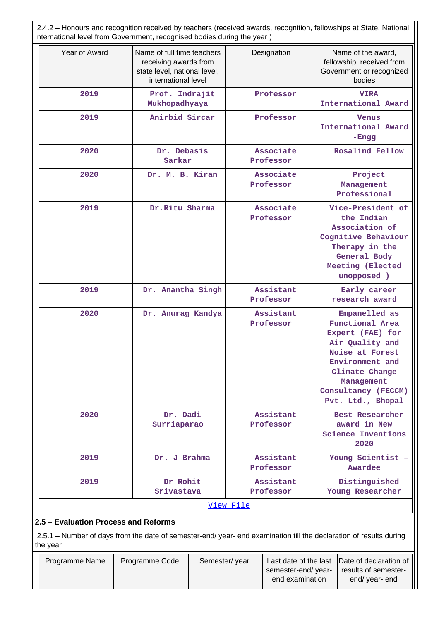2.4.2 – Honours and recognition received by teachers (received awards, recognition, fellowships at State, National, International level from Government, recognised bodies during the year )

| Year of Award                                                                                                                  | Name of full time teachers<br>receiving awards from<br>state level, national level,<br>international level | Designation            | Name of the award,<br>fellowship, received from<br>Government or recognized<br>bodies                                                                                                            |  |  |  |  |  |  |
|--------------------------------------------------------------------------------------------------------------------------------|------------------------------------------------------------------------------------------------------------|------------------------|--------------------------------------------------------------------------------------------------------------------------------------------------------------------------------------------------|--|--|--|--|--|--|
| 2019                                                                                                                           | Prof. Indrajit<br>Mukhopadhyaya                                                                            | Professor              | <b>VIRA</b><br>International Award                                                                                                                                                               |  |  |  |  |  |  |
| 2019                                                                                                                           | Anirbid Sircar                                                                                             | Professor              | <b>Venus</b><br>International Award<br>-Engg                                                                                                                                                     |  |  |  |  |  |  |
| 2020                                                                                                                           | Dr. Debasis<br>Sarkar                                                                                      | Associate<br>Professor | Rosalind Fellow                                                                                                                                                                                  |  |  |  |  |  |  |
| 2020                                                                                                                           | Dr. M. B. Kiran                                                                                            | Associate<br>Professor | Project<br>Management<br>Professional                                                                                                                                                            |  |  |  |  |  |  |
| 2019                                                                                                                           | Dr. Ritu Sharma                                                                                            | Associate<br>Professor | Vice-President of<br>the Indian<br>Association of<br>Cognitive Behaviour<br>Therapy in the<br>General Body<br>Meeting (Elected<br>unopposed )                                                    |  |  |  |  |  |  |
| 2019                                                                                                                           | Dr. Anantha Singh                                                                                          | Assistant<br>Professor | Early career<br>research award                                                                                                                                                                   |  |  |  |  |  |  |
| 2020                                                                                                                           | Dr. Anurag Kandya                                                                                          | Assistant<br>Professor | Empanelled as<br><b>Functional Area</b><br>Expert (FAE) for<br>Air Quality and<br>Noise at Forest<br>Environment and<br>Climate Change<br>Management<br>Consultancy (FECCM)<br>Pvt. Ltd., Bhopal |  |  |  |  |  |  |
| 2020                                                                                                                           | Dr. Dadi<br>Surriaparao                                                                                    | Assistant<br>Professor | Best Researcher<br>award in New<br>Science Inventions<br>2020                                                                                                                                    |  |  |  |  |  |  |
| 2019                                                                                                                           | Dr. J Brahma                                                                                               | Assistant<br>Professor | Young Scientist -<br>Awardee                                                                                                                                                                     |  |  |  |  |  |  |
| 2019                                                                                                                           | Dr Rohit<br>Srivastava                                                                                     | Assistant<br>Professor | Distinguished<br>Young Researcher                                                                                                                                                                |  |  |  |  |  |  |
|                                                                                                                                |                                                                                                            | View File              |                                                                                                                                                                                                  |  |  |  |  |  |  |
| 2.5 - Evaluation Process and Reforms                                                                                           |                                                                                                            |                        |                                                                                                                                                                                                  |  |  |  |  |  |  |
| 2.5.1 - Number of days from the date of semester-end/ year- end examination till the declaration of results during<br>the year |                                                                                                            |                        |                                                                                                                                                                                                  |  |  |  |  |  |  |

| Programme Name | <b>Programme Code</b> | Semester/year | semester-end/vear- | Last date of the last  Date of declaration of  <br>results of semester- |
|----------------|-----------------------|---------------|--------------------|-------------------------------------------------------------------------|
|                |                       |               | end examination    | end/ year- end                                                          |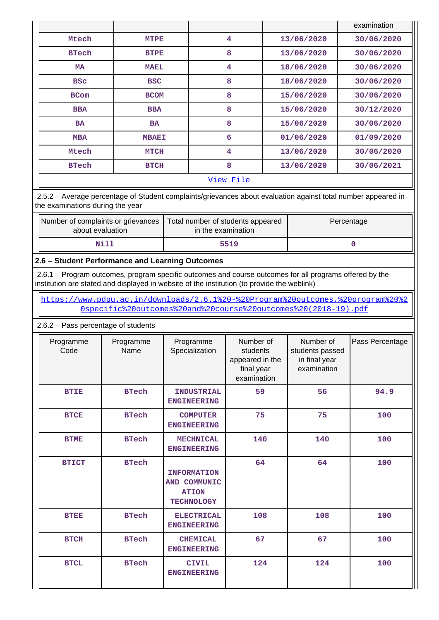|                             |              |                         |            | examination |  |  |  |  |  |
|-----------------------------|--------------|-------------------------|------------|-------------|--|--|--|--|--|
| Mtech                       | <b>MTPE</b>  | 4                       | 13/06/2020 | 30/06/2020  |  |  |  |  |  |
| <b>BTech</b>                | <b>BTPE</b>  | 8                       | 13/06/2020 | 30/06/2020  |  |  |  |  |  |
| <b>MA</b>                   | <b>MAEL</b>  | $\overline{\mathbf{4}}$ | 18/06/2020 | 30/06/2020  |  |  |  |  |  |
| <b>BSC</b>                  | <b>BSC</b>   | 8                       | 18/06/2020 | 30/06/2020  |  |  |  |  |  |
| <b>BCom</b>                 | <b>BCOM</b>  | 8                       | 15/06/2020 | 30/06/2020  |  |  |  |  |  |
| <b>BBA</b>                  | <b>BBA</b>   | 8                       | 15/06/2020 | 30/12/2020  |  |  |  |  |  |
| <b>BA</b>                   | BA           | 8                       | 15/06/2020 | 30/06/2020  |  |  |  |  |  |
| <b>MBA</b>                  | <b>MBAEI</b> | 6                       | 01/06/2020 | 01/09/2020  |  |  |  |  |  |
| Mtech                       | <b>MTCH</b>  | 4                       | 13/06/2020 | 30/06/2020  |  |  |  |  |  |
| <b>BTech</b><br><b>BTCH</b> |              | 8                       | 13/06/2020 | 30/06/2021  |  |  |  |  |  |
| View File                   |              |                         |            |             |  |  |  |  |  |

 2.5.2 – Average percentage of Student complaints/grievances about evaluation against total number appeared in the examinations during the year

| Number of complaints or grievances<br>about evaluation | Total number of students appeared<br>in the examination | Percentage |
|--------------------------------------------------------|---------------------------------------------------------|------------|
| Nil:                                                   | 5519                                                    |            |

### **2.6 – Student Performance and Learning Outcomes**

 2.6.1 – Program outcomes, program specific outcomes and course outcomes for all programs offered by the institution are stated and displayed in website of the institution (to provide the weblink)

 [https://www.pdpu.ac.in/downloads/2.6.1%20-%20Program%20outcomes,%20program%20%2](https://www.pdpu.ac.in/downloads/2.6.1%20-%20Program%20outcomes,%20program%20%20specific%20outcomes%20and%20course%20outcomes%20(2018-19).pdf) [0specific%20outcomes%20and%20course%20outcomes%20\(2018-19\).pdf](https://www.pdpu.ac.in/downloads/2.6.1%20-%20Program%20outcomes,%20program%20%20specific%20outcomes%20and%20course%20outcomes%20(2018-19).pdf)

2.6.2 – Pass percentage of students

| Programme<br>Code | Programme<br>Name | Programme<br>Specialization                                             | Number of<br>students<br>appeared in the<br>final year<br>examination | Number of<br>students passed<br>in final year<br>examination | Pass Percentage |
|-------------------|-------------------|-------------------------------------------------------------------------|-----------------------------------------------------------------------|--------------------------------------------------------------|-----------------|
| <b>BTIE</b>       | <b>BTech</b>      | <b>INDUSTRIAL</b><br><b>ENGINEERING</b>                                 | 59                                                                    | 56                                                           | 94.9            |
| <b>BTCE</b>       | <b>BTech</b>      | <b>COMPUTER</b><br><b>ENGINEERING</b>                                   | 75                                                                    | 75                                                           | 100             |
| <b>BTME</b>       | <b>BTech</b>      | <b>MECHNICAL</b><br><b>ENGINEERING</b>                                  | 140                                                                   | 140                                                          | 100             |
| <b>BTICT</b>      | <b>BTech</b>      | <b>INFORMATION</b><br>AND COMMUNIC<br><b>ATION</b><br><b>TECHNOLOGY</b> | 64                                                                    | 64                                                           | 100             |
| <b>BTEE</b>       | <b>BTech</b>      | <b>ELECTRICAL</b><br><b>ENGINEERING</b>                                 | 108                                                                   | 108                                                          | 100             |
| <b>BTCH</b>       | <b>BTech</b>      | <b>CHEMICAL</b><br><b>ENGINEERING</b>                                   | 67                                                                    | 67                                                           | 100             |
| <b>BTCL</b>       | <b>BTech</b>      | <b>CIVIL</b><br><b>ENGINEERING</b>                                      | 124                                                                   | 124                                                          | 100             |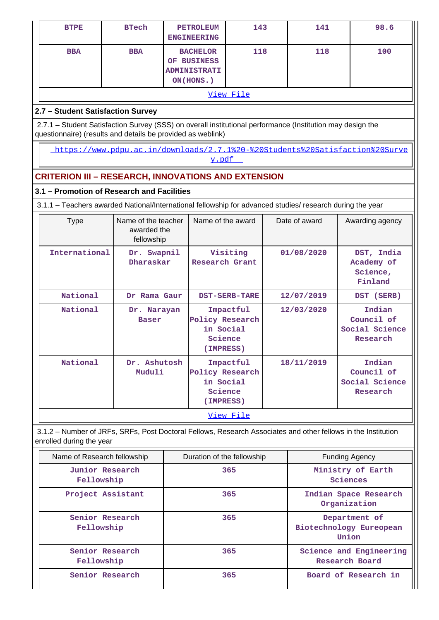| <b>BTPE</b>                                                                                                                                                               | <b>BTech</b>                                     |             | <b>PETROLEUM</b><br><b>ENGINEERING</b>                             | 143                                                               |            | 141                                              | 98.6                                               |  |  |  |  |  |  |
|---------------------------------------------------------------------------------------------------------------------------------------------------------------------------|--------------------------------------------------|-------------|--------------------------------------------------------------------|-------------------------------------------------------------------|------------|--------------------------------------------------|----------------------------------------------------|--|--|--|--|--|--|
| <b>BBA</b>                                                                                                                                                                | <b>BBA</b>                                       |             | <b>BACHELOR</b><br>OF BUSINESS<br><b>ADMINISTRATI</b><br>ON(HONS.) | 118                                                               |            | 118                                              | 100                                                |  |  |  |  |  |  |
| View File                                                                                                                                                                 |                                                  |             |                                                                    |                                                                   |            |                                                  |                                                    |  |  |  |  |  |  |
| 2.7 - Student Satisfaction Survey                                                                                                                                         |                                                  |             |                                                                    |                                                                   |            |                                                  |                                                    |  |  |  |  |  |  |
| 2.7.1 - Student Satisfaction Survey (SSS) on overall institutional performance (Institution may design the<br>questionnaire) (results and details be provided as weblink) |                                                  |             |                                                                    |                                                                   |            |                                                  |                                                    |  |  |  |  |  |  |
| https://www.pdpu.ac.in/downloads/2.7.1%20-%20Students%20Satisfaction%20Surve<br>y.pdf                                                                                     |                                                  |             |                                                                    |                                                                   |            |                                                  |                                                    |  |  |  |  |  |  |
| <b>CRITERION III - RESEARCH, INNOVATIONS AND EXTENSION</b>                                                                                                                |                                                  |             |                                                                    |                                                                   |            |                                                  |                                                    |  |  |  |  |  |  |
| 3.1 - Promotion of Research and Facilities                                                                                                                                |                                                  |             |                                                                    |                                                                   |            |                                                  |                                                    |  |  |  |  |  |  |
| 3.1.1 - Teachers awarded National/International fellowship for advanced studies/ research during the year                                                                 |                                                  |             |                                                                    |                                                                   |            |                                                  |                                                    |  |  |  |  |  |  |
| <b>Type</b>                                                                                                                                                               | Name of the teacher<br>awarded the<br>fellowship |             | Name of the award                                                  |                                                                   |            | Date of award                                    | Awarding agency                                    |  |  |  |  |  |  |
|                                                                                                                                                                           | International<br>Dr. Swapnil<br>Dharaskar        |             |                                                                    | Visiting<br>Research Grant                                        |            | 01/08/2020                                       | DST, India<br>Academy of<br>Science,<br>Finland    |  |  |  |  |  |  |
| National                                                                                                                                                                  | Dr Rama Gaur                                     |             |                                                                    | <b>DST-SERB-TARE</b>                                              | 12/07/2019 |                                                  | DST (SERB)                                         |  |  |  |  |  |  |
| National                                                                                                                                                                  | <b>Baser</b>                                     | Dr. Narayan |                                                                    | Impactful<br>Policy Research<br>in Social<br>Science<br>(IMPRESS) |            | 12/03/2020                                       | Indian<br>Council of<br>Social Science<br>Research |  |  |  |  |  |  |
| National                                                                                                                                                                  | Dr. Ashutosh<br>Muduli                           |             |                                                                    | Impactful<br>Policy Research<br>in Social<br>Science<br>(IMPRESS) |            | 18/11/2019                                       | Indian<br>Council of<br>Social Science<br>Research |  |  |  |  |  |  |
|                                                                                                                                                                           |                                                  |             |                                                                    | <u>View File</u>                                                  |            |                                                  |                                                    |  |  |  |  |  |  |
| 3.1.2 - Number of JRFs, SRFs, Post Doctoral Fellows, Research Associates and other fellows in the Institution<br>enrolled during the year                                 |                                                  |             |                                                                    |                                                                   |            |                                                  |                                                    |  |  |  |  |  |  |
| Name of Research fellowship                                                                                                                                               |                                                  |             | Duration of the fellowship                                         |                                                                   |            |                                                  | <b>Funding Agency</b>                              |  |  |  |  |  |  |
| Fellowship                                                                                                                                                                | <b>Junior Research</b>                           |             |                                                                    | 365                                                               |            |                                                  | Ministry of Earth<br>Sciences                      |  |  |  |  |  |  |
| Project Assistant                                                                                                                                                         |                                                  |             |                                                                    | 365                                                               |            |                                                  | Indian Space Research<br>Organization              |  |  |  |  |  |  |
| Senior Research<br>Fellowship                                                                                                                                             |                                                  |             |                                                                    | 365                                                               |            |                                                  | Department of<br>Biotechnology Eureopean<br>Union  |  |  |  |  |  |  |
| Fellowship                                                                                                                                                                | Senior Research                                  |             |                                                                    | 365                                                               |            | Science and Engineering<br><b>Research Board</b> |                                                    |  |  |  |  |  |  |
|                                                                                                                                                                           | Senior Research                                  |             |                                                                    | 365                                                               |            |                                                  | Board of Research in                               |  |  |  |  |  |  |

ור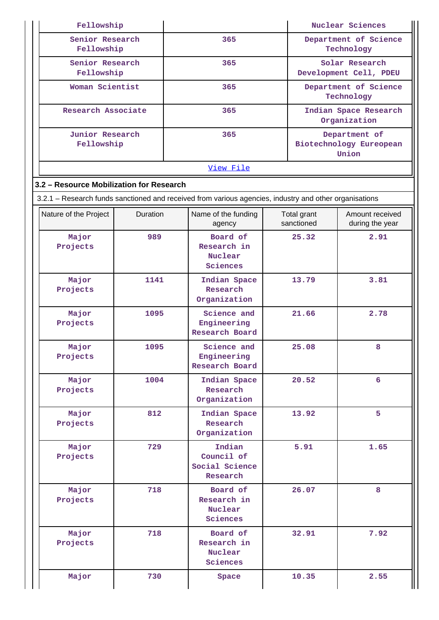| Fellowship                               |                                                       |                                                                                                        |                                     | Nuclear Sciences                         |                                                   |  |  |
|------------------------------------------|-------------------------------------------------------|--------------------------------------------------------------------------------------------------------|-------------------------------------|------------------------------------------|---------------------------------------------------|--|--|
| Senior Research<br>Fellowship            |                                                       | 365                                                                                                    | Department of Science<br>Technology |                                          |                                                   |  |  |
| Senior Research<br>Fellowship            |                                                       | 365                                                                                                    |                                     | Solar Research<br>Development Cell, PDEU |                                                   |  |  |
| Woman Scientist                          |                                                       | 365                                                                                                    |                                     |                                          | Department of Science<br>Technology               |  |  |
| Research Associate                       |                                                       | 365                                                                                                    |                                     | Indian Space Research<br>Organization    |                                                   |  |  |
| Junior Research<br>Fellowship            |                                                       | 365                                                                                                    |                                     |                                          | Department of<br>Biotechnology Eureopean<br>Union |  |  |
|                                          |                                                       | View File                                                                                              |                                     |                                          |                                                   |  |  |
| 3.2 - Resource Mobilization for Research |                                                       |                                                                                                        |                                     |                                          |                                                   |  |  |
|                                          |                                                       | 3.2.1 - Research funds sanctioned and received from various agencies, industry and other organisations |                                     |                                          |                                                   |  |  |
| Nature of the Project                    | <b>Duration</b>                                       | Name of the funding<br>agency                                                                          |                                     | Total grant<br>sanctioned                | Amount received<br>during the year                |  |  |
| Major<br>Projects                        | 989                                                   | Board of<br>Research in<br><b>Nuclear</b><br>Sciences                                                  |                                     | 25.32                                    | 2.91                                              |  |  |
| Major<br>Projects                        | 1141                                                  | Indian Space<br>Research<br>Organization                                                               |                                     | 13.79                                    | 3.81                                              |  |  |
| Major<br>Projects                        | 1095                                                  |                                                                                                        |                                     | 21.66                                    | 2.78                                              |  |  |
| Major<br>Projects                        | 1095                                                  | Science and<br>Engineering<br>Research Board                                                           |                                     | 25.08                                    | 8                                                 |  |  |
| Major<br>Projects                        | 1004                                                  | Indian Space<br>Research<br>Organization                                                               |                                     | 20.52                                    | 6                                                 |  |  |
| Major<br>Projects                        | 812                                                   | Indian Space<br>Research<br>Organization                                                               |                                     | 13.92                                    | 5                                                 |  |  |
| Major<br>Projects                        | 729                                                   | Indian<br>Council of<br>Social Science<br>Research                                                     |                                     | 5.91                                     | 1.65                                              |  |  |
| Major<br>Projects                        | 718                                                   | Board of<br>Research in<br>Nuclear<br>Sciences                                                         |                                     | 26.07                                    | 8                                                 |  |  |
| Major<br>Projects                        | 718<br>Board of<br>Research in<br>Nuclear<br>Sciences |                                                                                                        |                                     | 32.91                                    | 7.92                                              |  |  |
| Major                                    | 730                                                   | Space                                                                                                  |                                     | 10.35                                    | 2.55                                              |  |  |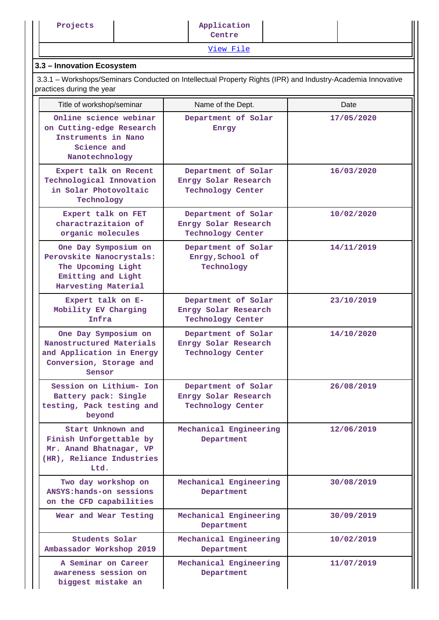[View File](https://assessmentonline.naac.gov.in/public/Postacc/Research_Fund/10088_Research_Fund_1622361865.xlsx)

# **3.3 – Innovation Ecosystem**

 3.3.1 – Workshops/Seminars Conducted on Intellectual Property Rights (IPR) and Industry-Academia Innovative practices during the year

| Title of workshop/seminar                                                                                           | Name of the Dept.                                                       | Date       |  |  |
|---------------------------------------------------------------------------------------------------------------------|-------------------------------------------------------------------------|------------|--|--|
| Online science webinar<br>on Cutting-edge Research<br>Instruments in Nano<br>Science and<br>Nanotechnology          | Department of Solar<br>Enrgy                                            | 17/05/2020 |  |  |
| Expert talk on Recent<br>Technological Innovation<br>in Solar Photovoltaic<br>Technology                            | Department of Solar<br>Enrgy Solar Research<br><b>Technology Center</b> | 16/03/2020 |  |  |
| Expert talk on FET<br>charactrazitaion of<br>organic molecules                                                      | Department of Solar<br>Enrgy Solar Research<br><b>Technology Center</b> | 10/02/2020 |  |  |
| One Day Symposium on<br>Perovskite Nanocrystals:<br>The Upcoming Light<br>Emitting and Light<br>Harvesting Material | Department of Solar<br>Enrgy, School of<br>Technology                   | 14/11/2019 |  |  |
| Expert talk on E-<br>Mobility EV Charging<br>Infra                                                                  | Department of Solar<br>Enrgy Solar Research<br><b>Technology Center</b> | 23/10/2019 |  |  |
| One Day Symposium on<br>Nanostructured Materials<br>and Application in Energy<br>Conversion, Storage and<br>Sensor  | Department of Solar<br>Enrgy Solar Research<br><b>Technology Center</b> | 14/10/2020 |  |  |
| Session on Lithium- Ion<br>Battery pack: Single<br>testing, Pack testing and<br>beyond                              | Department of Solar<br>Enrgy Solar Research<br><b>Technology Center</b> | 26/08/2019 |  |  |
| Start Unknown and<br>Finish Unforgettable by<br>Mr. Anand Bhatnagar, VP<br>(HR), Reliance Industries<br>Ltd.        | Mechanical Engineering<br>Department                                    | 12/06/2019 |  |  |
| Two day workshop on<br>ANSYS: hands-on sessions<br>on the CFD capabilities                                          | Mechanical Engineering<br>Department                                    | 30/08/2019 |  |  |
| Wear and Wear Testing                                                                                               | Mechanical Engineering<br>Department                                    | 30/09/2019 |  |  |
| Students Solar<br>Ambassador Workshop 2019                                                                          | Mechanical Engineering<br>Department                                    | 10/02/2019 |  |  |
| A Seminar on Career<br>awareness session on<br>biggest mistake an                                                   | Mechanical Engineering<br>Department                                    | 11/07/2019 |  |  |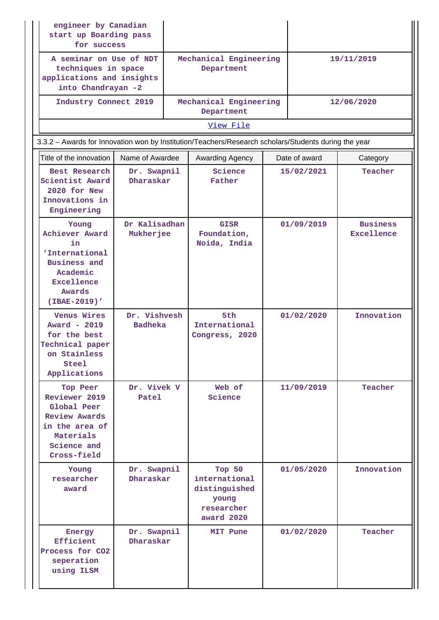| engineer by Canadian<br>start up Boarding pass<br>for success                                                                 |                                |                                      |                                                                                                      |  |               |                               |  |
|-------------------------------------------------------------------------------------------------------------------------------|--------------------------------|--------------------------------------|------------------------------------------------------------------------------------------------------|--|---------------|-------------------------------|--|
| A seminar on Use of NDT<br>techniques in space<br>applications and insights<br>into Chandrayan -2                             |                                | Mechanical Engineering<br>Department |                                                                                                      |  |               | 19/11/2019                    |  |
| Industry Connect 2019                                                                                                         |                                |                                      | Mechanical Engineering<br>Department                                                                 |  |               | 12/06/2020                    |  |
|                                                                                                                               |                                |                                      | View File                                                                                            |  |               |                               |  |
|                                                                                                                               |                                |                                      | 3.3.2 - Awards for Innovation won by Institution/Teachers/Research scholars/Students during the year |  |               |                               |  |
| Title of the innovation                                                                                                       | Name of Awardee                |                                      | Awarding Agency                                                                                      |  | Date of award | Category                      |  |
| Best Research<br>Scientist Award<br>2020 for New<br>Innovations in<br>Engineering                                             | Dr. Swapnil<br>Dharaskar       |                                      | Science<br>Father                                                                                    |  | 15/02/2021    | Teacher                       |  |
| Young<br>Achiever Award<br>in.<br>'International<br><b>Business and</b><br>Academic<br>Excellence<br>Awards<br>(IBAE-2019)'   | Dr Kalisadhan<br>Mukherjee     |                                      | <b>GISR</b><br>Foundation,<br>Noida, India                                                           |  | 01/09/2019    | <b>Business</b><br>Excellence |  |
| <b>Venus Wires</b><br>Award - 2019<br>for the best<br>Technical paper<br>on Stainless<br>Steel<br>Applications                | Dr. Vishvesh<br><b>Badheka</b> |                                      | 5th<br>International<br>Congress, 2020                                                               |  | 01/02/2020    | Innovation                    |  |
| Top Peer<br>Reviewer 2019<br>Global Peer<br><b>Review Awards</b><br>in the area of<br>Materials<br>Science and<br>Cross-field | Dr. Vivek V<br>Patel           |                                      | Web of<br>Science                                                                                    |  | 11/09/2019    | Teacher                       |  |
| Young<br>researcher<br>award                                                                                                  | Dr. Swapnil<br>Dharaskar       |                                      | Top 50<br>international<br>distinguished<br>young<br>researcher<br>award 2020                        |  | 01/05/2020    | Innovation                    |  |
| Energy<br>Efficient<br>Process for CO2<br>seperation<br>using ILSM                                                            | Dr. Swapnil<br>Dharaskar       |                                      | MIT Pune                                                                                             |  | 01/02/2020    | Teacher                       |  |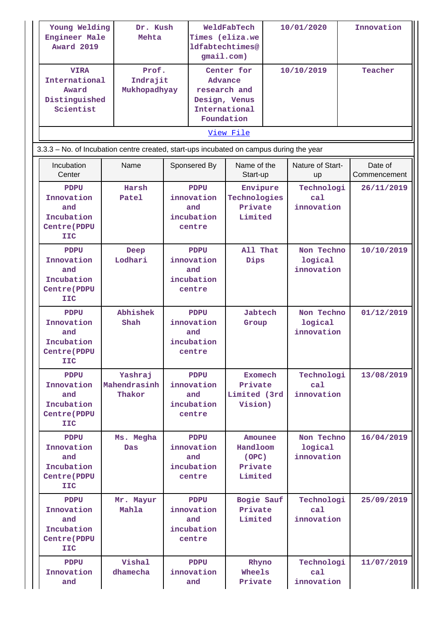| Young Welding<br>Engineer Male<br><b>Award 2019</b>                                                      | Mehta                             | Dr. Kush                                                 |                                                                                       | WeldFabTech<br>Times (eliza.we<br>1dfabtechtimes@<br>gmail.com) |            | 10/01/2020                          |  | Innovation              |  |
|----------------------------------------------------------------------------------------------------------|-----------------------------------|----------------------------------------------------------|---------------------------------------------------------------------------------------|-----------------------------------------------------------------|------------|-------------------------------------|--|-------------------------|--|
| Prof.<br><b>VIRA</b><br>International<br>Indrajit<br>Mukhopadhyay<br>Award<br>Distinguished<br>Scientist |                                   |                                                          | Center for<br>Advance<br>research and<br>Design, Venus<br>International<br>Foundation |                                                                 | 10/10/2019 |                                     |  | Teacher                 |  |
|                                                                                                          | View File                         |                                                          |                                                                                       |                                                                 |            |                                     |  |                         |  |
| 3.3.3 - No. of Incubation centre created, start-ups incubated on campus during the year                  |                                   |                                                          |                                                                                       |                                                                 |            |                                     |  |                         |  |
| Incubation<br>Center                                                                                     | Name                              |                                                          | Sponsered By                                                                          | Name of the<br>Start-up                                         |            | Nature of Start-<br><b>up</b>       |  | Date of<br>Commencement |  |
| <b>PDPU</b><br>Innovation<br>and<br>Incubation<br><b>Centre (PDPU</b><br><b>IIC</b>                      | Harsh<br>Patel                    | <b>PDPU</b><br>innovation<br>and<br>incubation<br>centre |                                                                                       | Envipure<br>Technologies<br>Private<br>Limited                  |            | Technologi<br>ca1<br>innovation     |  | 26/11/2019              |  |
| <b>PDPU</b><br>Innovation<br>and<br>Incubation<br><b>Centre (PDPU</b><br><b>IIC</b>                      | Deep<br>Lodhari                   | <b>PDPU</b><br>innovation<br>and<br>incubation<br>centre |                                                                                       | All That<br>Dips                                                |            | Non Techno<br>logical<br>innovation |  | 10/10/2019              |  |
| <b>PDPU</b><br>Innovation<br>and<br>Incubation<br><b>Centre (PDPU</b><br><b>IIC</b>                      | Abhishek<br>Shah                  | <b>PDPU</b><br>innovation<br>and<br>incubation<br>centre |                                                                                       | Jabtech<br>Group                                                |            | Non Techno<br>logical<br>innovation |  | 01/12/2019              |  |
| PDPU<br>Innovation<br>and<br>Incubation<br><b>Centre (PDPU</b><br><b>IIC</b>                             | Yashraj<br>Mahendrasinh<br>Thakor |                                                          | PDPU<br>innovation<br>and<br>incubation<br>centre                                     | Exomech<br>Private<br>Limited (3rd<br>Vision)                   |            | Technologi<br>ca1<br>innovation     |  | 13/08/2019              |  |
| PDPU<br>Innovation<br>and<br>Incubation<br><b>Centre (PDPU</b><br><b>IIC</b>                             | Ms. Megha<br><b>Das</b>           | <b>PDPU</b><br>innovation<br>and<br>incubation<br>centre |                                                                                       | Amounee<br>Handloom<br>(OPC)<br>Private<br>Limited              |            | Non Techno<br>logical<br>innovation |  | 16/04/2019              |  |
| <b>PDPU</b><br>Innovation<br>and<br>Incubation<br><b>Centre (PDPU</b><br><b>IIC</b>                      | Mr. Mayur<br>Mahla                |                                                          | <b>PDPU</b><br>innovation<br>and<br>incubation<br>centre                              | Bogie Sauf<br>Private<br>Limited                                |            | Technologi<br>ca1<br>innovation     |  | 25/09/2019              |  |
| <b>PDPU</b><br>Innovation<br>and                                                                         | Vishal<br>dhamecha                |                                                          | <b>PDPU</b><br>innovation<br>and                                                      | Rhyno<br>Wheels<br>Private                                      |            | Technologi<br>ca1<br>innovation     |  | 11/07/2019              |  |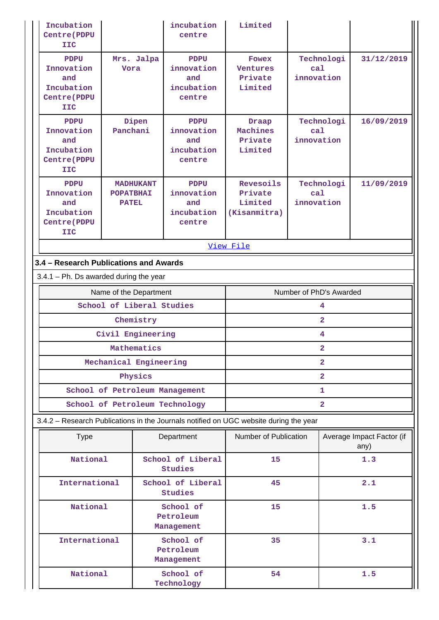| Incubation<br><b>Centre (PDPU</b><br>IIC                                              |                                                      | incubation<br>centre                                     | Limited                                               |                                 |                                   |  |  |  |  |
|---------------------------------------------------------------------------------------|------------------------------------------------------|----------------------------------------------------------|-------------------------------------------------------|---------------------------------|-----------------------------------|--|--|--|--|
| <b>PDPU</b><br>Innovation<br>and<br>Incubation<br><b>Centre (PDPU</b><br><b>IIC</b>   | Mrs. Jalpa<br>Vora                                   | PDPU<br>innovation<br>and<br>incubation<br>centre        | <b>Fowex</b><br><b>Ventures</b><br>Private<br>Limited | Technologi<br>ca1<br>innovation | 31/12/2019                        |  |  |  |  |
| <b>PDPU</b><br>Innovation<br>and<br>Incubation<br><b>Centre (PDPU</b><br>IIC          | Dipen<br>Panchani                                    | <b>PDPU</b><br>innovation<br>and<br>incubation<br>centre | Draap<br>Machines<br>Private<br>Limited               | Technologi<br>ca1<br>innovation | 16/09/2019                        |  |  |  |  |
| <b>PDPU</b><br>Innovation<br>and<br>Incubation<br><b>Centre</b> (PDPU<br><b>IIC</b>   | <b>MADHUKANT</b><br><b>POPATBHAI</b><br><b>PATEL</b> | PDPU<br>innovation<br>and<br>incubation<br>centre        | Revesoils<br>Private<br>Limited<br>(Kisanmitra)       | Technologi<br>ca1<br>innovation | 11/09/2019                        |  |  |  |  |
|                                                                                       |                                                      |                                                          | View File                                             |                                 |                                   |  |  |  |  |
| 3.4 - Research Publications and Awards                                                |                                                      |                                                          |                                                       |                                 |                                   |  |  |  |  |
| $3.4.1$ – Ph. Ds awarded during the year                                              |                                                      |                                                          |                                                       |                                 |                                   |  |  |  |  |
|                                                                                       | Name of the Department                               |                                                          |                                                       | Number of PhD's Awarded         |                                   |  |  |  |  |
|                                                                                       | School of Liberal Studies                            |                                                          |                                                       | 4                               |                                   |  |  |  |  |
|                                                                                       | Chemistry                                            |                                                          | $\overline{2}$<br>4                                   |                                 |                                   |  |  |  |  |
|                                                                                       | Civil Engineering<br>Mathematics                     |                                                          | $\overline{2}$                                        |                                 |                                   |  |  |  |  |
|                                                                                       | Mechanical Engineering                               |                                                          | $\mathbf{2}$                                          |                                 |                                   |  |  |  |  |
|                                                                                       | Physics                                              |                                                          | $\overline{2}$                                        |                                 |                                   |  |  |  |  |
|                                                                                       | School of Petroleum Management                       |                                                          | 1                                                     |                                 |                                   |  |  |  |  |
|                                                                                       | School of Petroleum Technology                       |                                                          | $\overline{\mathbf{2}}$                               |                                 |                                   |  |  |  |  |
| 3.4.2 - Research Publications in the Journals notified on UGC website during the year |                                                      |                                                          |                                                       |                                 |                                   |  |  |  |  |
| <b>Type</b>                                                                           |                                                      | Department                                               | Number of Publication                                 |                                 | Average Impact Factor (if<br>any) |  |  |  |  |
| National                                                                              |                                                      | School of Liberal<br><b>Studies</b>                      | 15                                                    |                                 | 1.3                               |  |  |  |  |
| International                                                                         |                                                      | School of Liberal<br>Studies                             | 45                                                    |                                 | 2.1                               |  |  |  |  |
| National                                                                              |                                                      | School of<br>Petroleum<br>Management                     | 15                                                    |                                 | 1.5                               |  |  |  |  |
| International                                                                         |                                                      | School of<br>Petroleum<br>Management                     | 35                                                    |                                 | 3.1                               |  |  |  |  |
| National                                                                              |                                                      | School of<br>Technology                                  | 54                                                    |                                 | 1.5                               |  |  |  |  |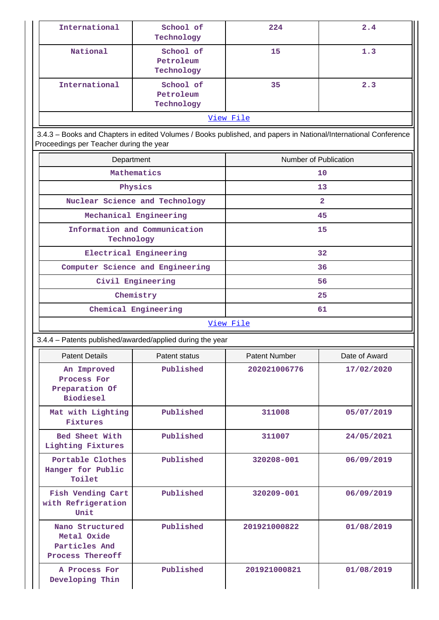| International | School of<br>Technology              | 224 | 2.4 |  |  |  |
|---------------|--------------------------------------|-----|-----|--|--|--|
| National      | School of<br>Petroleum<br>Technology | 15  | 1.3 |  |  |  |
| International | School of<br>Petroleum<br>Technology | 35  | 2.3 |  |  |  |
| View File     |                                      |     |     |  |  |  |

 3.4.3 – Books and Chapters in edited Volumes / Books published, and papers in National/International Conference Proceedings per Teacher during the year

| Department                                  | Number of Publication |  |  |  |  |
|---------------------------------------------|-----------------------|--|--|--|--|
| Mathematics                                 | 10                    |  |  |  |  |
| Physics                                     | 13                    |  |  |  |  |
| Nuclear Science and Technology              | $\overline{a}$        |  |  |  |  |
| Mechanical Engineering                      | 45                    |  |  |  |  |
| Information and Communication<br>Technology | 15                    |  |  |  |  |
| Electrical Engineering                      | 32                    |  |  |  |  |
| Computer Science and Engineering            | 36                    |  |  |  |  |
| Civil Engineering                           | 56                    |  |  |  |  |
| Chemistry                                   | 25                    |  |  |  |  |
| Chemical Engineering                        | 61                    |  |  |  |  |
| ママネ こうし かいき コース                             |                       |  |  |  |  |

#### [View File](https://assessmentonline.naac.gov.in/public/Postacc/Books_and_Chapters/10088_Books_and_Chapters_1623834979.xlsx)

# 3.4.4 – Patents published/awarded/applied during the year

| <b>Patent Details</b>                                               | Patent status | <b>Patent Number</b> | Date of Award |
|---------------------------------------------------------------------|---------------|----------------------|---------------|
| An Improved<br>Process For<br>Preparation Of<br><b>Biodiesel</b>    | Published     | 202021006776         | 17/02/2020    |
| Mat with Lighting<br>Published<br>Fixtures                          |               | 311008               | 05/07/2019    |
| Bed Sheet With<br>Published<br>Lighting Fixtures                    |               | 311007               | 24/05/2021    |
| Portable Clothes<br>Hanger for Public<br>Toilet                     | Published     | 320208-001           | 06/09/2019    |
| Fish Vending Cart<br>with Refrigeration<br>Unit                     | Published     | 320209-001           | 06/09/2019    |
| Nano Structured<br>Metal Oxide<br>Particles And<br>Process Thereoff | Published     | 201921000822         | 01/08/2019    |
| A Process For<br>Developing Thin                                    | Published     | 201921000821         | 01/08/2019    |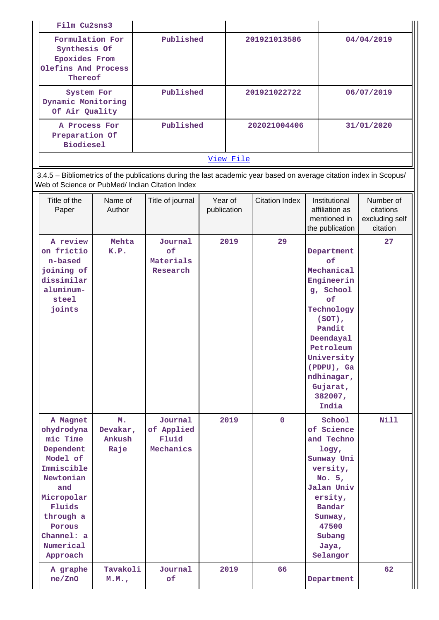| Film Cu2sns3                                                                              |           |              |            |  |  |  |
|-------------------------------------------------------------------------------------------|-----------|--------------|------------|--|--|--|
| Formulation For<br>Synthesis Of<br><b>Epoxides From</b><br>Olefins And Process<br>Thereof | Published | 201921013586 | 04/04/2019 |  |  |  |
| System For<br>Dynamic Monitoring<br>Of Air Quality                                        | Published | 201921022722 | 06/07/2019 |  |  |  |
| A Process For<br>Preparation Of<br><b>Biodiesel</b>                                       | Published | 202021004406 | 31/01/2020 |  |  |  |
| View File                                                                                 |           |              |            |  |  |  |

 3.4.5 – Bibliometrics of the publications during the last academic year based on average citation index in Scopus/ Web of Science or PubMed/ Indian Citation Index

| Title of the<br>Paper                                                                                                                                                               | Name of<br>Author                | Title of journal                            | Year of<br>publication | <b>Citation Index</b> | Institutional<br>affiliation as<br>mentioned in<br>the publication                                                                                                                                       | Number of<br>citations<br>excluding self<br>citation |
|-------------------------------------------------------------------------------------------------------------------------------------------------------------------------------------|----------------------------------|---------------------------------------------|------------------------|-----------------------|----------------------------------------------------------------------------------------------------------------------------------------------------------------------------------------------------------|------------------------------------------------------|
| A review<br>on frictio<br>n-based<br>joining of<br>dissimilar<br>aluminum-<br>steel<br>joints                                                                                       | Mehta<br>K.P.                    | Journal<br>of<br>Materials<br>Research      | 2019                   | 29                    | Department<br>of<br>Mechanical<br>Engineerin<br>g, School<br>of<br>Technology<br>$(SOT)$ ,<br>Pandit<br>Deendayal<br>Petroleum<br>University<br>(PDPU), Ga<br>ndhinagar,<br>Gujarat,<br>382007,<br>India | 27                                                   |
| A Magnet<br>ohydrodyna<br>mic Time<br>Dependent<br>Model of<br>Immiscible<br>Newtonian<br>and<br>Micropolar<br>Fluids<br>through a<br>Porous<br>Channel: a<br>Numerical<br>Approach | M.<br>Devakar,<br>Ankush<br>Raje | Journal<br>of Applied<br>Fluid<br>Mechanics | 2019                   | $\mathbf 0$           | School<br>of Science<br>and Techno<br>logy,<br>Sunway Uni<br>versity,<br>No. 5,<br>Jalan Univ<br>ersity,<br>Bandar<br>Sunway,<br>47500<br>Subang<br>Jaya,<br>Selangor                                    | <b>Nill</b>                                          |
| A graphe<br>ne/ ZnO                                                                                                                                                                 | Tavakoli<br>M.M.,                | Journal<br>оf                               | 2019                   | 66                    | Department                                                                                                                                                                                               | 62                                                   |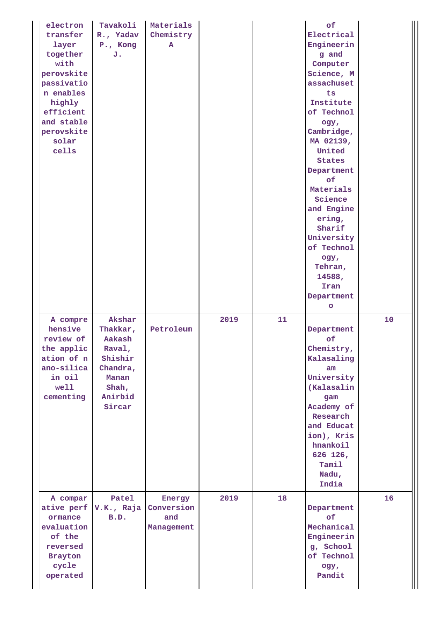| electron<br>transfer<br>layer<br>together<br>with<br>perovskite<br>passivatio<br>n enables<br>highly<br>efficient<br>and stable<br>perovskite<br>solar<br>cells | Tavakoli<br>R., Yadav<br>P., Kong<br>J.                                                              | Materials<br>Chemistry<br>${\bf A}$       |      |    | of<br>Electrical<br>Engineerin<br>g and<br>Computer<br>Science, M<br>assachuset<br>ts<br>Institute<br>of Technol<br>ogy,<br>Cambridge,<br>MA 02139,<br>United<br><b>States</b><br>Department<br>of<br>Materials<br>Science<br>and Engine<br>ering,<br>Sharif<br>University<br>of Technol<br>ogy,<br>Tehran,<br>14588,<br>Iran<br>Department<br>$\circ$ |    |
|-----------------------------------------------------------------------------------------------------------------------------------------------------------------|------------------------------------------------------------------------------------------------------|-------------------------------------------|------|----|--------------------------------------------------------------------------------------------------------------------------------------------------------------------------------------------------------------------------------------------------------------------------------------------------------------------------------------------------------|----|
| A compre<br>hensive<br>review of<br>the applic<br>ation of n<br>ano-silica<br>in oil<br>well<br>cementing                                                       | Akshar<br>Thakkar,<br>Aakash<br>Raval,<br>Shishir<br>Chandra,<br>Manan<br>Shah,<br>Anirbid<br>Sircar | Petroleum                                 | 2019 | 11 | Department<br>of<br>Chemistry,<br>Kalasaling<br>am<br>University<br>(Kalasalin<br>gam<br>Academy of<br>Research<br>and Educat<br>ion), Kris<br>hnankoil<br>626 126,<br>Tamil<br>Nadu,<br>India                                                                                                                                                         | 10 |
| A compar<br>ormance<br>evaluation<br>of the<br>reversed<br><b>Brayton</b><br>cycle<br>operated                                                                  | Patel<br>ative perf V.K., Raja<br>B.D.                                                               | Energy<br>Conversion<br>and<br>Management | 2019 | 18 | Department<br>of<br>Mechanical<br>Engineerin<br>g, School<br>of Technol<br>ogy,<br>Pandit                                                                                                                                                                                                                                                              | 16 |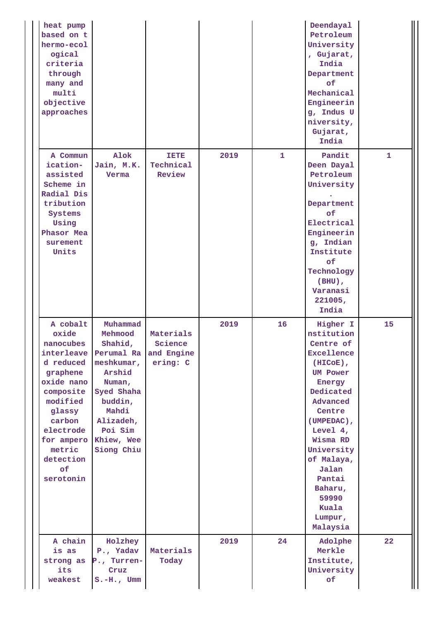| heat pump<br>based on t<br>hermo-ecol<br>ogical<br>criteria<br>through<br>many and<br>multi<br>objective<br>approaches                                                                                           |                                                                                                                                                        |                                                |      |              | Deendayal<br>Petroleum<br>University<br>, Gujarat,<br>India<br>Department<br>of<br>Mechanical<br>Engineerin<br>g, Indus U<br>niversity,<br>Gujarat,<br>India                                                                                                                       |    |
|------------------------------------------------------------------------------------------------------------------------------------------------------------------------------------------------------------------|--------------------------------------------------------------------------------------------------------------------------------------------------------|------------------------------------------------|------|--------------|------------------------------------------------------------------------------------------------------------------------------------------------------------------------------------------------------------------------------------------------------------------------------------|----|
| A Commun<br>ication-<br>assisted<br>Scheme in<br>Radial Dis<br>tribution<br>Systems<br>Using<br>Phasor Mea<br>surement<br>Units                                                                                  | Alok<br>Jain, M.K.<br>Verma                                                                                                                            | TETE<br>Technical<br>Review                    | 2019 | $\mathbf{1}$ | Pandit<br>Deen Dayal<br>Petroleum<br>University<br>Department<br>of<br>Electrical<br>Engineerin<br>g, Indian<br>Institute<br>of<br>Technology<br>$(BHU)$ ,<br>Varanasi<br>221005,<br>India                                                                                         | 1  |
| A cobalt<br>oxide<br>nanocubes<br>interleave Perumal Ra<br>d reduced<br>graphene<br>oxide nano<br>composite<br>modified<br>glassy<br>carbon<br>electrode<br>for ampero<br>metric<br>detection<br>of<br>serotonin | Muhammad<br>Mehmood<br>Shahid,<br>meshkumar,<br>Arshid<br>Numan,<br>Syed Shaha<br>buddin,<br>Mahdi<br>Alizadeh,<br>Poi Sim<br>Khiew, Wee<br>Siong Chiu | Materials<br>Science<br>and Engine<br>ering: C | 2019 | 16           | Higher I<br>nstitution<br>Centre of<br><b>Excellence</b><br>$(HICoE)$ ,<br><b>UM Power</b><br>Energy<br>Dedicated<br>Advanced<br>Centre<br>(UMPEDAC),<br>Level $4,$<br>Wisma RD<br>University<br>of Malaya,<br>Jalan<br>Pantai<br>Baharu,<br>59990<br>Kuala<br>Lumpur,<br>Malaysia | 15 |
| A chain<br>is as<br>strong as<br>its<br>weakest                                                                                                                                                                  | Holzhey<br>P., Yadav<br>P., Turren-<br>Cruz<br>$S.-H.$ , Umm                                                                                           | Materials<br>Today                             | 2019 | 24           | Adolphe<br>Merkle<br>Institute,<br>University<br><b>of</b>                                                                                                                                                                                                                         | 22 |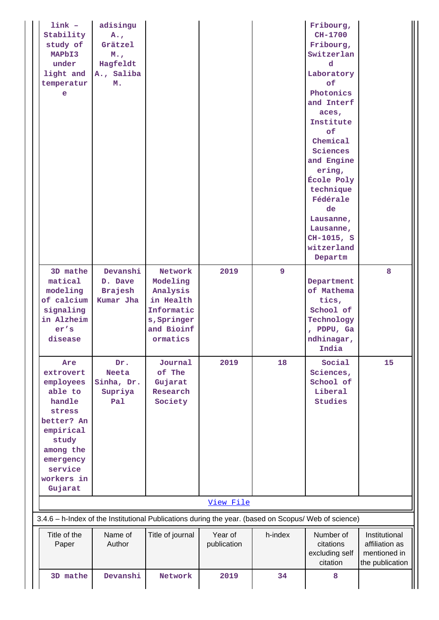| $link -$<br>Stability<br>study of<br>MAPbI3<br>under<br>light and<br>temperatur<br>$\bullet$                                                                   | adisingu<br>$A_{\bullet}$<br>Grätzel<br>$M_{\odot}$<br>Hagfeldt<br>A., Saliba<br>м. |                                                                                                      |                        |                | Fribourg,<br>CH-1700<br>Fribourg,<br>Switzerlan<br>d<br>Laboratory<br>of<br>Photonics<br>and Interf<br>aces,<br>Institute<br>of<br>Chemical<br>Sciences<br>and Engine<br>ering,<br>École Poly<br>technique<br>Fédérale<br>de<br>Lausanne,<br>Lausanne,<br>CH-1015, S<br>witzerland<br>Departm |                                                                    |
|----------------------------------------------------------------------------------------------------------------------------------------------------------------|-------------------------------------------------------------------------------------|------------------------------------------------------------------------------------------------------|------------------------|----------------|-----------------------------------------------------------------------------------------------------------------------------------------------------------------------------------------------------------------------------------------------------------------------------------------------|--------------------------------------------------------------------|
| 3D mathe<br>matical<br>modeling<br>of calcium<br>signaling<br>in Alzheim<br>er's<br>disease                                                                    | Devanshi<br>D. Dave<br><b>Brajesh</b><br>Kumar Jha                                  | Network<br>Modeling<br>Analysis<br>in Health<br>Informatic<br>s, Springer<br>and Bioinf<br>ormatics  | 2019                   | $\overline{9}$ | Department<br>of Mathema<br>tics,<br>School of<br>Technology<br>, PDPU, Ga<br>ndhinagar,<br>India                                                                                                                                                                                             | 8                                                                  |
| Are<br>extrovert<br>employees<br>able to<br>handle<br>stress<br>better? An<br>empirical<br>study<br>among the<br>emergency<br>service<br>workers in<br>Gujarat | Dr.<br><b>Neeta</b><br>Sinha, Dr.<br>Supriya<br>Pal                                 | Journal<br>of The<br>Gujarat<br>Research<br>Society                                                  | 2019                   | 18             | Social<br>Sciences,<br>School of<br>Liberal<br><b>Studies</b>                                                                                                                                                                                                                                 | 15                                                                 |
|                                                                                                                                                                |                                                                                     |                                                                                                      | View File              |                |                                                                                                                                                                                                                                                                                               |                                                                    |
|                                                                                                                                                                |                                                                                     | 3.4.6 - h-Index of the Institutional Publications during the year. (based on Scopus/ Web of science) |                        |                |                                                                                                                                                                                                                                                                                               |                                                                    |
| Title of the<br>Paper                                                                                                                                          | Name of<br>Author                                                                   | Title of journal                                                                                     | Year of<br>publication | h-index        | Number of<br>citations<br>excluding self<br>citation                                                                                                                                                                                                                                          | Institutional<br>affiliation as<br>mentioned in<br>the publication |
| 3D mathe                                                                                                                                                       | Devanshi                                                                            | Network                                                                                              | 2019                   | 34             | 8                                                                                                                                                                                                                                                                                             |                                                                    |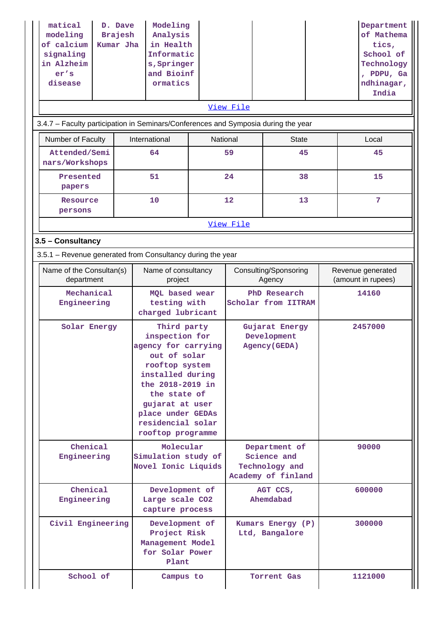| matical<br>modeling<br>of calcium<br>signaling<br>in Alzheim<br>er's<br>disease |                        | D. Dave<br><b>Brajesh</b><br>Kumar Jha | Modeling<br>Analysis<br>in Health<br>Informatic<br>s, Springer<br>and Bioinf<br>ormatics                                                                                                                                         |          |                                     |                                                                      |                                         | Department<br>of Mathema<br>tics,<br>School of<br>Technology<br>, PDPU, Ga<br>ndhinagar,<br>India |
|---------------------------------------------------------------------------------|------------------------|----------------------------------------|----------------------------------------------------------------------------------------------------------------------------------------------------------------------------------------------------------------------------------|----------|-------------------------------------|----------------------------------------------------------------------|-----------------------------------------|---------------------------------------------------------------------------------------------------|
|                                                                                 |                        |                                        |                                                                                                                                                                                                                                  |          | View File                           |                                                                      |                                         |                                                                                                   |
|                                                                                 |                        |                                        | 3.4.7 - Faculty participation in Seminars/Conferences and Symposia during the year                                                                                                                                               |          |                                     |                                                                      |                                         |                                                                                                   |
| Number of Faculty                                                               |                        |                                        | International                                                                                                                                                                                                                    | National |                                     | <b>State</b>                                                         |                                         | Local                                                                                             |
| Attended/Semi<br>nars/Workshops                                                 |                        |                                        | 64                                                                                                                                                                                                                               |          | 59                                  | 45                                                                   |                                         | 45                                                                                                |
| Presented<br>papers                                                             |                        |                                        | 51                                                                                                                                                                                                                               |          | 24                                  | 38                                                                   |                                         | 15                                                                                                |
| Resource<br>persons                                                             |                        |                                        | 10                                                                                                                                                                                                                               |          | 12                                  | 13                                                                   |                                         | $\overline{7}$                                                                                    |
|                                                                                 |                        |                                        |                                                                                                                                                                                                                                  |          | View File                           |                                                                      |                                         |                                                                                                   |
| 3.5 - Consultancy                                                               |                        |                                        |                                                                                                                                                                                                                                  |          |                                     |                                                                      |                                         |                                                                                                   |
|                                                                                 |                        |                                        | 3.5.1 - Revenue generated from Consultancy during the year                                                                                                                                                                       |          |                                     |                                                                      |                                         |                                                                                                   |
| Name of the Consultan(s)<br>department                                          |                        |                                        | Name of consultancy<br>project                                                                                                                                                                                                   |          | Consulting/Sponsoring<br>Agency     |                                                                      | Revenue generated<br>(amount in rupees) |                                                                                                   |
| Engineering                                                                     | Mechanical             |                                        | MQL based wear<br>testing with<br>charged lubricant                                                                                                                                                                              |          | PhD Research<br>Scholar from IITRAM |                                                                      |                                         | 14160                                                                                             |
|                                                                                 | Solar Energy           |                                        | Third party<br>inspection for<br>agency for carrying<br>out of solar<br>rooftop system<br>installed during<br>the 2018-2019 in<br>the state of<br>gujarat at user<br>place under GEDAs<br>residencial solar<br>rooftop programme |          |                                     | Gujarat Energy<br>Development<br>Agency (GEDA)                       |                                         | 2457000                                                                                           |
| Engineering                                                                     | Chenical               |                                        | Molecular<br>Simulation study of<br>Novel Ionic Liquids                                                                                                                                                                          |          |                                     | Department of<br>Science and<br>Technology and<br>Academy of finland |                                         | 90000                                                                                             |
| Engineering                                                                     | Chenical               |                                        | Development of<br>Large scale CO2<br>capture process                                                                                                                                                                             |          |                                     | AGT CCS,<br>Ahemdabad                                                |                                         | 600000                                                                                            |
|                                                                                 | Civil Engineering      |                                        | Development of<br>Project Risk<br>Management Model<br>for Solar Power<br>Plant                                                                                                                                                   |          |                                     | Kumars Energy (P)<br>Ltd, Bangalore                                  |                                         | 300000                                                                                            |
|                                                                                 | School of<br>Campus to |                                        |                                                                                                                                                                                                                                  |          | Torrent Gas                         |                                                                      | 1121000                                 |                                                                                                   |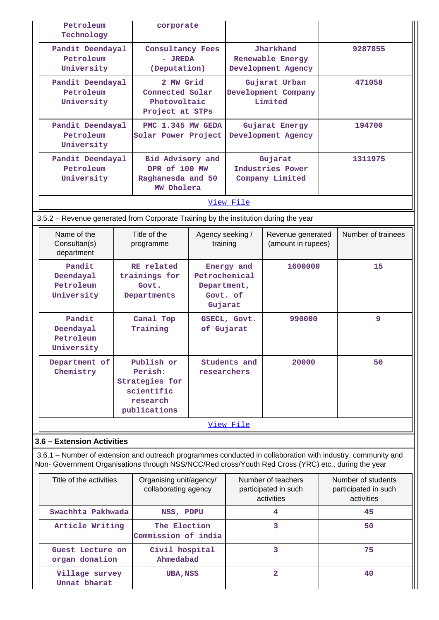| Petroleum<br>Technology                                                              | corporate                                                                                                  |             |                                                                         |                                                          |                                                                                                                                                                                                                    |
|--------------------------------------------------------------------------------------|------------------------------------------------------------------------------------------------------------|-------------|-------------------------------------------------------------------------|----------------------------------------------------------|--------------------------------------------------------------------------------------------------------------------------------------------------------------------------------------------------------------------|
| Pandit Deendayal<br>Petroleum<br>University                                          | <b>Consultancy Fees</b><br>- JREDA<br>(Deputation)                                                         |             | Jharkhand<br>Renewable Energy<br>Development Agency                     |                                                          | 9287855                                                                                                                                                                                                            |
| Pandit Deendayal<br>Petroleum<br>University                                          | 2 MW Grid<br>Connected Solar<br>Photovoltaic<br>Project at STPs                                            |             | Gujarat Urban<br>Development Company<br>Limited                         |                                                          | 471058                                                                                                                                                                                                             |
| Pandit Deendayal<br>Petroleum<br>University                                          | PMC 1.345 MW GEDA<br>Solar Power Project                                                                   |             |                                                                         | Gujarat Energy<br>Development Agency                     | 194700                                                                                                                                                                                                             |
| Pandit Deendayal<br>Petroleum<br>University                                          | Bid Advisory and<br>DPR of 100 MW<br>Raghanesda and 50<br>MW Dholera                                       |             | Gujarat<br>Industries Power<br>Company Limited                          |                                                          | 1311975                                                                                                                                                                                                            |
|                                                                                      |                                                                                                            |             | View File                                                               |                                                          |                                                                                                                                                                                                                    |
| 3.5.2 – Revenue generated from Corporate Training by the institution during the year |                                                                                                            |             |                                                                         |                                                          |                                                                                                                                                                                                                    |
| Name of the<br>Consultan(s)<br>department                                            | Title of the<br>programme                                                                                  |             | Agency seeking /<br>Revenue generated<br>(amount in rupees)<br>training |                                                          | Number of trainees                                                                                                                                                                                                 |
| Pandit<br>Deendayal<br>Petroleum<br>University                                       | RE related<br>Petrochemical<br>trainings for<br>Govt.<br>Department,<br>Govt. of<br>Departments<br>Gujarat |             | Energy and                                                              | 1600000                                                  | 15                                                                                                                                                                                                                 |
| Pandit<br>Deendayal<br>Petroleum<br>University                                       | Canal Top<br>Training                                                                                      | of Gujarat  | GSECL, Govt.                                                            | 990000                                                   | 9                                                                                                                                                                                                                  |
| Department of<br>Chemistry                                                           | Publish or<br>Perish:<br><b>Strategies for</b><br>scientific<br>research<br>publications                   | researchers | Students and                                                            | 20000                                                    | 50                                                                                                                                                                                                                 |
|                                                                                      |                                                                                                            |             | View File                                                               |                                                          |                                                                                                                                                                                                                    |
| 3.6 - Extension Activities                                                           |                                                                                                            |             |                                                                         |                                                          |                                                                                                                                                                                                                    |
|                                                                                      |                                                                                                            |             |                                                                         |                                                          | 3.6.1 – Number of extension and outreach programmes conducted in collaboration with industry, community and<br>Non- Government Organisations through NSS/NCC/Red cross/Youth Red Cross (YRC) etc., during the year |
| Title of the activities                                                              | Organising unit/agency/<br>collaborating agency                                                            |             |                                                                         | Number of teachers<br>participated in such<br>activities | Number of students<br>participated in such<br>activities                                                                                                                                                           |
| Swachhta Pakhwada                                                                    | NSS, PDPU                                                                                                  |             |                                                                         | 4                                                        | 45                                                                                                                                                                                                                 |
| Article Writing                                                                      | The Election<br>Commission of india                                                                        |             |                                                                         | 3                                                        | 50                                                                                                                                                                                                                 |
| Guest Lecture on<br>organ donation                                                   | Civil hospital<br>Ahmedabad                                                                                |             |                                                                         | 3                                                        | 75                                                                                                                                                                                                                 |
| Village survey<br>Unnat bharat                                                       | <b>UBA, NSS</b>                                                                                            |             |                                                                         | $\overline{2}$                                           | 40                                                                                                                                                                                                                 |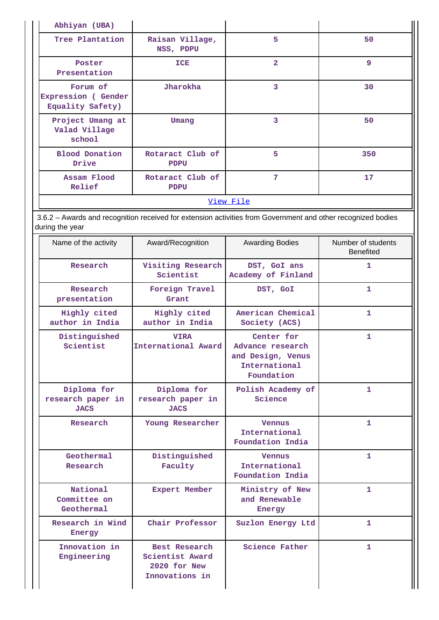| Abhiyan (UBA)                                                                                                                   |                                                 |                                                                                    |                                        |
|---------------------------------------------------------------------------------------------------------------------------------|-------------------------------------------------|------------------------------------------------------------------------------------|----------------------------------------|
| Tree Plantation                                                                                                                 | Raisan Village,<br>NSS, PDPU                    |                                                                                    | 50                                     |
| Poster<br>Presentation                                                                                                          | <b>ICE</b>                                      |                                                                                    | 9                                      |
| Forum of<br><b>Expression (Gender</b><br>Equality Safety)                                                                       | Jharokha                                        | $\overline{\mathbf{3}}$                                                            | 30                                     |
| Project Umang at<br>Valad Village<br>school                                                                                     | Umang                                           | $\overline{3}$                                                                     | 50                                     |
| <b>Blood Donation</b><br>Drive                                                                                                  | Rotaract Club of<br><b>PDPU</b>                 | 5                                                                                  | 350                                    |
| Assam Flood<br>Relief                                                                                                           | Rotaract Club of<br><b>PDPU</b>                 | $7\phantom{.0}$                                                                    | 17                                     |
|                                                                                                                                 |                                                 | View File                                                                          |                                        |
| 3.6.2 - Awards and recognition received for extension activities from Government and other recognized bodies<br>during the year |                                                 |                                                                                    |                                        |
| Name of the activity                                                                                                            | Award/Recognition                               | <b>Awarding Bodies</b>                                                             | Number of students<br><b>Benefited</b> |
| Research                                                                                                                        | Visiting Research<br>Scientist                  | DST, GoI ans<br>Academy of Finland                                                 | 1                                      |
| Research<br>presentation                                                                                                        | Foreign Travel<br>Grant                         | DST, GoI                                                                           | 1                                      |
| Highly cited<br>author in India                                                                                                 | Highly cited<br>author in India                 | American Chemical<br>Society (ACS)                                                 | 1                                      |
| Distinguished<br>Scientist                                                                                                      | <b>VIRA</b><br>International Award              | Center for<br>Advance research<br>and Design, Venus<br>International<br>Foundation | $\mathbf{1}$                           |
| Diploma for<br>research paper in<br><b>JACS</b>                                                                                 | Diploma for<br>research paper in<br><b>JACS</b> | Polish Academy of<br>Science                                                       | 1.                                     |
| Research                                                                                                                        | Young Researcher                                | <b>Vennus</b><br>International<br>Foundation India                                 | $\mathbf{1}$                           |
| Geothermal<br>Research                                                                                                          | Distinguished<br>Faculty                        | <b>Vennus</b><br>International<br>Foundation India                                 | 1.                                     |
| National<br>Committee on<br>Geothermal                                                                                          | <b>Expert Member</b>                            | Ministry of New<br>and Renewable<br>Energy                                         | 1.                                     |
| Research in Wind<br>Energy                                                                                                      | Chair Professor                                 | Suzlon Energy Ltd                                                                  | 1.                                     |
| Innovation in<br>Best Research<br>Engineering<br>Scientist Award<br>2020 for New<br>Innovations in                              |                                                 | <b>Science Father</b>                                                              | 1.                                     |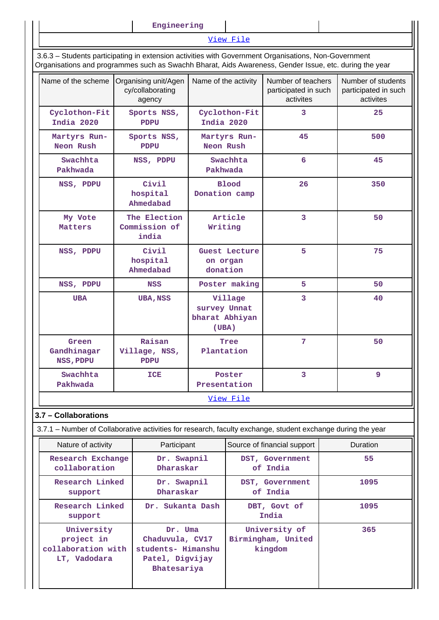| Engineering |  |  |  |  |
|-------------|--|--|--|--|
|             |  |  |  |  |
|             |  |  |  |  |

[View File](https://assessmentonline.naac.gov.in/public/Postacc/Awards_for_extension/10088_Awards_for_extension_1622445291.xlsx)

 3.6.3 – Students participating in extension activities with Government Organisations, Non-Government Organisations and programmes such as Swachh Bharat, Aids Awareness, Gender Issue, etc. during the year

| Name of the scheme                | Organising unit/Agen<br>cy/collaborating<br>agency | Name of the activity                               | Number of teachers<br>participated in such<br>activites | Number of students<br>participated in such<br>activites |
|-----------------------------------|----------------------------------------------------|----------------------------------------------------|---------------------------------------------------------|---------------------------------------------------------|
| Cyclothon-Fit<br>India 2020       | Sports NSS,<br><b>PDPU</b>                         | Cyclothon-Fit<br>India 2020                        | 3                                                       | 25                                                      |
| Martyrs Run-<br>Neon Rush         | Sports NSS,<br><b>PDPU</b>                         | Martyrs Run-<br>Neon Rush                          | 45                                                      | 500                                                     |
| Swachhta<br>Pakhwada              | NSS, PDPU                                          | Swachhta<br>Pakhwada                               | 6                                                       | 45                                                      |
| NSS, PDPU                         | Civil<br>hospital<br>Ahmedabad                     | <b>Blood</b><br>Donation camp                      | 26                                                      | 350                                                     |
| My Vote<br>Matters                | The Election<br>Commission of<br>india             | Article<br>Writing                                 | 3                                                       | 50                                                      |
| NSS, PDPU                         | Civil<br>hospital<br>Ahmedabad                     | <b>Guest Lecture</b><br>on organ<br>donation       | 5                                                       | 75                                                      |
| NSS, PDPU                         | <b>NSS</b>                                         | Poster making                                      | 5                                                       | 50                                                      |
| <b>UBA</b>                        | <b>UBA, NSS</b>                                    | Village<br>survey Unnat<br>bharat Abhiyan<br>(UBA) | 3                                                       | 40                                                      |
| Green<br>Gandhinagar<br>NSS, PDPU | Raisan<br>Village, NSS,<br><b>PDPU</b>             | Tree<br>Plantation                                 | $\overline{7}$                                          | 50                                                      |
| Swachhta<br>Pakhwada              | ICE                                                | Poster<br>Presentation                             | 3                                                       | 9                                                       |
|                                   |                                                    | View File                                          |                                                         |                                                         |

# **3.7 – Collaborations**

3.7.1 – Number of Collaborative activities for research, faculty exchange, student exchange during the year

| Nature of activity                                             | Participant                                                                        | Source of financial support                    | <b>Duration</b> |
|----------------------------------------------------------------|------------------------------------------------------------------------------------|------------------------------------------------|-----------------|
| Research Exchange<br>collaboration                             | Dr. Swapnil<br>Dharaskar                                                           | DST, Government<br>of India                    | 55              |
| Research Linked<br>support                                     | Dr. Swapnil<br>Dharaskar                                                           | DST, Government<br>of India                    | 1095            |
| Research Linked<br>support                                     | Dr. Sukanta Dash                                                                   | DBT, Govt of<br>India                          | 1095            |
| University<br>project in<br>collaboration with<br>LT, Vadodara | Dr. Uma<br>Chaduvula, CV17<br>students- Himanshu<br>Patel, Digvijay<br>Bhatesariya | University of<br>Birmingham, United<br>kingdom | 365             |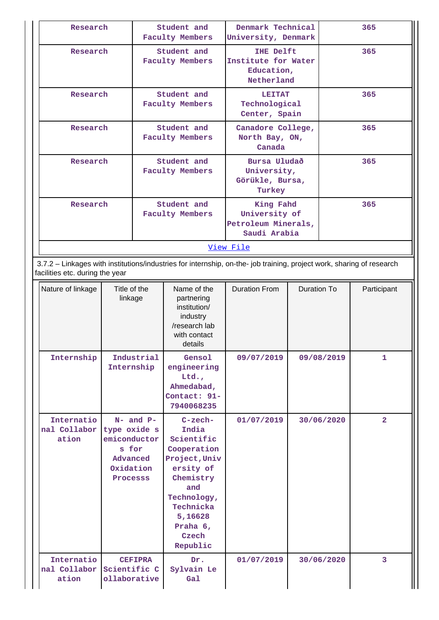| Research | Student and<br><b>Faculty Members</b> | Denmark Technical<br>University, Denmark                            | 365 |  |  |  |  |
|----------|---------------------------------------|---------------------------------------------------------------------|-----|--|--|--|--|
| Research | Student and<br><b>Faculty Members</b> | <b>IHE Delft</b><br>Institute for Water<br>Education,<br>Netherland | 365 |  |  |  |  |
| Research | Student and<br><b>Faculty Members</b> | <b>LEITAT</b><br>Technological<br>Center, Spain                     | 365 |  |  |  |  |
| Research | Student and<br><b>Faculty Members</b> | Canadore College,<br>North Bay, ON,<br>Canada                       | 365 |  |  |  |  |
| Research | Student and<br><b>Faculty Members</b> | Bursa Uludað<br>University,<br>Görükle, Bursa,<br>Turkey            | 365 |  |  |  |  |
| Research | Student and<br><b>Faculty Members</b> | King Fahd<br>University of<br>Petroleum Minerals,<br>Saudi Arabia   | 365 |  |  |  |  |
|          | View File                             |                                                                     |     |  |  |  |  |

 3.7.2 – Linkages with institutions/industries for internship, on-the- job training, project work, sharing of research facilities etc. during the year

| Nature of linkage                   | Title of the<br>linkage                                                                     | Name of the<br>partnering<br>institution/<br>industry<br>/research lab<br>with contact<br>details                                                                          | <b>Duration From</b> | <b>Duration To</b> | Participant    |
|-------------------------------------|---------------------------------------------------------------------------------------------|----------------------------------------------------------------------------------------------------------------------------------------------------------------------------|----------------------|--------------------|----------------|
| Internship                          | Industrial<br>Internship                                                                    | Gensol<br>engineering<br>Ltd.<br>Ahmedabad,<br>Contact: 91-<br>7940068235                                                                                                  | 09/07/2019           | 09/08/2019         | $\mathbf{1}$   |
| Internatio<br>nal Collabor<br>ation | $N-$ and $P-$<br>type oxide s<br>emiconductor<br>s for<br>Advanced<br>Oxidation<br>Processs | $C$ -zech-<br>India<br>Scientific<br>Cooperation<br>Project, Univ<br>ersity of<br>Chemistry<br>and<br>Technology,<br>Technicka<br>5,16628<br>Praha 6,<br>Czech<br>Republic | 01/07/2019           | 30/06/2020         | $\overline{2}$ |
| Internatio<br>nal Collabor<br>ation | <b>CEFIPRA</b><br>Scientific C<br>ollaborative                                              | Dr.<br>Sylvain Le<br>Gal                                                                                                                                                   | 01/07/2019           | 30/06/2020         | 3              |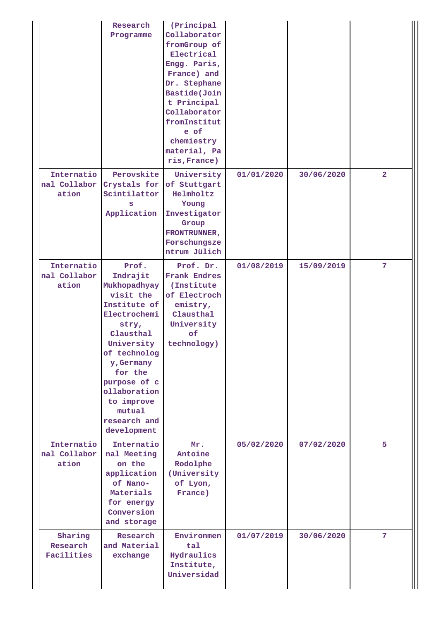|                                     | Research<br>Programme                                                                                                                                                                                                                              | (Principal<br>Collaborator<br>fromGroup of<br>Electrical<br>Engg. Paris,<br>France) and<br>Dr. Stephane<br>Bastide(Join<br>t Principal<br>Collaborator<br>fromInstitut<br>e of<br>chemiestry<br>material, Pa<br>ris, France) |            |            |                |
|-------------------------------------|----------------------------------------------------------------------------------------------------------------------------------------------------------------------------------------------------------------------------------------------------|------------------------------------------------------------------------------------------------------------------------------------------------------------------------------------------------------------------------------|------------|------------|----------------|
| Internatio<br>nal Collabor<br>ation | Perovskite<br>Crystals for<br>Scintilattor<br>s<br>Application                                                                                                                                                                                     | University<br>of Stuttgart<br>Helmholtz<br>Young<br>Investigator<br>Group<br>FRONTRUNNER,<br>Forschungsze<br>ntrum Jülich                                                                                                    | 01/01/2020 | 30/06/2020 | $\overline{a}$ |
| Internatio<br>nal Collabor<br>ation | Prof.<br>Indrajit<br>Mukhopadhyay<br>visit the<br>Institute of<br>Electrochemi<br>stry,<br>Clausthal<br>University<br>of technolog<br>y, Germany<br>for the<br>purpose of c<br>ollaboration<br>to improve<br>mutual<br>research and<br>development | Prof. Dr.<br><b>Frank Endres</b><br>(Institute<br>of Electroch<br>emistry,<br>Clausthal<br>University<br>of<br>technology)                                                                                                   | 01/08/2019 | 15/09/2019 | 7              |
| Internatio<br>nal Collabor<br>ation | Internatio<br>nal Meeting<br>on the<br>application<br>of Nano-<br>Materials<br>for energy<br>Conversion<br>and storage                                                                                                                             | Mr.<br>Antoine<br>Rodolphe<br>(University<br>of Lyon,<br>France)                                                                                                                                                             | 05/02/2020 | 07/02/2020 | 5              |
| Sharing<br>Research<br>Facilities   | Research<br>and Material<br>exchange                                                                                                                                                                                                               | Environmen<br>tal<br>Hydraulics<br>Institute,<br>Universidad                                                                                                                                                                 | 01/07/2019 | 30/06/2020 | 7              |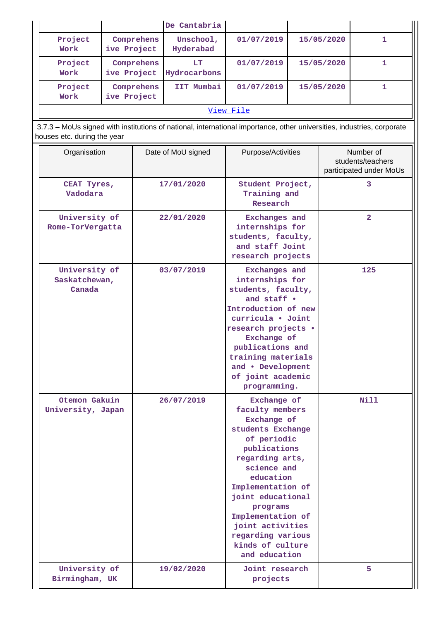|                                                                                                                                                       |             |            | De Cantabria           |                                                                                                                                                                                                                                                                                                         |                                             |                |                                                           |
|-------------------------------------------------------------------------------------------------------------------------------------------------------|-------------|------------|------------------------|---------------------------------------------------------------------------------------------------------------------------------------------------------------------------------------------------------------------------------------------------------------------------------------------------------|---------------------------------------------|----------------|-----------------------------------------------------------|
| Project<br>Work                                                                                                                                       | ive Project | Comprehens | Unschool,<br>Hyderabad | 01/07/2019                                                                                                                                                                                                                                                                                              |                                             | 15/05/2020     | 1                                                         |
| Project<br>Work                                                                                                                                       | ive Project | Comprehens | LT<br>Hydrocarbons     | 01/07/2019                                                                                                                                                                                                                                                                                              |                                             | 15/05/2020     | 1                                                         |
| Project<br>Work                                                                                                                                       | ive Project | Comprehens | IIT Mumbai             | 01/07/2019                                                                                                                                                                                                                                                                                              | 15/05/2020                                  |                | 1                                                         |
|                                                                                                                                                       |             |            |                        | View File                                                                                                                                                                                                                                                                                               |                                             |                |                                                           |
| 3.7.3 - MoUs signed with institutions of national, international importance, other universities, industries, corporate<br>houses etc. during the year |             |            |                        |                                                                                                                                                                                                                                                                                                         |                                             |                |                                                           |
| Organisation                                                                                                                                          |             |            | Date of MoU signed     | Purpose/Activities                                                                                                                                                                                                                                                                                      |                                             |                | Number of<br>students/teachers<br>participated under MoUs |
| CEAT Tyres,<br>Vadodara                                                                                                                               |             |            | 17/01/2020             | Student Project,<br>Training and<br>Research                                                                                                                                                                                                                                                            |                                             |                | 3                                                         |
| University of<br>Rome-TorVergatta                                                                                                                     |             | 22/01/2020 |                        | <b>Exchanges</b> and<br>internships for<br>students, faculty,<br>and staff Joint<br>research projects                                                                                                                                                                                                   |                                             | $\overline{2}$ |                                                           |
| University of<br>Saskatchewan,<br>Canada                                                                                                              |             |            | 03/07/2019             | <b>Exchanges</b> and<br>internships for<br>students, faculty,<br>and staff .<br>Introduction of new<br>curricula · Joint<br>research projects .<br>Exchange of<br>publications and<br>training materials<br>and • Development<br>of joint academic<br>programming.                                      |                                             |                | 125                                                       |
| Otemon Gakuin<br>University, Japan                                                                                                                    |             | 26/07/2019 |                        | <b>Nill</b><br>Exchange of<br>faculty members<br>Exchange of<br>students Exchange<br>of periodic<br>publications<br>regarding arts,<br>science and<br>education<br>Implementation of<br>joint educational<br>programs<br>Implementation of<br>joint activities<br>regarding various<br>kinds of culture |                                             |                |                                                           |
| University of<br>Birmingham, UK                                                                                                                       |             |            | 19/02/2020             |                                                                                                                                                                                                                                                                                                         | and education<br>Joint research<br>projects |                | 5                                                         |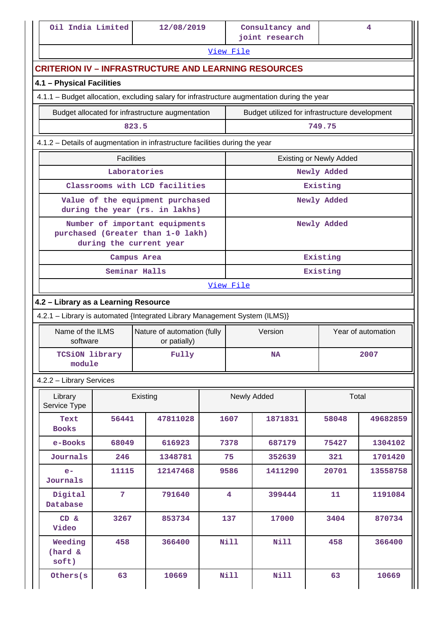|  |  | Oil India Limited |
|--|--|-------------------|
|--|--|-------------------|

II

|                                                             |                   |          |                                                                                                |  |                               | joint research                                 |                                |          |  |
|-------------------------------------------------------------|-------------------|----------|------------------------------------------------------------------------------------------------|--|-------------------------------|------------------------------------------------|--------------------------------|----------|--|
|                                                             |                   |          |                                                                                                |  | View File                     |                                                |                                |          |  |
| <b>CRITERION IV - INFRASTRUCTURE AND LEARNING RESOURCES</b> |                   |          |                                                                                                |  |                               |                                                |                                |          |  |
| 4.1 - Physical Facilities                                   |                   |          |                                                                                                |  |                               |                                                |                                |          |  |
|                                                             |                   |          | 4.1.1 – Budget allocation, excluding salary for infrastructure augmentation during the year    |  |                               |                                                |                                |          |  |
|                                                             |                   |          | Budget allocated for infrastructure augmentation                                               |  |                               | Budget utilized for infrastructure development |                                |          |  |
|                                                             |                   | 823.5    |                                                                                                |  |                               |                                                | 749.75                         |          |  |
|                                                             |                   |          | 4.1.2 - Details of augmentation in infrastructure facilities during the year                   |  |                               |                                                |                                |          |  |
|                                                             | <b>Facilities</b> |          |                                                                                                |  |                               |                                                | <b>Existing or Newly Added</b> |          |  |
|                                                             | Laboratories      |          |                                                                                                |  |                               |                                                | Newly Added                    |          |  |
|                                                             |                   |          | Classrooms with LCD facilities                                                                 |  |                               |                                                | Existing                       |          |  |
|                                                             |                   |          | Value of the equipment purchased<br>during the year (rs. in lakhs)                             |  |                               |                                                | Newly Added                    |          |  |
|                                                             |                   |          | Number of important equipments<br>purchased (Greater than 1-0 lakh)<br>during the current year |  |                               |                                                | Newly Added                    |          |  |
|                                                             | Campus Area       |          |                                                                                                |  |                               |                                                | Existing                       |          |  |
|                                                             | Seminar Halls     |          |                                                                                                |  |                               |                                                | Existing                       |          |  |
| View File                                                   |                   |          |                                                                                                |  |                               |                                                |                                |          |  |
| 4.2 - Library as a Learning Resource                        |                   |          |                                                                                                |  |                               |                                                |                                |          |  |
|                                                             |                   |          | 4.2.1 - Library is automated {Integrated Library Management System (ILMS)}                     |  |                               |                                                |                                |          |  |
| Name of the ILMS<br>software                                |                   |          | Nature of automation (fully<br>or patially)                                                    |  | Version<br>Year of automation |                                                |                                |          |  |
| <b>TCSiON library</b><br>module                             |                   |          | Fully                                                                                          |  |                               | <b>NA</b>                                      |                                | 2007     |  |
| 4.2.2 - Library Services                                    |                   |          |                                                                                                |  |                               |                                                |                                |          |  |
| Library<br>Service Type                                     |                   | Existing |                                                                                                |  | Newly Added                   |                                                | Total                          |          |  |
| Text<br><b>Books</b>                                        | 56441             |          | 47811028                                                                                       |  | 1607                          | 1871831                                        | 58048                          | 49682859 |  |
| e-Books                                                     | 68049             |          | 616923                                                                                         |  | 7378                          | 687179                                         | 75427                          | 1304102  |  |
| Journals                                                    | 246               |          | 1348781                                                                                        |  | 75                            | 352639                                         | 321                            | 1701420  |  |
| $e-$<br>Journals                                            | 11115             |          | 12147468                                                                                       |  | 9586                          | 1411290                                        | 20701                          | 13558758 |  |
| Digital<br>Database                                         | $\overline{7}$    |          | 791640                                                                                         |  | $\overline{\mathbf{4}}$       | 399444                                         | 11                             | 1191084  |  |
| CD &<br>Video                                               | 3267              |          | 853734                                                                                         |  | 137                           | 17000                                          | 3404                           | 870734   |  |
| Weeding<br>(hard &<br>soft)                                 | 458               |          | 366400                                                                                         |  | <b>Nill</b>                   | <b>Nill</b>                                    | 458                            | 366400   |  |
| Others (s                                                   | 63                |          | 10669                                                                                          |  | <b>Nill</b>                   | <b>Nill</b>                                    | 63                             | 10669    |  |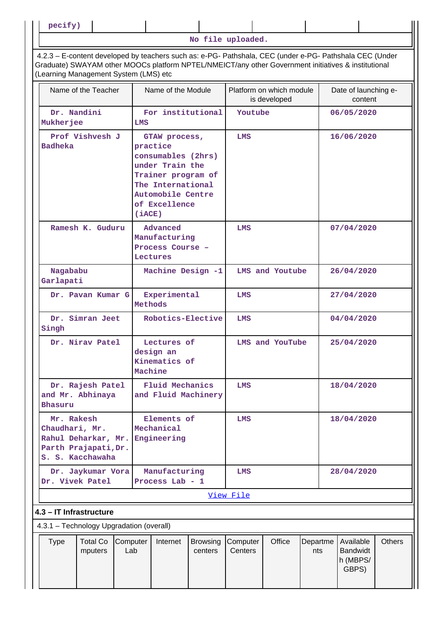**pecify)**

**No file uploaded.**

 4.2.3 – E-content developed by teachers such as: e-PG- Pathshala, CEC (under e-PG- Pathshala CEC (Under Graduate) SWAYAM other MOOCs platform NPTEL/NMEICT/any other Government initiatives & institutional (Learning Management System (LMS) etc

|                                          | Name of the Teacher                                                                                         |                         | Name of the Module                                                                                                                                  |                            | Platform on which module<br>is developed |                 |                 | Date of launching e-<br>content                   |               |
|------------------------------------------|-------------------------------------------------------------------------------------------------------------|-------------------------|-----------------------------------------------------------------------------------------------------------------------------------------------------|----------------------------|------------------------------------------|-----------------|-----------------|---------------------------------------------------|---------------|
| Dr. Nandini<br>Mukherjee                 |                                                                                                             | LMS                     | For institutional                                                                                                                                   |                            | Youtube                                  |                 |                 | 06/05/2020                                        |               |
| <b>Badheka</b>                           | Prof Vishvesh J                                                                                             | (iACE)                  | GTAW process,<br>practice<br>consumables (2hrs)<br>under Train the<br>Trainer program of<br>The International<br>Automobile Centre<br>of Excellence |                            | <b>LMS</b>                               |                 |                 | 16/06/2020                                        |               |
|                                          | Ramesh K. Guduru                                                                                            |                         | Advanced<br>Manufacturing<br>Process Course -<br>Lectures                                                                                           |                            | LMS                                      |                 |                 | 07/04/2020                                        |               |
|                                          | Nagababu<br>Machine Design -1<br>Garlapati                                                                  |                         |                                                                                                                                                     |                            | LMS and Youtube                          |                 | 26/04/2020      |                                                   |               |
|                                          | Dr. Pavan Kumar G                                                                                           | Experimental<br>Methods |                                                                                                                                                     |                            | LMS                                      |                 |                 | 27/04/2020                                        |               |
| Singh                                    | Dr. Simran Jeet                                                                                             | Robotics-Elective       |                                                                                                                                                     |                            | LMS                                      |                 |                 | 04/04/2020                                        |               |
|                                          | Dr. Nirav Patel                                                                                             |                         | Lectures of<br>design an<br>Kinematics of<br>Machine                                                                                                |                            |                                          | LMS and YouTube |                 | 25/04/2020                                        |               |
| Bhasuru                                  | Dr. Rajesh Patel<br>and Mr. Abhinaya                                                                        |                         | <b>Fluid Mechanics</b><br>and Fluid Machinery                                                                                                       |                            | LMS                                      |                 |                 | 18/04/2020                                        |               |
| Mr. Rakesh<br>Chaudhari, Mr.             | Elements of<br>Mechanical<br>Engineering<br>Rahul Deharkar, Mr.<br>Parth Prajapati, Dr.<br>S. S. Kacchawaha |                         |                                                                                                                                                     | LMS                        |                                          |                 | 18/04/2020      |                                                   |               |
|                                          | Manufacturing<br>Dr. Jaykumar Vora<br>Dr. Vivek Patel<br>Process Lab - 1                                    |                         |                                                                                                                                                     |                            | LMS                                      |                 |                 | 28/04/2020                                        |               |
|                                          |                                                                                                             |                         |                                                                                                                                                     |                            | View File                                |                 |                 |                                                   |               |
| 4.3 - IT Infrastructure                  |                                                                                                             |                         |                                                                                                                                                     |                            |                                          |                 |                 |                                                   |               |
| 4.3.1 - Technology Upgradation (overall) |                                                                                                             |                         |                                                                                                                                                     |                            |                                          |                 |                 |                                                   |               |
| <b>Type</b>                              | <b>Total Co</b><br>mputers                                                                                  | Computer<br>Lab         | Internet                                                                                                                                            | <b>Browsing</b><br>centers | Computer<br>Centers                      | Office          | Departme<br>nts | Available<br><b>Bandwidt</b><br>h (MBPS/<br>GBPS) | <b>Others</b> |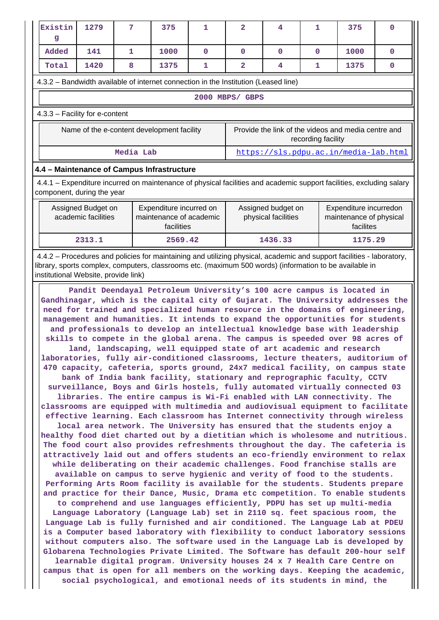| Existin<br>g                                                                                                                                                                                                                                                             | 1279                                       | 7            | 375                                                              | 1           | $\overline{a}$  | 4                                         | 1                  | 375                                                                                                                                                                                                                                                                                                                                                                                                                                                                                                                                                                                                                                                                                                                                                                                                                                                                                                                                                                                                                                                                                                                                                                                                                                                                                                                                                                                                                                                                                                                                                                                                                                                                                                                                                                                                                                                                                                                                                                                                                                                                                                                                                                                                                                                                                                                                                                                                                                                                                                                                                          | 0           |
|--------------------------------------------------------------------------------------------------------------------------------------------------------------------------------------------------------------------------------------------------------------------------|--------------------------------------------|--------------|------------------------------------------------------------------|-------------|-----------------|-------------------------------------------|--------------------|--------------------------------------------------------------------------------------------------------------------------------------------------------------------------------------------------------------------------------------------------------------------------------------------------------------------------------------------------------------------------------------------------------------------------------------------------------------------------------------------------------------------------------------------------------------------------------------------------------------------------------------------------------------------------------------------------------------------------------------------------------------------------------------------------------------------------------------------------------------------------------------------------------------------------------------------------------------------------------------------------------------------------------------------------------------------------------------------------------------------------------------------------------------------------------------------------------------------------------------------------------------------------------------------------------------------------------------------------------------------------------------------------------------------------------------------------------------------------------------------------------------------------------------------------------------------------------------------------------------------------------------------------------------------------------------------------------------------------------------------------------------------------------------------------------------------------------------------------------------------------------------------------------------------------------------------------------------------------------------------------------------------------------------------------------------------------------------------------------------------------------------------------------------------------------------------------------------------------------------------------------------------------------------------------------------------------------------------------------------------------------------------------------------------------------------------------------------------------------------------------------------------------------------------------------------|-------------|
| Added                                                                                                                                                                                                                                                                    | 141                                        | $\mathbf{1}$ | 1000                                                             | $\mathbf 0$ | $\mathbf 0$     | $\mathbf{0}$                              | $\mathbf 0$        | 1000                                                                                                                                                                                                                                                                                                                                                                                                                                                                                                                                                                                                                                                                                                                                                                                                                                                                                                                                                                                                                                                                                                                                                                                                                                                                                                                                                                                                                                                                                                                                                                                                                                                                                                                                                                                                                                                                                                                                                                                                                                                                                                                                                                                                                                                                                                                                                                                                                                                                                                                                                         | $\mathbf 0$ |
| Total                                                                                                                                                                                                                                                                    | 1420                                       | 8            | 1375                                                             | 1           | $\overline{a}$  | 4                                         | 1                  | 1375                                                                                                                                                                                                                                                                                                                                                                                                                                                                                                                                                                                                                                                                                                                                                                                                                                                                                                                                                                                                                                                                                                                                                                                                                                                                                                                                                                                                                                                                                                                                                                                                                                                                                                                                                                                                                                                                                                                                                                                                                                                                                                                                                                                                                                                                                                                                                                                                                                                                                                                                                         | 0           |
| 4.3.2 – Bandwidth available of internet connection in the Institution (Leased line)                                                                                                                                                                                      |                                            |              |                                                                  |             |                 |                                           |                    |                                                                                                                                                                                                                                                                                                                                                                                                                                                                                                                                                                                                                                                                                                                                                                                                                                                                                                                                                                                                                                                                                                                                                                                                                                                                                                                                                                                                                                                                                                                                                                                                                                                                                                                                                                                                                                                                                                                                                                                                                                                                                                                                                                                                                                                                                                                                                                                                                                                                                                                                                              |             |
|                                                                                                                                                                                                                                                                          |                                            |              |                                                                  |             | 2000 MBPS/ GBPS |                                           |                    |                                                                                                                                                                                                                                                                                                                                                                                                                                                                                                                                                                                                                                                                                                                                                                                                                                                                                                                                                                                                                                                                                                                                                                                                                                                                                                                                                                                                                                                                                                                                                                                                                                                                                                                                                                                                                                                                                                                                                                                                                                                                                                                                                                                                                                                                                                                                                                                                                                                                                                                                                              |             |
| 4.3.3 - Facility for e-content                                                                                                                                                                                                                                           |                                            |              |                                                                  |             |                 |                                           |                    |                                                                                                                                                                                                                                                                                                                                                                                                                                                                                                                                                                                                                                                                                                                                                                                                                                                                                                                                                                                                                                                                                                                                                                                                                                                                                                                                                                                                                                                                                                                                                                                                                                                                                                                                                                                                                                                                                                                                                                                                                                                                                                                                                                                                                                                                                                                                                                                                                                                                                                                                                              |             |
|                                                                                                                                                                                                                                                                          | Name of the e-content development facility |              |                                                                  |             |                 |                                           | recording facility | Provide the link of the videos and media centre and                                                                                                                                                                                                                                                                                                                                                                                                                                                                                                                                                                                                                                                                                                                                                                                                                                                                                                                                                                                                                                                                                                                                                                                                                                                                                                                                                                                                                                                                                                                                                                                                                                                                                                                                                                                                                                                                                                                                                                                                                                                                                                                                                                                                                                                                                                                                                                                                                                                                                                          |             |
|                                                                                                                                                                                                                                                                          |                                            | Media Lab    |                                                                  |             |                 |                                           |                    | https://sls.pdpu.ac.in/media-lab.html                                                                                                                                                                                                                                                                                                                                                                                                                                                                                                                                                                                                                                                                                                                                                                                                                                                                                                                                                                                                                                                                                                                                                                                                                                                                                                                                                                                                                                                                                                                                                                                                                                                                                                                                                                                                                                                                                                                                                                                                                                                                                                                                                                                                                                                                                                                                                                                                                                                                                                                        |             |
| 4.4 - Maintenance of Campus Infrastructure                                                                                                                                                                                                                               |                                            |              |                                                                  |             |                 |                                           |                    |                                                                                                                                                                                                                                                                                                                                                                                                                                                                                                                                                                                                                                                                                                                                                                                                                                                                                                                                                                                                                                                                                                                                                                                                                                                                                                                                                                                                                                                                                                                                                                                                                                                                                                                                                                                                                                                                                                                                                                                                                                                                                                                                                                                                                                                                                                                                                                                                                                                                                                                                                              |             |
| 4.4.1 – Expenditure incurred on maintenance of physical facilities and academic support facilities, excluding salary<br>component, during the year                                                                                                                       |                                            |              |                                                                  |             |                 |                                           |                    |                                                                                                                                                                                                                                                                                                                                                                                                                                                                                                                                                                                                                                                                                                                                                                                                                                                                                                                                                                                                                                                                                                                                                                                                                                                                                                                                                                                                                                                                                                                                                                                                                                                                                                                                                                                                                                                                                                                                                                                                                                                                                                                                                                                                                                                                                                                                                                                                                                                                                                                                                              |             |
|                                                                                                                                                                                                                                                                          | Assigned Budget on<br>academic facilities  |              | Expenditure incurred on<br>maintenance of academic<br>facilities |             |                 | Assigned budget on<br>physical facilities |                    | Expenditure incurredon<br>maintenance of physical<br>facilites                                                                                                                                                                                                                                                                                                                                                                                                                                                                                                                                                                                                                                                                                                                                                                                                                                                                                                                                                                                                                                                                                                                                                                                                                                                                                                                                                                                                                                                                                                                                                                                                                                                                                                                                                                                                                                                                                                                                                                                                                                                                                                                                                                                                                                                                                                                                                                                                                                                                                               |             |
|                                                                                                                                                                                                                                                                          | 2313.1                                     |              | 2569.42                                                          |             |                 | 1436.33                                   |                    | 1175.29                                                                                                                                                                                                                                                                                                                                                                                                                                                                                                                                                                                                                                                                                                                                                                                                                                                                                                                                                                                                                                                                                                                                                                                                                                                                                                                                                                                                                                                                                                                                                                                                                                                                                                                                                                                                                                                                                                                                                                                                                                                                                                                                                                                                                                                                                                                                                                                                                                                                                                                                                      |             |
| 4.4.2 – Procedures and policies for maintaining and utilizing physical, academic and support facilities - laboratory,<br>library, sports complex, computers, classrooms etc. (maximum 500 words) (information to be available in<br>institutional Website, provide link) |                                            |              |                                                                  |             |                 |                                           |                    |                                                                                                                                                                                                                                                                                                                                                                                                                                                                                                                                                                                                                                                                                                                                                                                                                                                                                                                                                                                                                                                                                                                                                                                                                                                                                                                                                                                                                                                                                                                                                                                                                                                                                                                                                                                                                                                                                                                                                                                                                                                                                                                                                                                                                                                                                                                                                                                                                                                                                                                                                              |             |
|                                                                                                                                                                                                                                                                          |                                            |              |                                                                  |             |                 |                                           |                    | Pandit Deendayal Petroleum University's 100 acre campus is located in<br>Gandhinagar, which is the capital city of Gujarat. The University addresses the<br>need for trained and specialized human resource in the domains of engineering,<br>management and humanities. It intends to expand the opportunities for students<br>and professionals to develop an intellectual knowledge base with leadership<br>skills to compete in the global arena. The campus is speeded over 98 acres of<br>land, landscaping, well equipped state of art academic and research<br>laboratories, fully air-conditioned classrooms, lecture theaters, auditorium of<br>470 capacity, cafeteria, sports ground, 24x7 medical facility, on campus state<br>bank of India bank facility, stationary and reprographic faculty, CCTV<br>surveillance, Boys and Girls hostels, fully automated virtually connected 03<br>libraries. The entire campus is Wi-Fi enabled with LAN connectivity. The<br>classrooms are equipped with multimedia and audiovisual equipment to facilitate<br>effective learning. Each classroom has Internet connectivity through wireless<br>local area network. The University has ensured that the students enjoy a<br>healthy food diet charted out by a dietitian which is wholesome and nutritious.<br>The food court also provides refreshments throughout the day. The cafeteria is<br>attractively laid out and offers students an eco-friendly environment to relax<br>while deliberating on their academic challenges. Food franchise stalls are<br>available on campus to serve hygienic and verity of food to the students.<br>Performing Arts Room facility is available for the students. Students prepare<br>and practice for their Dance, Music, Drama etc competition. To enable students<br>to comprehend and use languages efficiently, PDPU has set up multi-media<br>Language Laboratory (Language Lab) set in 2110 sq. feet spacious room, the<br>Language Lab is fully furnished and air conditioned. The Language Lab at PDEU<br>is a Computer based laboratory with flexibility to conduct laboratory sessions<br>without computers also. The software used in the Language Lab is developed by<br>Globarena Technologies Private Limited. The Software has default 200-hour self<br>learnable digital program. University houses 24 x 7 Health Care Centre on<br>campus that is open for all members on the working days. Keeping the academic,<br>social psychological, and emotional needs of its students in mind, the |             |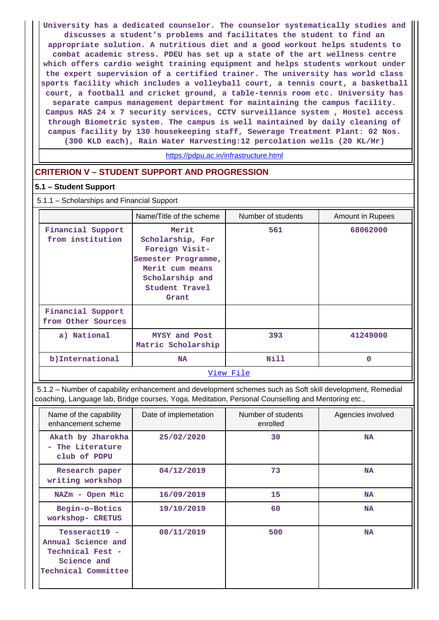**University has a dedicated counselor. The counselor systematically studies and discusses a student's problems and facilitates the student to find an appropriate solution. A nutritious diet and a good workout helps students to combat academic stress. PDEU has set up a state of the art wellness centre which offers cardio weight training equipment and helps students workout under the expert supervision of a certified trainer. The university has world class sports facility which includes a volleyball court, a tennis court, a basketball court, a football and cricket ground, a table-tennis room etc. University has separate campus management department for maintaining the campus facility. Campus HAS 24 x 7 security services, CCTV surveillance system , Hostel access through Biometric system. The campus is well maintained by daily cleaning of campus facility by 130 housekeeping staff, Sewerage Treatment Plant: 02 Nos. (300 KLD each), Rain Water Harvesting:12 percolation wells (20 KL/Hr)**

#### <https://pdpu.ac.in/infrastructure.html>

## **CRITERION V – STUDENT SUPPORT AND PROGRESSION**

### **5.1 – Student Support**

### 5.1.1 – Scholarships and Financial Support

|                                         | Name/Title of the scheme                                                                                                            | Number of students | Amount in Rupees |
|-----------------------------------------|-------------------------------------------------------------------------------------------------------------------------------------|--------------------|------------------|
| Financial Support<br>from institution   | Merit<br>Scholarship, For<br>Foreign Visit-<br>Semester Programme,<br>Merit cum means<br>Scholarship and<br>Student Travel<br>Grant | 561                | 68062000         |
| Financial Support<br>from Other Sources |                                                                                                                                     |                    |                  |
| a) National                             | MYSY and Post<br>Matric Scholarship                                                                                                 | 393                | 41249000         |
| b) International                        | <b>NA</b>                                                                                                                           | Nill               | 0                |
|                                         |                                                                                                                                     | View File          |                  |

 5.1.2 – Number of capability enhancement and development schemes such as Soft skill development, Remedial coaching, Language lab, Bridge courses, Yoga, Meditation, Personal Counselling and Mentoring etc.,

| Name of the capability<br>enhancement scheme                                                  | Date of implemetation | Number of students<br>enrolled | Agencies involved |
|-----------------------------------------------------------------------------------------------|-----------------------|--------------------------------|-------------------|
| Akath by Jharokha<br>- The Literature<br>club of PDPU                                         | 25/02/2020            | 30                             | <b>NA</b>         |
| Research paper<br>writing workshop                                                            | 04/12/2019            | 73                             | <b>NA</b>         |
| NAZm - Open Mic                                                                               | 16/09/2019            | 15                             | <b>NA</b>         |
| Begin-o-Botics<br>workshop- CRETUS                                                            | 19/10/2019            | 60                             | <b>NA</b>         |
| Tesseract19 -<br>Annual Science and<br>Technical Fest -<br>Science and<br>Technical Committee | 08/11/2019            | 500                            | <b>NA</b>         |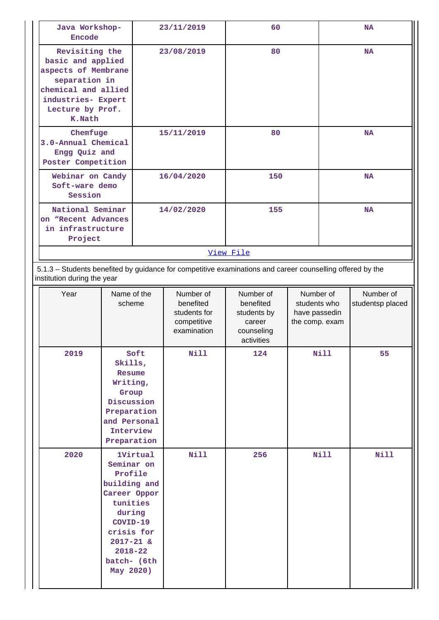| <b>Encode</b>                                                                                                                                                 | Java Workshop-                                                                                                                                                    |                 | 23/11/2019                                                           | 60                                                                          |                                                 |             | <b>NA</b>                     |  |
|---------------------------------------------------------------------------------------------------------------------------------------------------------------|-------------------------------------------------------------------------------------------------------------------------------------------------------------------|-----------------|----------------------------------------------------------------------|-----------------------------------------------------------------------------|-------------------------------------------------|-------------|-------------------------------|--|
| Revisiting the<br>basic and applied<br>aspects of Membrane<br>separation in<br>chemical and allied<br>industries- Expert<br>Lecture by Prof.<br><b>K.Nath</b> |                                                                                                                                                                   |                 | 80<br>23/08/2019                                                     |                                                                             | <b>NA</b>                                       |             |                               |  |
| Chemfuge<br>3.0-Annual Chemical<br>Engg Quiz and<br>Poster Competition                                                                                        |                                                                                                                                                                   | 15/11/2019      |                                                                      | 80                                                                          |                                                 | <b>NA</b>   |                               |  |
| Webinar on Candy<br>Soft-ware demo<br>Session                                                                                                                 |                                                                                                                                                                   |                 | 16/04/2020                                                           | 150                                                                         |                                                 |             | <b>NA</b>                     |  |
| National Seminar<br>on "Recent Advances<br>in infrastructure<br>Project                                                                                       |                                                                                                                                                                   |                 | 14/02/2020                                                           | 155                                                                         |                                                 |             | <b>NA</b>                     |  |
|                                                                                                                                                               |                                                                                                                                                                   |                 |                                                                      | View File                                                                   |                                                 |             |                               |  |
| 5.1.3 - Students benefited by guidance for competitive examinations and career counselling offered by the<br>institution during the year                      |                                                                                                                                                                   |                 |                                                                      |                                                                             |                                                 |             |                               |  |
| Year                                                                                                                                                          | Name of the<br>scheme                                                                                                                                             |                 | Number of<br>benefited<br>students for<br>competitive<br>examination | Number of<br>benefited<br>students by<br>career<br>counseling<br>activities | students who<br>have passedin<br>the comp. exam | Number of   | Number of<br>studentsp placed |  |
| 2019                                                                                                                                                          | Skills,<br>Resume<br>Writing,<br>Group<br>Discussion<br>Preparation<br>and Personal<br>Interview<br>Preparation                                                   | Soft            | <b>Nill</b>                                                          | 124                                                                         |                                                 | <b>Nill</b> | 55                            |  |
| 2020                                                                                                                                                          | Seminar on<br>Profile<br>building and<br>Career Oppor<br>tunities<br>during<br>COVID-19<br>crisis for<br>$2017 - 21$ &<br>$2018 - 22$<br>batch- (6th<br>May 2020) | <b>1Virtual</b> | <b>Nill</b>                                                          | 256                                                                         |                                                 | <b>Nill</b> | Nill                          |  |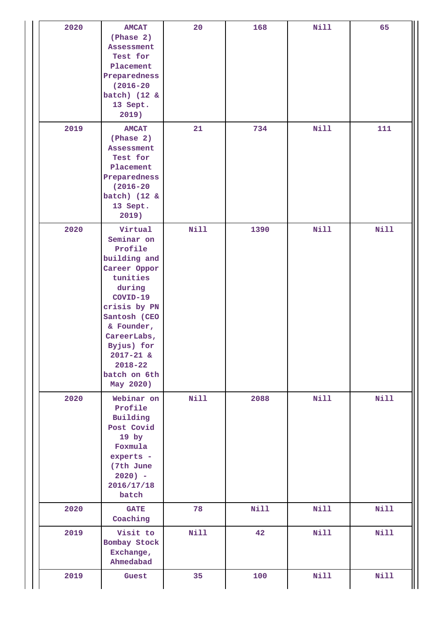| 2020 | <b>AMCAT</b><br>(Phase 2)<br><b>Assessment</b><br>Test for<br>Placement<br>Preparedness<br>$(2016 - 20)$<br>batch) (12 &<br>13 Sept.<br>2019)                                                                                              | 20          | 168         | Nill        | 65          |
|------|--------------------------------------------------------------------------------------------------------------------------------------------------------------------------------------------------------------------------------------------|-------------|-------------|-------------|-------------|
| 2019 | <b>AMCAT</b><br>(Phase 2)<br><b>Assessment</b><br>Test for<br>Placement<br>Preparedness<br>$(2016 - 20)$<br>batch) (12 &<br>13 Sept.<br>2019)                                                                                              | 21          | 734         | <b>Nill</b> | 111         |
| 2020 | Virtual<br>Seminar on<br>Profile<br>building and<br>Career Oppor<br>tunities<br>during<br>COVID-19<br>crisis by PN<br>Santosh (CEO<br>& Founder,<br>CareerLabs,<br>Byjus) for<br>$2017 - 21$ &<br>$2018 - 22$<br>batch on 6th<br>May 2020) | Nill        | 1390        | <b>Nill</b> | <b>Nill</b> |
| 2020 | Webinar on<br>Profile<br>Building<br>Post Covid<br>19 by<br>Foxmula<br>experts -<br>(7th June<br>$2020$ ) -<br>2016/17/18<br>batch                                                                                                         | <b>Nill</b> | 2088        | <b>Nill</b> | <b>Nill</b> |
| 2020 | <b>GATE</b><br>Coaching                                                                                                                                                                                                                    | 78          | <b>Nill</b> | <b>Nill</b> | Nill        |
| 2019 | Visit to<br>Bombay Stock<br>Exchange,<br>Ahmedabad                                                                                                                                                                                         | <b>Nill</b> | 42          | <b>Nill</b> | <b>Nill</b> |
| 2019 | Guest                                                                                                                                                                                                                                      | 35          | 100         | <b>Nill</b> | <b>Nill</b> |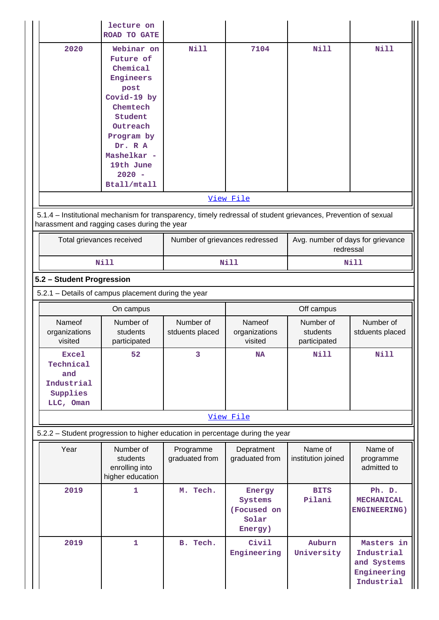|                                                                                                                                                                | lecture on<br><b>ROAD TO GATE</b>                                                                                                                                                          |                                |                                                      |                                                |                                                    |  |
|----------------------------------------------------------------------------------------------------------------------------------------------------------------|--------------------------------------------------------------------------------------------------------------------------------------------------------------------------------------------|--------------------------------|------------------------------------------------------|------------------------------------------------|----------------------------------------------------|--|
| 2020                                                                                                                                                           | Webinar on<br>Future of<br>Chemical<br>Engineers<br>post<br>Covid-19 by<br>Chemtech<br>Student<br>Outreach<br>Program by<br>Dr. R A<br>Mashelkar -<br>19th June<br>$2020 -$<br>Btall/mtall | Nill                           | 7104                                                 | N11                                            | <b>Nill</b>                                        |  |
|                                                                                                                                                                |                                                                                                                                                                                            |                                | View File                                            |                                                |                                                    |  |
| 5.1.4 - Institutional mechanism for transparency, timely redressal of student grievances, Prevention of sexual<br>harassment and ragging cases during the year |                                                                                                                                                                                            |                                |                                                      |                                                |                                                    |  |
| Total grievances received                                                                                                                                      |                                                                                                                                                                                            | Number of grievances redressed |                                                      | Avg. number of days for grievance<br>redressal |                                                    |  |
|                                                                                                                                                                | <b>Nill</b>                                                                                                                                                                                | Nill                           |                                                      | <b>Nill</b>                                    |                                                    |  |
| 5.2 - Student Progression                                                                                                                                      |                                                                                                                                                                                            |                                |                                                      |                                                |                                                    |  |
| 5.2.1 - Details of campus placement during the year                                                                                                            |                                                                                                                                                                                            |                                |                                                      |                                                |                                                    |  |
|                                                                                                                                                                | On campus                                                                                                                                                                                  |                                |                                                      | Off campus                                     |                                                    |  |
| Nameof<br>organizations<br>visited                                                                                                                             | Number of<br>students<br>participated                                                                                                                                                      | Number of<br>stduents placed   | Nameof<br>organizations<br>visited                   | Number of<br>students<br>participated          | Number of<br>stduents placed                       |  |
| <b>Excel</b><br>Technical<br>and<br>Industrial<br>Supplies<br>LLC, Oman                                                                                        | 52                                                                                                                                                                                         | 3                              | <b>NA</b>                                            | <b>Nill</b>                                    | Nill                                               |  |
|                                                                                                                                                                |                                                                                                                                                                                            |                                | View File                                            |                                                |                                                    |  |
| 5.2.2 - Student progression to higher education in percentage during the year                                                                                  |                                                                                                                                                                                            |                                |                                                      |                                                |                                                    |  |
| Year                                                                                                                                                           | Number of<br>students<br>enrolling into<br>higher education                                                                                                                                | Programme<br>graduated from    | Depratment<br>graduated from                         | Name of<br>institution joined                  | Name of<br>programme<br>admitted to                |  |
| 2019                                                                                                                                                           | 1                                                                                                                                                                                          | M. Tech.                       | Energy<br>Systems<br>(Focused on<br>Solar<br>Energy) | <b>BITS</b><br>Pilani                          | Ph. D.<br><b>MECHANICAL</b><br><b>ENGINEERING)</b> |  |
|                                                                                                                                                                |                                                                                                                                                                                            |                                |                                                      | Auburn                                         | Masters in                                         |  |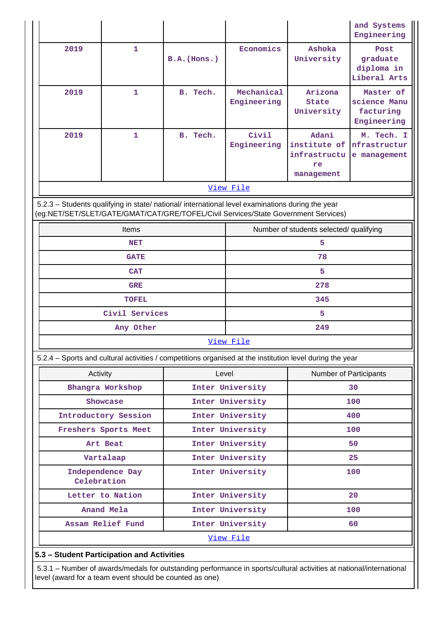|                                                                                                                                                                                        |                                            |                                      |                           |                                                           | and Systems<br>Engineering                            |  |  |
|----------------------------------------------------------------------------------------------------------------------------------------------------------------------------------------|--------------------------------------------|--------------------------------------|---------------------------|-----------------------------------------------------------|-------------------------------------------------------|--|--|
| 2019                                                                                                                                                                                   | 1                                          | $B.A.$ (Hons.)                       | Economics                 | Ashoka<br>University                                      | Post<br>graduate<br>diploma in<br>Liberal Arts        |  |  |
| 2019                                                                                                                                                                                   | $\mathbf 1$                                | B. Tech.                             | Mechanical<br>Engineering | Arizona<br>State<br>University                            | Master of<br>science Manu<br>facturing<br>Engineering |  |  |
| 2019                                                                                                                                                                                   | 1                                          | B. Tech.                             | Civil<br>Engineering      | Adani<br>institute of<br>infrastructu<br>re<br>management | M. Tech. I<br>nfrastructur<br>e management            |  |  |
|                                                                                                                                                                                        |                                            |                                      | View File                 |                                                           |                                                       |  |  |
| 5.2.3 - Students qualifying in state/ national/ international level examinations during the year<br>(eg:NET/SET/SLET/GATE/GMAT/CAT/GRE/TOFEL/Civil Services/State Government Services) |                                            |                                      |                           |                                                           |                                                       |  |  |
|                                                                                                                                                                                        | Items                                      |                                      |                           | Number of students selected/ qualifying                   |                                                       |  |  |
|                                                                                                                                                                                        | <b>NET</b>                                 |                                      |                           | 5                                                         |                                                       |  |  |
|                                                                                                                                                                                        | <b>GATE</b>                                |                                      | 78                        |                                                           |                                                       |  |  |
|                                                                                                                                                                                        | <b>CAT</b>                                 |                                      | 5                         |                                                           |                                                       |  |  |
|                                                                                                                                                                                        | <b>GRE</b>                                 |                                      |                           | 278                                                       |                                                       |  |  |
|                                                                                                                                                                                        | <b>TOFEL</b>                               |                                      |                           | 345                                                       |                                                       |  |  |
|                                                                                                                                                                                        | Civil Services                             |                                      |                           | 5<br>249                                                  |                                                       |  |  |
|                                                                                                                                                                                        | Any Other                                  |                                      | View File                 |                                                           |                                                       |  |  |
|                                                                                                                                                                                        |                                            |                                      |                           |                                                           |                                                       |  |  |
| 5.2.4 – Sports and cultural activities / competitions organised at the institution level during the year                                                                               |                                            |                                      |                           |                                                           |                                                       |  |  |
| Activity                                                                                                                                                                               |                                            | Level                                |                           | Number of Participants<br>30                              |                                                       |  |  |
|                                                                                                                                                                                        | Bhangra Workshop<br>Showcase               | Inter University                     |                           | 100                                                       |                                                       |  |  |
|                                                                                                                                                                                        | Introductory Session                       | Inter University<br>Inter University |                           | 400                                                       |                                                       |  |  |
|                                                                                                                                                                                        | Freshers Sports Meet                       | Inter University                     |                           | 100                                                       |                                                       |  |  |
|                                                                                                                                                                                        | Art Beat                                   |                                      | Inter University          | 50                                                        |                                                       |  |  |
|                                                                                                                                                                                        | Vartalaap                                  |                                      | Inter University          | 25                                                        |                                                       |  |  |
|                                                                                                                                                                                        | Independence Day<br>Celebration            |                                      | Inter University          |                                                           | 100                                                   |  |  |
|                                                                                                                                                                                        | Letter to Nation                           |                                      | Inter University          |                                                           | 20                                                    |  |  |
|                                                                                                                                                                                        | Anand Mela                                 |                                      | Inter University          |                                                           | 100                                                   |  |  |
|                                                                                                                                                                                        | Assam Relief Fund                          |                                      | Inter University          |                                                           | 60                                                    |  |  |
|                                                                                                                                                                                        |                                            |                                      | View File                 |                                                           |                                                       |  |  |
|                                                                                                                                                                                        | 5.3 - Student Participation and Activities |                                      |                           |                                                           |                                                       |  |  |

 5.3.1 – Number of awards/medals for outstanding performance in sports/cultural activities at national/international level (award for a team event should be counted as one)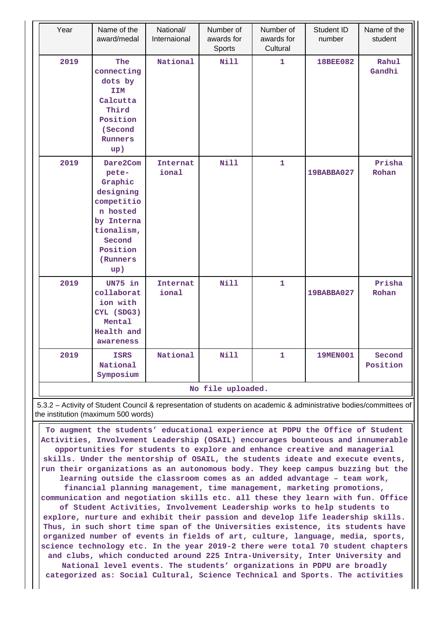| Year              | Name of the<br>award/medal                                                                                                               | National/<br>Internaional | Number of<br>awards for<br>Sports | Number of<br>awards for<br>Cultural | Student ID<br>number | Name of the<br>student |
|-------------------|------------------------------------------------------------------------------------------------------------------------------------------|---------------------------|-----------------------------------|-------------------------------------|----------------------|------------------------|
| 2019              | The<br>connecting<br>dots by<br><b>IIM</b><br>Calcutta<br>Third<br>Position<br>(Second<br><b>Runners</b><br>up)                          | National                  | <b>Nill</b>                       | $\mathbf{1}$                        | <b>18BEE082</b>      | Rahul<br>Gandhi        |
| 2019              | Dare2Com<br>pete-<br>Graphic<br>designing<br>competitio<br>n hosted<br>by Interna<br>tionalism,<br>Second<br>Position<br>(Runners<br>up) | Internat<br>ional         | Nill                              | $\mathbf{1}$                        | 19BABBA027           | Prisha<br>Rohan        |
| 2019              | UN75 in<br>collaborat<br>ion with<br>CYL (SDG3)<br>Mental<br>Health and<br>awareness                                                     | Internat<br>ional         | Nill                              | $\mathbf{1}$                        | 19BABBA027           | Prisha<br>Rohan        |
| 2019              | <b>ISRS</b><br>National<br>Symposium                                                                                                     | National                  | Nill                              | 1                                   | 19MEN001             | Second<br>Position     |
| No file uploaded. |                                                                                                                                          |                           |                                   |                                     |                      |                        |

 5.3.2 – Activity of Student Council & representation of students on academic & administrative bodies/committees of the institution (maximum 500 words)

 **To augment the students' educational experience at PDPU the Office of Student Activities, Involvement Leadership (OSAIL) encourages bounteous and innumerable opportunities for students to explore and enhance creative and managerial skills. Under the mentorship of OSAIL, the students ideate and execute events, run their organizations as an autonomous body. They keep campus buzzing but the learning outside the classroom comes as an added advantage – team work, financial planning management, time management, marketing promotions, communication and negotiation skills etc. all these they learn with fun. Office of Student Activities, Involvement Leadership works to help students to explore, nurture and exhibit their passion and develop life leadership skills. Thus, in such short time span of the Universities existence, its students have organized number of events in fields of art, culture, language, media, sports, science technology etc. In the year 2019-2 there were total 70 student chapters and clubs, which conducted around 225 Intra-University, Inter University and National level events. The students' organizations in PDPU are broadly categorized as: Social Cultural, Science Technical and Sports. The activities**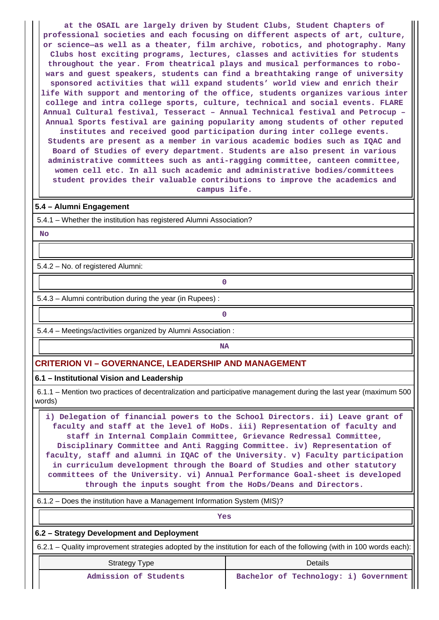**at the OSAIL are largely driven by Student Clubs, Student Chapters of professional societies and each focusing on different aspects of art, culture, or science—as well as a theater, film archive, robotics, and photography. Many Clubs host exciting programs, lectures, classes and activities for students throughout the year. From theatrical plays and musical performances to robowars and guest speakers, students can find a breathtaking range of university sponsored activities that will expand students' world view and enrich their life With support and mentoring of the office, students organizes various inter college and intra college sports, culture, technical and social events. FLARE Annual Cultural festival, Tesseract – Annual Technical festival and Petrocup – Annual Sports festival are gaining popularity among students of other reputed institutes and received good participation during inter college events.**

**Students are present as a member in various academic bodies such as IQAC and Board of Studies of every department. Students are also present in various administrative committees such as anti-ragging committee, canteen committee, women cell etc. In all such academic and administrative bodies/committees student provides their valuable contributions to improve the academics and campus life.**

# **5.4 – Alumni Engagement**

5.4.1 – Whether the institution has registered Alumni Association?

 **No**

5.4.2 – No. of registered Alumni:

5.4.3 – Alumni contribution during the year (in Rupees) :

**0**

**0**

5.4.4 – Meetings/activities organized by Alumni Association :

# **NA**

#### **CRITERION VI – GOVERNANCE, LEADERSHIP AND MANAGEMENT**

#### **6.1 – Institutional Vision and Leadership**

 6.1.1 – Mention two practices of decentralization and participative management during the last year (maximum 500 words)

 **i) Delegation of financial powers to the School Directors. ii) Leave grant of faculty and staff at the level of HoDs. iii) Representation of faculty and staff in Internal Complain Committee, Grievance Redressal Committee, Disciplinary Committee and Anti Ragging Committee. iv) Representation of faculty, staff and alumni in IQAC of the University. v) Faculty participation in curriculum development through the Board of Studies and other statutory committees of the University. vi) Annual Performance Goal-sheet is developed through the inputs sought from the HoDs/Deans and Directors.**

6.1.2 – Does the institution have a Management Information System (MIS)?

*Yes* 

#### **6.2 – Strategy Development and Deployment**

6.2.1 – Quality improvement strategies adopted by the institution for each of the following (with in 100 words each):

| <b>Strategy Type</b>  | Details                               |  |  |  |
|-----------------------|---------------------------------------|--|--|--|
| Admission of Students | Bachelor of Technology: i) Government |  |  |  |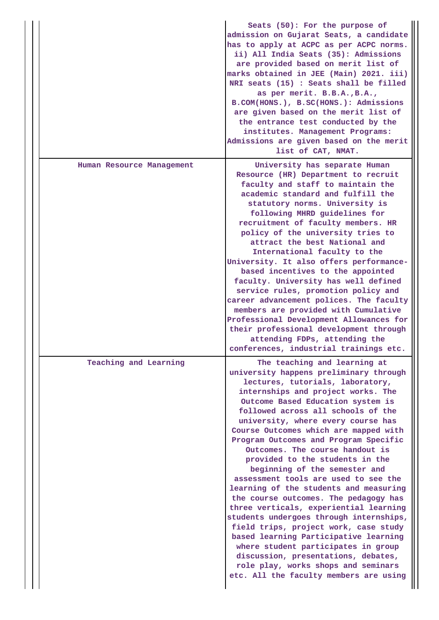|                           | Seats (50): For the purpose of<br>admission on Gujarat Seats, a candidate<br>has to apply at ACPC as per ACPC norms.<br>ii) All India Seats (35): Admissions<br>are provided based on merit list of<br>marks obtained in JEE (Main) 2021. iii)<br>NRI seats (15) : Seats shall be filled<br>as per merit. B.B.A., B.A.,<br>B.COM(HONS.), B.SC(HONS.): Admissions<br>are given based on the merit list of<br>the entrance test conducted by the<br>institutes. Management Programs:<br>Admissions are given based on the merit<br>list of CAT, NMAT.                                                                                                                                                                                                                                                                                                                                                                         |
|---------------------------|-----------------------------------------------------------------------------------------------------------------------------------------------------------------------------------------------------------------------------------------------------------------------------------------------------------------------------------------------------------------------------------------------------------------------------------------------------------------------------------------------------------------------------------------------------------------------------------------------------------------------------------------------------------------------------------------------------------------------------------------------------------------------------------------------------------------------------------------------------------------------------------------------------------------------------|
| Human Resource Management | University has separate Human<br>Resource (HR) Department to recruit<br>faculty and staff to maintain the<br>academic standard and fulfill the<br>statutory norms. University is<br>following MHRD guidelines for<br>recruitment of faculty members. HR<br>policy of the university tries to<br>attract the best National and<br>International faculty to the<br>University. It also offers performance-<br>based incentives to the appointed<br>faculty. University has well defined<br>service rules, promotion policy and<br>career advancement polices. The faculty<br>members are provided with Cumulative<br>Professional Development Allowances for<br>their professional development through<br>attending FDPs, attending the<br>conferences, industrial trainings etc.                                                                                                                                             |
| Teaching and Learning     | The teaching and learning at<br>university happens preliminary through<br>lectures, tutorials, laboratory,<br>internships and project works. The<br>Outcome Based Education system is<br>followed across all schools of the<br>university, where every course has<br>Course Outcomes which are mapped with<br>Program Outcomes and Program Specific<br>Outcomes. The course handout is<br>provided to the students in the<br>beginning of the semester and<br>assessment tools are used to see the<br>learning of the students and measuring<br>the course outcomes. The pedagogy has<br>three verticals, experiential learning<br>students undergoes through internships,<br>field trips, project work, case study<br>based learning Participative learning<br>where student participates in group<br>discussion, presentations, debates,<br>role play, works shops and seminars<br>etc. All the faculty members are using |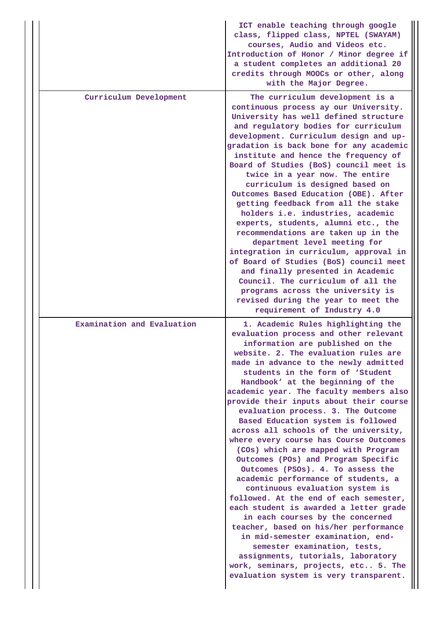|                            | ICT enable teaching through google<br>class, flipped class, NPTEL (SWAYAM)<br>courses, Audio and Videos etc.<br>Introduction of Honor / Minor degree if<br>a student completes an additional 20<br>credits through MOOCs or other, along<br>with the Major Degree.                                                                                                                                                                                                                                                                                                                                                                                                                                                                                                                                                                                                                                                                                                                                                                                                                        |
|----------------------------|-------------------------------------------------------------------------------------------------------------------------------------------------------------------------------------------------------------------------------------------------------------------------------------------------------------------------------------------------------------------------------------------------------------------------------------------------------------------------------------------------------------------------------------------------------------------------------------------------------------------------------------------------------------------------------------------------------------------------------------------------------------------------------------------------------------------------------------------------------------------------------------------------------------------------------------------------------------------------------------------------------------------------------------------------------------------------------------------|
| Curriculum Development     | The curriculum development is a<br>continuous process ay our University.<br>University has well defined structure<br>and regulatory bodies for curriculum<br>development. Curriculum design and up-<br>gradation is back bone for any academic<br>institute and hence the frequency of<br>Board of Studies (BoS) council meet is<br>twice in a year now. The entire<br>curriculum is designed based on<br>Outcomes Based Education (OBE). After<br>getting feedback from all the stake<br>holders i.e. industries, academic<br>experts, students, alumni etc., the<br>recommendations are taken up in the<br>department level meeting for<br>integration in curriculum, approval in<br>of Board of Studies (BoS) council meet<br>and finally presented in Academic<br>Council. The curriculum of all the<br>programs across the university is<br>revised during the year to meet the<br>requirement of Industry 4.0                                                                                                                                                                       |
| Examination and Evaluation | 1. Academic Rules highlighting the<br>evaluation process and other relevant<br>information are published on the<br>website. 2. The evaluation rules are<br>made in advance to the newly admitted<br>students in the form of 'Student<br>Handbook' at the beginning of the<br>academic year. The faculty members also<br>provide their inputs about their course<br>evaluation process. 3. The Outcome<br>Based Education system is followed<br>across all schools of the university,<br>where every course has Course Outcomes<br>(COs) which are mapped with Program<br>Outcomes (POs) and Program Specific<br>Outcomes (PSOs). 4. To assess the<br>academic performance of students, a<br>continuous evaluation system is<br>followed. At the end of each semester,<br>each student is awarded a letter grade<br>in each courses by the concerned<br>teacher, based on his/her performance<br>in mid-semester examination, end-<br>semester examination, tests,<br>assignments, tutorials, laboratory<br>work, seminars, projects, etc 5. The<br>evaluation system is very transparent. |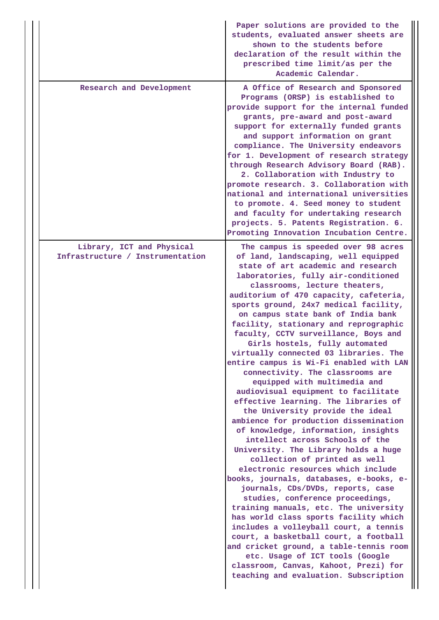|                                                               | Paper solutions are provided to the<br>students, evaluated answer sheets are<br>shown to the students before<br>declaration of the result within the<br>prescribed time limit/as per the<br>Academic Calendar.                                                                                                                                                                                                                                                                                                                                                                                                                                                                                                                                                                                                                                                                                                                                                                                                                                                                                                                                                                                                                                                                                                                                                                                            |
|---------------------------------------------------------------|-----------------------------------------------------------------------------------------------------------------------------------------------------------------------------------------------------------------------------------------------------------------------------------------------------------------------------------------------------------------------------------------------------------------------------------------------------------------------------------------------------------------------------------------------------------------------------------------------------------------------------------------------------------------------------------------------------------------------------------------------------------------------------------------------------------------------------------------------------------------------------------------------------------------------------------------------------------------------------------------------------------------------------------------------------------------------------------------------------------------------------------------------------------------------------------------------------------------------------------------------------------------------------------------------------------------------------------------------------------------------------------------------------------|
| Research and Development                                      | A Office of Research and Sponsored<br>Programs (ORSP) is established to<br>provide support for the internal funded<br>grants, pre-award and post-award<br>support for externally funded grants<br>and support information on grant<br>compliance. The University endeavors<br>for 1. Development of research strategy<br>through Research Advisory Board (RAB).<br>2. Collaboration with Industry to<br>promote research. 3. Collaboration with<br>national and international universities<br>to promote. 4. Seed money to student<br>and faculty for undertaking research<br>projects. 5. Patents Registration. 6.<br>Promoting Innovation Incubation Centre.                                                                                                                                                                                                                                                                                                                                                                                                                                                                                                                                                                                                                                                                                                                                            |
| Library, ICT and Physical<br>Infrastructure / Instrumentation | The campus is speeded over 98 acres<br>of land, landscaping, well equipped<br>state of art academic and research<br>laboratories, fully air-conditioned<br>classrooms, lecture theaters,<br>auditorium of 470 capacity, cafeteria,<br>sports ground, 24x7 medical facility,<br>on campus state bank of India bank<br>facility, stationary and reprographic<br>faculty, CCTV surveillance, Boys and<br>Girls hostels, fully automated<br>virtually connected 03 libraries. The<br>entire campus is Wi-Fi enabled with LAN<br>connectivity. The classrooms are<br>equipped with multimedia and<br>audiovisual equipment to facilitate<br>effective learning. The libraries of<br>the University provide the ideal<br>ambience for production dissemination<br>of knowledge, information, insights<br>intellect across Schools of the<br>University. The Library holds a huge<br>collection of printed as well<br>electronic resources which include<br>books, journals, databases, e-books, e-<br>journals, CDs/DVDs, reports, case<br>studies, conference proceedings,<br>training manuals, etc. The university<br>has world class sports facility which<br>includes a volleyball court, a tennis<br>court, a basketball court, a football<br>and cricket ground, a table-tennis room<br>etc. Usage of ICT tools (Google<br>classroom, Canvas, Kahoot, Prezi) for<br>teaching and evaluation. Subscription |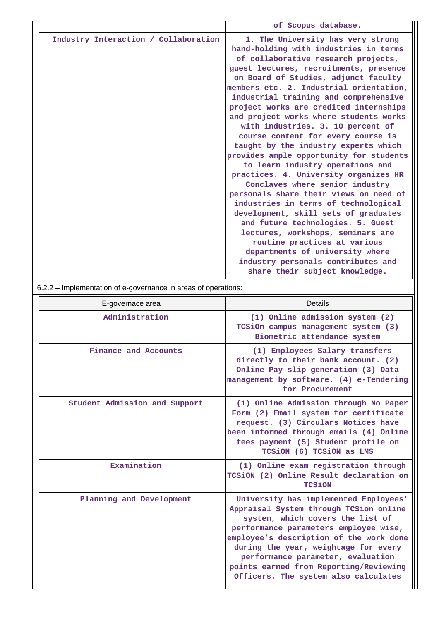|                                      | of Scopus database.                                                                                                                                                                                                                                                                                                                                                                                                                                                                                                                                                                                                                                                                                                                                                                                                                                                                                                                                                                                      |
|--------------------------------------|----------------------------------------------------------------------------------------------------------------------------------------------------------------------------------------------------------------------------------------------------------------------------------------------------------------------------------------------------------------------------------------------------------------------------------------------------------------------------------------------------------------------------------------------------------------------------------------------------------------------------------------------------------------------------------------------------------------------------------------------------------------------------------------------------------------------------------------------------------------------------------------------------------------------------------------------------------------------------------------------------------|
| Industry Interaction / Collaboration | 1. The University has very strong<br>hand-holding with industries in terms<br>of collaborative research projects,<br>guest lectures, recruitments, presence<br>on Board of Studies, adjunct faculty<br>members etc. 2. Industrial orientation,<br>industrial training and comprehensive<br>project works are credited internships<br>and project works where students works<br>with industries. 3. 10 percent of<br>course content for every course is<br>taught by the industry experts which<br>provides ample opportunity for students<br>to learn industry operations and<br>practices. 4. University organizes HR<br>Conclaves where senior industry<br>personals share their views on need of<br>industries in terms of technological<br>development, skill sets of graduates<br>and future technologies. 5. Guest<br>lectures, workshops, seminars are<br>routine practices at various<br>departments of university where<br>industry personals contributes and<br>share their subject knowledge. |

6.2.2 – Implementation of e-governance in areas of operations:

| E-governace area              | <b>Details</b>                                                                                                                                                                                                                                                                                                                                                         |
|-------------------------------|------------------------------------------------------------------------------------------------------------------------------------------------------------------------------------------------------------------------------------------------------------------------------------------------------------------------------------------------------------------------|
| Administration                | (1) Online admission system (2)<br>TCSiOn campus management system (3)<br>Biometric attendance system                                                                                                                                                                                                                                                                  |
| Finance and Accounts          | (1) Employees Salary transfers<br>directly to their bank account. (2)<br>Online Pay slip generation (3) Data<br>management by software. (4) e-Tendering<br>for Procurement                                                                                                                                                                                             |
| Student Admission and Support | (1) Online Admission through No Paper<br>Form (2) Email system for certificate<br>request. (3) Circulars Notices have<br>been informed through emails (4) Online<br>fees payment (5) Student profile on<br>TCSiON (6) TCSiON as LMS                                                                                                                                    |
| Examination                   | (1) Online exam registration through<br>TCSiON (2) Online Result declaration on<br><b>TCSiON</b>                                                                                                                                                                                                                                                                       |
| Planning and Development      | University has implemented Employees'<br>Appraisal System through TCSion online<br>system, which covers the list of<br>performance parameters employee wise,<br>employee's description of the work done<br>during the year, weightage for every<br>performance parameter, evaluation<br>points earned from Reporting/Reviewing<br>Officers. The system also calculates |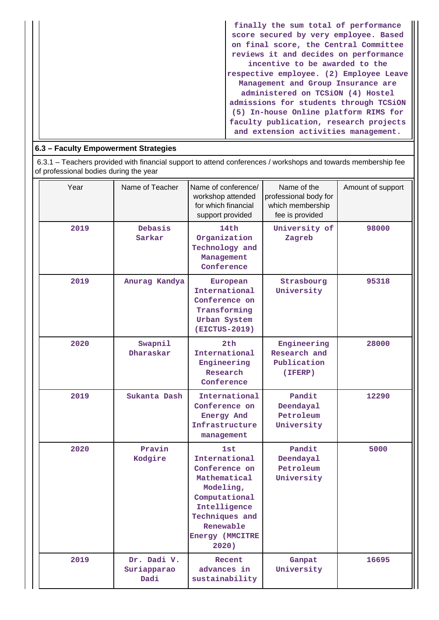| finally the sum total of performance<br>score secured by very employee. Based<br>on final score, the Central Committee<br>reviews it and decides on performance<br>incentive to be awarded to the<br>respective employee. (2) Employee Leave<br>Management and Group Insurance are<br>administered on TCSiON (4) Hostel<br>admissions for students through TCSiON<br>(5) In-house Online platform RIMS for |
|------------------------------------------------------------------------------------------------------------------------------------------------------------------------------------------------------------------------------------------------------------------------------------------------------------------------------------------------------------------------------------------------------------|
| faculty publication, research projects<br>and extension activities management.                                                                                                                                                                                                                                                                                                                             |

# **6.3 – Faculty Empowerment Strategies**

 6.3.1 – Teachers provided with financial support to attend conferences / workshops and towards membership fee of professional bodies during the year

| Year | Name of Teacher                    | Name of conference/<br>workshop attended<br>for which financial<br>support provided                                                                                          | Name of the<br>professional body for<br>which membership<br>fee is provided | Amount of support |
|------|------------------------------------|------------------------------------------------------------------------------------------------------------------------------------------------------------------------------|-----------------------------------------------------------------------------|-------------------|
| 2019 | Debasis<br>Sarkar                  | 14th<br>Organization<br>Technology and<br>Management<br>Conference                                                                                                           | University of<br>Zagreb                                                     | 98000             |
| 2019 | Anurag Kandya                      | European<br>International<br>Conference on<br>Transforming<br>Urban System<br>(EICTUS-2019)                                                                                  | Strasbourg<br>University                                                    | 95318             |
| 2020 | Swapnil<br>Dharaskar               | 2th<br>International<br>Engineering<br>Research<br>Conference                                                                                                                | Engineering<br>Research and<br>Publication<br>(IFERP)                       | 28000             |
| 2019 | Sukanta Dash                       | International<br>Conference on<br>Energy And<br>Infrastructure<br>management                                                                                                 | Pandit<br>Deendayal<br>Petroleum<br>University                              | 12290             |
| 2020 | Pravin<br>Kodgire                  | <b>1st</b><br>International<br>Conference on<br>Mathematical<br>Modeling,<br>Computational<br>Intelligence<br>Techniques and<br>Renewable<br><b>Energy (MMCITRE</b><br>2020) | Pandit<br>Deendayal<br>Petroleum<br>University                              | 5000              |
| 2019 | Dr. Dadi V.<br>Suriapparao<br>Dadi | Recent<br>advances in<br>sustainability                                                                                                                                      | Ganpat<br>University                                                        | 16695             |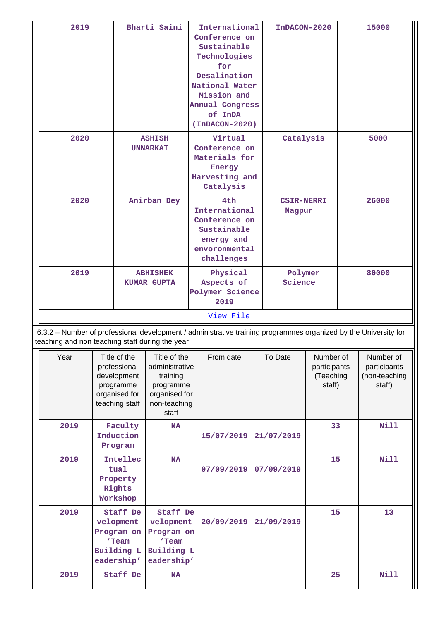| 2019                                            |                                       |                                                                                             | Bharti Saini                                                                                      |                                                                         | International<br>Conference on<br>Sustainable<br>Technologies<br>for<br>Desalination<br>National Water<br>Mission and<br>Annual Congress<br>of InDA<br>$(InDACON-2020)$ |  | InDACON-2020                |                                                  |       | 15000                                                |
|-------------------------------------------------|---------------------------------------|---------------------------------------------------------------------------------------------|---------------------------------------------------------------------------------------------------|-------------------------------------------------------------------------|-------------------------------------------------------------------------------------------------------------------------------------------------------------------------|--|-----------------------------|--------------------------------------------------|-------|------------------------------------------------------|
| 2020<br><b>ASHISH</b><br><b>UNNARKAT</b>        |                                       |                                                                                             | Virtual<br>Conference on<br>Materials for<br>Energy<br>Harvesting and<br>Catalysis                |                                                                         | Catalysis                                                                                                                                                               |  |                             | 5000                                             |       |                                                      |
| 2020                                            | Anirban Dey                           |                                                                                             |                                                                                                   |                                                                         | 4th<br>International<br>Conference on<br>Sustainable<br>energy and<br>envoronmental<br>challenges                                                                       |  | <b>CSIR-NERRI</b><br>Nagpur |                                                  | 26000 |                                                      |
| 2019                                            | <b>ABHISHEK</b><br><b>KUMAR GUPTA</b> |                                                                                             |                                                                                                   | Physical<br>Polymer<br>Science<br>Aspects of<br>Polymer Science<br>2019 |                                                                                                                                                                         |  |                             | 80000                                            |       |                                                      |
| teaching and non teaching staff during the year |                                       |                                                                                             |                                                                                                   |                                                                         | View File<br>6.3.2 - Number of professional development / administrative training programmes organized by the University for                                            |  |                             |                                                  |       |                                                      |
| Year                                            |                                       | Title of the<br>professional<br>development<br>programme<br>organised for<br>teaching staff | Title of the<br>administrative<br>training<br>programme<br>organised for<br>non-teaching<br>staff |                                                                         | From date                                                                                                                                                               |  | To Date                     | Number of<br>participants<br>(Teaching<br>staff) |       | Number of<br>participants<br>(non-teaching<br>staff) |
| 2019                                            |                                       | Faculty<br>Induction<br>Program                                                             | <b>NA</b>                                                                                         |                                                                         | 15/07/2019                                                                                                                                                              |  | 21/07/2019                  | 33                                               |       | Nill                                                 |
| 2019                                            |                                       | Intellec<br>tual<br>Property<br>Rights<br>Workshop                                          | <b>NA</b>                                                                                         |                                                                         | 07/09/2019                                                                                                                                                              |  | 07/09/2019                  | 15                                               |       | <b>Nill</b>                                          |
| 2019                                            |                                       | Staff De<br>velopment<br>Program on<br>'Team<br>Building L<br>eadership'                    | Staff De<br>velopment<br>Program on<br>'Team<br>Building L<br>eadership'                          |                                                                         | 20/09/2019                                                                                                                                                              |  | 21/09/2019                  | 15                                               |       | 13                                                   |
| 2019                                            |                                       | Staff De                                                                                    | <b>NA</b>                                                                                         |                                                                         |                                                                                                                                                                         |  |                             | 25                                               |       | <b>Nill</b>                                          |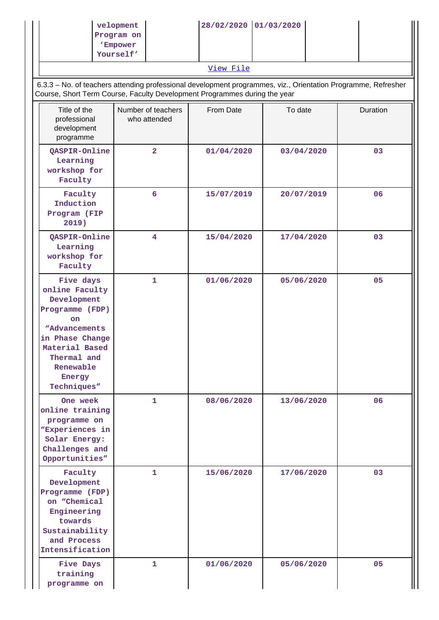|                                                                                                                                                                                       | velopment<br>Program on<br>'Empower<br>Yourself' | 28/02/2020 01/03/2020<br>View File |            |                                                                                                               |
|---------------------------------------------------------------------------------------------------------------------------------------------------------------------------------------|--------------------------------------------------|------------------------------------|------------|---------------------------------------------------------------------------------------------------------------|
| Course, Short Term Course, Faculty Development Programmes during the year                                                                                                             |                                                  |                                    |            | 6.3.3 - No. of teachers attending professional development programmes, viz., Orientation Programme, Refresher |
| Title of the<br>professional<br>development<br>programme                                                                                                                              | Number of teachers<br>who attended               | From Date                          | To date    | Duration                                                                                                      |
| QASPIR-Online<br>Learning<br>workshop for<br>Faculty                                                                                                                                  | $\overline{\mathbf{2}}$                          | 01/04/2020                         | 03/04/2020 | 03                                                                                                            |
| Faculty<br>Induction<br>Program (FIP<br>2019)                                                                                                                                         | 6                                                | 15/07/2019                         | 20/07/2019 | 06                                                                                                            |
| QASPIR-Online<br>Learning<br>workshop for<br>Faculty                                                                                                                                  | 4                                                | 15/04/2020                         | 17/04/2020 | 03                                                                                                            |
| Five days<br>online Faculty<br>Development<br>Programme (FDP)<br><b>on</b><br>"Advancements<br>in Phase Change<br>Material Based<br>Thermal and<br>Renewable<br>Energy<br>Techniques" | 1                                                | 01/06/2020                         | 05/06/2020 | 05                                                                                                            |
| One week<br>online training<br>programme on<br>"Experiences in<br>Solar Energy:<br>Challenges and<br>Opportunities"                                                                   | 1.                                               | 08/06/2020                         | 13/06/2020 | 06                                                                                                            |
| Faculty<br>Development<br>Programme (FDP)<br>on "Chemical<br>Engineering<br>towards<br>Sustainability<br>and Process<br>Intensification                                               | 1.                                               | 15/06/2020                         | 17/06/2020 | 03                                                                                                            |
| Five Days<br>training<br>programme on                                                                                                                                                 | $\mathbf{1}$                                     | 01/06/2020                         | 05/06/2020 | 05                                                                                                            |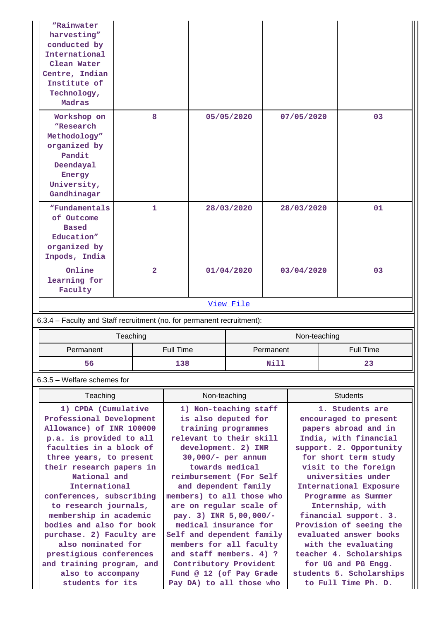| "Rainwater<br>harvesting"<br>conducted by<br>International<br>Clean Water<br>Centre, Indian<br>Institute of<br>Technology,<br>Madras |                |            |              |           |
|--------------------------------------------------------------------------------------------------------------------------------------|----------------|------------|--------------|-----------|
| Workshop on<br>"Research<br>Methodology"<br>organized by<br>Pandit<br>Deendayal<br>Energy<br>University,<br>Gandhinagar              | 8              | 05/05/2020 | 07/05/2020   | 03        |
| "Fundamentals<br>of Outcome<br><b>Based</b><br>Education"<br>organized by<br>Inpods, India                                           | $\mathbf{1}$   | 28/03/2020 | 28/03/2020   | 01        |
| Online<br>learning for<br>Faculty                                                                                                    | $\overline{2}$ | 01/04/2020 | 03/04/2020   | 03        |
|                                                                                                                                      |                | View File  |              |           |
| 6.3.4 - Faculty and Staff recruitment (no. for permanent recruitment):                                                               |                |            |              |           |
|                                                                                                                                      | Teaching       |            | Non-teaching |           |
| Permanent                                                                                                                            | Full Time      |            | Permanent    | Full Time |
| 56                                                                                                                                   | 138            |            | Nill         | 23        |

## 6.3.5 – Welfare schemes for

| Teaching                  | Non-teaching              | <b>Students</b>          |
|---------------------------|---------------------------|--------------------------|
| 1) CPDA (Cumulative       | 1) Non-teaching staff     | 1. Students are          |
| Professional Development  | is also deputed for       | encouraged to present    |
| Allowance) of INR 100000  | training programmes       | papers abroad and in     |
| p.a. is provided to all   | relevant to their skill   | India, with financial    |
| faculties in a block of   | development. 2) INR       | support. 2. Opportunity  |
| three years, to present   | $30,000/-$ per annum      | for short term study     |
| their research papers in  | towards medical           | visit to the foreign     |
| National and              | reimbursement (For Self   | universities under       |
| International             | and dependent family      | International Exposure   |
| conferences, subscribing  | members) to all those who | Programme as Summer      |
| to research journals,     | are on regular scale of   | Internship, with         |
| membership in academic    | pay. 3) INR 5,00,000/-    | financial support. 3.    |
| bodies and also for book  | medical insurance for     | Provision of seeing the  |
| purchase. 2) Faculty are  | Self and dependent family | evaluated answer books   |
| also nominated for        | members for all faculty   | with the evaluating      |
| prestigious conferences   | and staff members. 4) ?   | teacher 4. Scholarships  |
| and training program, and | Contributory Provident    | for UG and PG Engg.      |
| also to accompany         | Fund @ 12 (of Pay Grade   | students 5. Scholarships |
| students for its          | Pay DA) to all those who  | to Full Time Ph. D.      |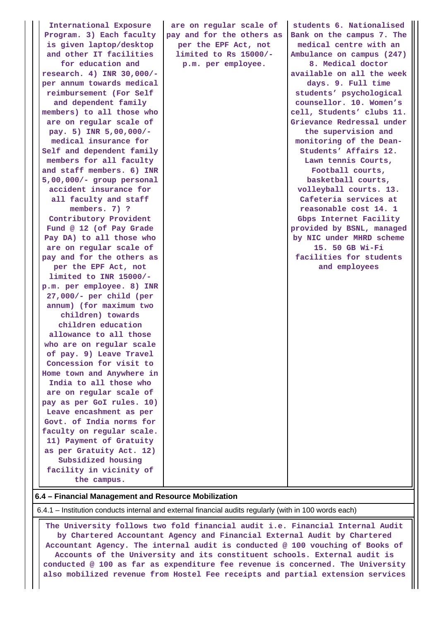**International Exposure Program. 3) Each faculty is given laptop/desktop and other IT facilities for education and research. 4) INR 30,000/ per annum towards medical reimbursement (For Self and dependent family members) to all those who are on regular scale of pay. 5) INR 5,00,000/ medical insurance for Self and dependent family members for all faculty and staff members. 6) INR 5,00,000/- group personal accident insurance for all faculty and staff members. 7) ? Contributory Provident Fund @ 12 (of Pay Grade Pay DA) to all those who are on regular scale of pay and for the others as per the EPF Act, not limited to INR 15000/ p.m. per employee. 8) INR 27,000/- per child (per annum) (for maximum two children) towards children education allowance to all those who are on regular scale of pay. 9) Leave Travel Concession for visit to Home town and Anywhere in India to all those who are on regular scale of pay as per GoI rules. 10) Leave encashment as per Govt. of India norms for faculty on regular scale. 11) Payment of Gratuity as per Gratuity Act. 12) Subsidized housing facility in vicinity of the campus.**

**are on regular scale of pay and for the others as per the EPF Act, not limited to Rs 15000/ p.m. per employee.**

**Bank on the campus 7. The medical centre with an Ambulance on campus (247) 8. Medical doctor available on all the week days. 9. Full time students' psychological counsellor. 10. Women's cell, Students' clubs 11. Grievance Redressal under the supervision and monitoring of the Dean-Students' Affairs 12. Lawn tennis Courts, Football courts, basketball courts, volleyball courts. 13. Cafeteria services at reasonable cost 14. 1 Gbps Internet Facility provided by BSNL, managed by NIC under MHRD scheme 15. 50 GB Wi-Fi facilities for students and employees**

**students 6. Nationalised**

#### **6.4 – Financial Management and Resource Mobilization**

6.4.1 – Institution conducts internal and external financial audits regularly (with in 100 words each)

 **The University follows two fold financial audit i.e. Financial Internal Audit by Chartered Accountant Agency and Financial External Audit by Chartered Accountant Agency. The internal audit is conducted @ 100 vouching of Books of Accounts of the University and its constituent schools. External audit is conducted @ 100 as far as expenditure fee revenue is concerned. The University also mobilized revenue from Hostel Fee receipts and partial extension services**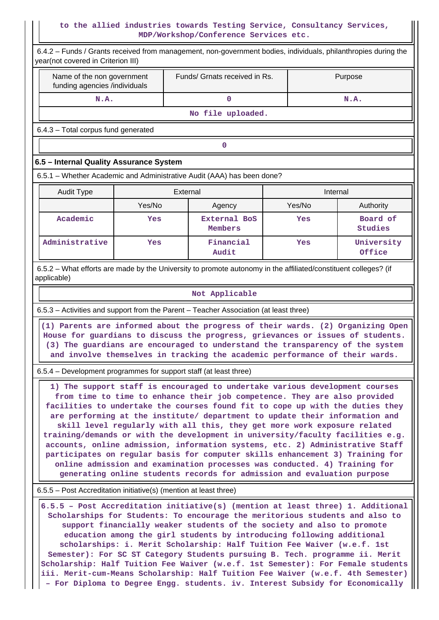## **to the allied industries towards Testing Service, Consultancy Services, MDP/Workshop/Conference Services etc.**

| 6.4.2 - Funds / Grants received from management, non-government bodies, individuals, philanthropies during the<br>year(not covered in Criterion III) |        |          |                                                                                                                                                                                                                                                                                                                                                                                                                                                                                                                                                                                                                                                                                                                                                                                                                  |  |          |                            |  |  |  |
|------------------------------------------------------------------------------------------------------------------------------------------------------|--------|----------|------------------------------------------------------------------------------------------------------------------------------------------------------------------------------------------------------------------------------------------------------------------------------------------------------------------------------------------------------------------------------------------------------------------------------------------------------------------------------------------------------------------------------------------------------------------------------------------------------------------------------------------------------------------------------------------------------------------------------------------------------------------------------------------------------------------|--|----------|----------------------------|--|--|--|
| Name of the non government<br>funding agencies /individuals                                                                                          |        |          | Funds/ Grnats received in Rs.                                                                                                                                                                                                                                                                                                                                                                                                                                                                                                                                                                                                                                                                                                                                                                                    |  |          | Purpose                    |  |  |  |
| N.A.                                                                                                                                                 |        |          | $\mathbf 0$                                                                                                                                                                                                                                                                                                                                                                                                                                                                                                                                                                                                                                                                                                                                                                                                      |  |          | N.A.                       |  |  |  |
|                                                                                                                                                      |        |          | No file uploaded.                                                                                                                                                                                                                                                                                                                                                                                                                                                                                                                                                                                                                                                                                                                                                                                                |  |          |                            |  |  |  |
| 6.4.3 - Total corpus fund generated                                                                                                                  |        |          |                                                                                                                                                                                                                                                                                                                                                                                                                                                                                                                                                                                                                                                                                                                                                                                                                  |  |          |                            |  |  |  |
|                                                                                                                                                      |        |          | 0                                                                                                                                                                                                                                                                                                                                                                                                                                                                                                                                                                                                                                                                                                                                                                                                                |  |          |                            |  |  |  |
| 6.5 - Internal Quality Assurance System                                                                                                              |        |          |                                                                                                                                                                                                                                                                                                                                                                                                                                                                                                                                                                                                                                                                                                                                                                                                                  |  |          |                            |  |  |  |
| 6.5.1 – Whether Academic and Administrative Audit (AAA) has been done?                                                                               |        |          |                                                                                                                                                                                                                                                                                                                                                                                                                                                                                                                                                                                                                                                                                                                                                                                                                  |  |          |                            |  |  |  |
| <b>Audit Type</b>                                                                                                                                    |        | External |                                                                                                                                                                                                                                                                                                                                                                                                                                                                                                                                                                                                                                                                                                                                                                                                                  |  | Internal |                            |  |  |  |
|                                                                                                                                                      | Yes/No |          | Agency                                                                                                                                                                                                                                                                                                                                                                                                                                                                                                                                                                                                                                                                                                                                                                                                           |  | Yes/No   | Authority                  |  |  |  |
| Academic                                                                                                                                             | Yes    |          | <b>External BoS</b><br>Members                                                                                                                                                                                                                                                                                                                                                                                                                                                                                                                                                                                                                                                                                                                                                                                   |  | Yes      | Board of<br><b>Studies</b> |  |  |  |
| Administrative                                                                                                                                       | Yes    |          | Financial<br>Audit                                                                                                                                                                                                                                                                                                                                                                                                                                                                                                                                                                                                                                                                                                                                                                                               |  | Yes      | University<br>Office       |  |  |  |
| 6.5.2 – What efforts are made by the University to promote autonomy in the affiliated/constituent colleges? (if<br>applicable)                       |        |          |                                                                                                                                                                                                                                                                                                                                                                                                                                                                                                                                                                                                                                                                                                                                                                                                                  |  |          |                            |  |  |  |
|                                                                                                                                                      |        |          | Not Applicable                                                                                                                                                                                                                                                                                                                                                                                                                                                                                                                                                                                                                                                                                                                                                                                                   |  |          |                            |  |  |  |
| 6.5.3 – Activities and support from the Parent – Teacher Association (at least three)                                                                |        |          |                                                                                                                                                                                                                                                                                                                                                                                                                                                                                                                                                                                                                                                                                                                                                                                                                  |  |          |                            |  |  |  |
|                                                                                                                                                      |        |          | (1) Parents are informed about the progress of their wards. (2) Organizing Open<br>House for guardians to discuss the progress, grievances or issues of students.<br>(3) The guardians are encouraged to understand the transparency of the system<br>and involve themselves in tracking the academic performance of their wards.                                                                                                                                                                                                                                                                                                                                                                                                                                                                                |  |          |                            |  |  |  |
| 6.5.4 – Development programmes for support staff (at least three)                                                                                    |        |          |                                                                                                                                                                                                                                                                                                                                                                                                                                                                                                                                                                                                                                                                                                                                                                                                                  |  |          |                            |  |  |  |
|                                                                                                                                                      |        |          | 1) The support staff is encouraged to undertake various development courses<br>from time to time to enhance their job competence. They are also provided<br>facilities to undertake the courses found fit to cope up with the duties they<br>are performing at the institute/ department to update their information and<br>skill level regularly with all this, they get more work exposure related<br>training/demands or with the development in university/faculty facilities e.g.<br>accounts, online admission, information systems, etc. 2) Administrative Staff<br>participates on regular basis for computer skills enhancement 3) Training for<br>online admission and examination processes was conducted. 4) Training for<br>generating online students records for admission and evaluation purpose |  |          |                            |  |  |  |
| 6.5.5 – Post Accreditation initiative(s) (mention at least three)                                                                                    |        |          |                                                                                                                                                                                                                                                                                                                                                                                                                                                                                                                                                                                                                                                                                                                                                                                                                  |  |          |                            |  |  |  |
|                                                                                                                                                      |        |          | 6.5.5 - Post Accreditation initiative(s) (mention at least three) 1. Additional<br>Scholarships for Students: To encourage the meritorious students and also to<br>support financially weaker students of the society and also to promote<br>education among the girl students by introducing following additional<br>scholarships: i. Merit Scholarship: Half Tuition Fee Waiver (w.e.f. 1st<br>Semester): For SC ST Category Students pursuing B. Tech. programme ii. Merit<br>Scholarship: Half Tuition Fee Waiver (w.e.f. 1st Semester): For Female students<br>iii. Merit-cum-Means Scholarship: Half Tuition Fee Waiver (w.e.f. 4th Semester)<br>- For Diploma to Degree Engg. students. iv. Interest Subsidy for Economically                                                                             |  |          |                            |  |  |  |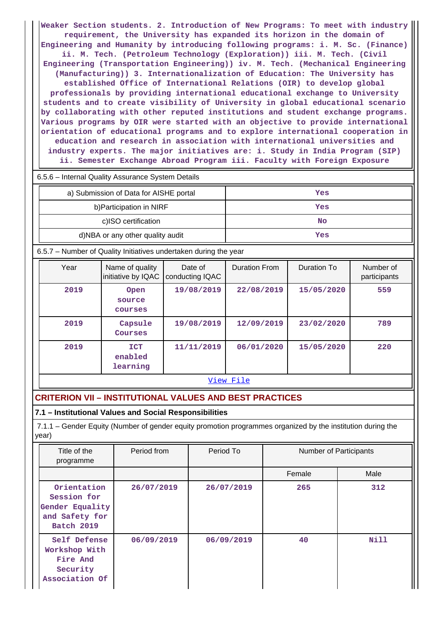**Weaker Section students. 2. Introduction of New Programs: To meet with industry requirement, the University has expanded its horizon in the domain of Engineering and Humanity by introducing following programs: i. M. Sc. (Finance) ii. M. Tech. (Petroleum Technology (Exploration)) iii. M. Tech. (Civil Engineering (Transportation Engineering)) iv. M. Tech. (Mechanical Engineering (Manufacturing)) 3. Internationalization of Education: The University has established Office of International Relations (OIR) to develop global professionals by providing international educational exchange to University students and to create visibility of University in global educational scenario by collaborating with other reputed institutions and student exchange programs. Various programs by OIR were started with an objective to provide international orientation of educational programs and to explore international cooperation in education and research in association with international universities and industry experts. The major initiatives are: i. Study in India Program (SIP) ii. Semester Exchange Abroad Program iii. Faculty with Foreign Exposure**

|  | 6.5.6 - Internal Quality Assurance System Details |  |
|--|---------------------------------------------------|--|

| a) Submission of Data for AISHE portal | Yes |
|----------------------------------------|-----|
| b) Participation in NIRF               | Yes |
| c)ISO certification                    | No  |
| d)NBA or any other quality audit       | Yes |

6.5.7 – Number of Quality Initiatives undertaken during the year

| Year | Name of quality<br>initiative by IQAC | Date of<br>conducting IQAC | <b>Duration From</b> | Duration To | Number of<br>participants |
|------|---------------------------------------|----------------------------|----------------------|-------------|---------------------------|
| 2019 | Open<br>source<br>courses             | 19/08/2019                 | 22/08/2019           | 15/05/2020  | 559                       |
| 2019 | Capsule<br>Courses                    | 19/08/2019                 | 12/09/2019           | 23/02/2020  | 789                       |
| 2019 | <b>ICT</b><br>enabled<br>learning     | 11/11/2019                 | 06/01/2020           | 15/05/2020  | 220                       |

#### [View File](https://assessmentonline.naac.gov.in/public/Postacc/Quality_Initiatives_B/10088_Quality_Initiatives_B_1632025685.xlsx)

# **CRITERION VII – INSTITUTIONAL VALUES AND BEST PRACTICES**

**7.1 – Institutional Values and Social Responsibilities**

 7.1.1 – Gender Equity (Number of gender equity promotion programmes organized by the institution during the year)

| Title of the<br>programme                                                            | Period from | Period To  | <b>Number of Participants</b> |             |
|--------------------------------------------------------------------------------------|-------------|------------|-------------------------------|-------------|
|                                                                                      |             |            | Female                        | Male        |
| Orientation<br>Session for<br>Gender Equality<br>and Safety for<br><b>Batch 2019</b> | 26/07/2019  | 26/07/2019 | 265                           | 312         |
| Self Defense<br>Workshop With<br>Fire And<br>Security<br>Association Of              | 06/09/2019  | 06/09/2019 | 40                            | <b>Nill</b> |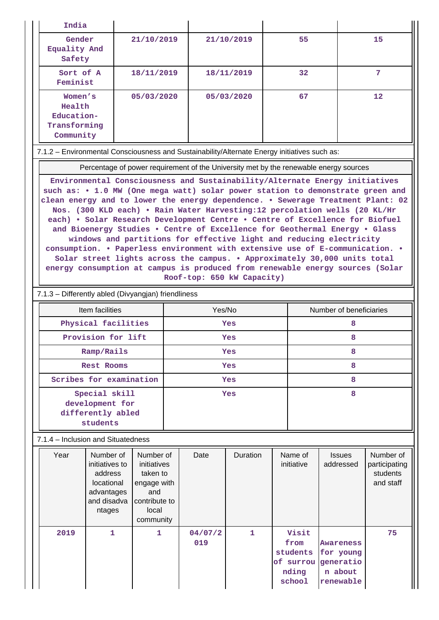|  | India                                                                                                                                                                                                                                                                                                                                                                                                                                                                                                                                                                                                                                                                                                                                                             |                                                                                                   |  |            |            |  |                         |                            |                                                     |  |  |
|--|-------------------------------------------------------------------------------------------------------------------------------------------------------------------------------------------------------------------------------------------------------------------------------------------------------------------------------------------------------------------------------------------------------------------------------------------------------------------------------------------------------------------------------------------------------------------------------------------------------------------------------------------------------------------------------------------------------------------------------------------------------------------|---------------------------------------------------------------------------------------------------|--|------------|------------|--|-------------------------|----------------------------|-----------------------------------------------------|--|--|
|  | Gender<br>Equality And<br>Safety                                                                                                                                                                                                                                                                                                                                                                                                                                                                                                                                                                                                                                                                                                                                  | 21/10/2019                                                                                        |  |            | 21/10/2019 |  | 55                      |                            | 15                                                  |  |  |
|  | Sort of A<br>Feminist                                                                                                                                                                                                                                                                                                                                                                                                                                                                                                                                                                                                                                                                                                                                             | 18/11/2019                                                                                        |  |            | 18/11/2019 |  | 32                      |                            | 7                                                   |  |  |
|  |                                                                                                                                                                                                                                                                                                                                                                                                                                                                                                                                                                                                                                                                                                                                                                   | 12                                                                                                |  |            |            |  |                         |                            |                                                     |  |  |
|  | 7.1.2 - Environmental Consciousness and Sustainability/Alternate Energy initiatives such as:                                                                                                                                                                                                                                                                                                                                                                                                                                                                                                                                                                                                                                                                      |                                                                                                   |  |            |            |  |                         |                            |                                                     |  |  |
|  | Percentage of power requirement of the University met by the renewable energy sources                                                                                                                                                                                                                                                                                                                                                                                                                                                                                                                                                                                                                                                                             |                                                                                                   |  |            |            |  |                         |                            |                                                     |  |  |
|  | such as: • 1.0 MW (One mega watt) solar power station to demonstrate green and<br>clean energy and to lower the energy dependence. . Sewerage Treatment Plant: 02<br>Nos. (300 KLD each) . Rain Water Harvesting:12 percolation wells (20 KL/Hr<br>each) . Solar Research Development Centre . Centre of Excellence for Biofuel<br>and Bioenergy Studies . Centre of Excellence for Geothermal Energy . Glass<br>windows and partitions for effective light and reducing electricity<br>consumption. • Paperless environment with extensive use of E-communication. •<br>Solar street lights across the campus. . Approximately 30,000 units total<br>energy consumption at campus is produced from renewable energy sources (Solar<br>Roof-top: 650 kW Capacity) |                                                                                                   |  |            |            |  |                         |                            |                                                     |  |  |
|  | 7.1.3 - Differently abled (Divyangjan) friendliness                                                                                                                                                                                                                                                                                                                                                                                                                                                                                                                                                                                                                                                                                                               |                                                                                                   |  |            |            |  |                         |                            |                                                     |  |  |
|  | Item facilities                                                                                                                                                                                                                                                                                                                                                                                                                                                                                                                                                                                                                                                                                                                                                   |                                                                                                   |  | Yes/No     |            |  | Number of beneficiaries |                            |                                                     |  |  |
|  | Physical facilities                                                                                                                                                                                                                                                                                                                                                                                                                                                                                                                                                                                                                                                                                                                                               |                                                                                                   |  | <b>Yes</b> |            |  | 8                       |                            |                                                     |  |  |
|  | Provision for lift                                                                                                                                                                                                                                                                                                                                                                                                                                                                                                                                                                                                                                                                                                                                                |                                                                                                   |  | Yes        |            |  | 8                       |                            |                                                     |  |  |
|  | Ramp/Rails                                                                                                                                                                                                                                                                                                                                                                                                                                                                                                                                                                                                                                                                                                                                                        |                                                                                                   |  | Yes        |            |  |                         | 8                          |                                                     |  |  |
|  | <b>Rest Rooms</b>                                                                                                                                                                                                                                                                                                                                                                                                                                                                                                                                                                                                                                                                                                                                                 |                                                                                                   |  | Yes        |            |  |                         |                            |                                                     |  |  |
|  |                                                                                                                                                                                                                                                                                                                                                                                                                                                                                                                                                                                                                                                                                                                                                                   |                                                                                                   |  |            |            |  |                         | 8                          |                                                     |  |  |
|  |                                                                                                                                                                                                                                                                                                                                                                                                                                                                                                                                                                                                                                                                                                                                                                   | Scribes for examination                                                                           |  |            | Yes        |  |                         | 8                          |                                                     |  |  |
|  | Special skill<br>development for<br>differently abled<br>students                                                                                                                                                                                                                                                                                                                                                                                                                                                                                                                                                                                                                                                                                                 |                                                                                                   |  |            | Yes        |  |                         | 8                          |                                                     |  |  |
|  | 7.1.4 – Inclusion and Situatedness                                                                                                                                                                                                                                                                                                                                                                                                                                                                                                                                                                                                                                                                                                                                |                                                                                                   |  |            |            |  |                         |                            |                                                     |  |  |
|  | Year<br>Number of<br>initiatives to<br>address<br>locational<br>advantages<br>and disadva<br>ntages                                                                                                                                                                                                                                                                                                                                                                                                                                                                                                                                                                                                                                                               | Number of<br>initiatives<br>taken to<br>engage with<br>and<br>contribute to<br>local<br>community |  | Date       | Duration   |  | Name of<br>initiative   | <b>Issues</b><br>addressed | Number of<br>participating<br>students<br>and staff |  |  |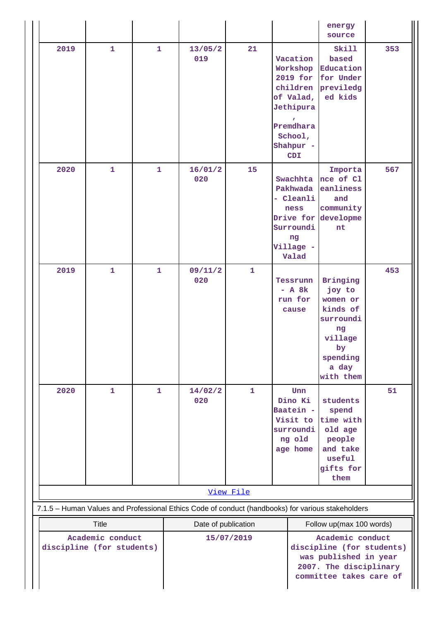|                                               |              |              |                                                                                                   |              |                                                                                                        | energy<br>source                                                                                                            |     |
|-----------------------------------------------|--------------|--------------|---------------------------------------------------------------------------------------------------|--------------|--------------------------------------------------------------------------------------------------------|-----------------------------------------------------------------------------------------------------------------------------|-----|
| 2019                                          | $\mathbf{1}$ | $\mathbf{1}$ | 13/05/2<br>019                                                                                    | 21           | Vacation<br>Workshop<br>2019 for<br>of Valad,<br>Jethipura<br>Premdhara<br>School,<br>Shahpur -<br>CDI | Skill<br>based<br>Education<br>for Under<br>children previledg<br>ed kids                                                   | 353 |
| 2020                                          | $\mathbf{1}$ | $\mathbf{1}$ | 16/01/2<br>020                                                                                    | 15           | Swachhta<br>Pakhwada<br>- Cleanli<br>ness<br>Surroundi<br>ng<br>Village -<br>Valad                     | Importa<br>nce of Cl<br>eanliness<br>and<br>community<br>Drive for developme<br>nt                                          | 567 |
| 2019                                          | $\mathbf{1}$ | $\mathbf{1}$ | 09/11/2<br>020                                                                                    | $\mathbf{1}$ | Tessrunn<br>$-$ A $8k$<br>run for<br>cause                                                             | Bringing<br>joy to<br>women or<br>kinds of<br>surroundi<br>ng<br>village<br>$\mathbf{b}$<br>spending<br>a day<br>with them  | 453 |
| 2020                                          | $\mathbf{1}$ | $\mathbf{1}$ | 14/02/2<br>020                                                                                    | $\mathbf{1}$ | Unn<br>Dino Ki<br>Baatein -<br>Visit to<br>surroundi<br>ng old<br>age home                             | students<br>spend<br>time with<br>old age<br>people<br>and take<br>useful<br>gifts for<br>them                              | 51  |
|                                               |              |              |                                                                                                   | View File    |                                                                                                        |                                                                                                                             |     |
|                                               |              |              | 7.1.5 - Human Values and Professional Ethics Code of conduct (handbooks) for various stakeholders |              |                                                                                                        |                                                                                                                             |     |
| Title                                         |              |              | Date of publication                                                                               |              |                                                                                                        | Follow up(max 100 words)                                                                                                    |     |
| Academic conduct<br>discipline (for students) |              |              | 15/07/2019                                                                                        |              |                                                                                                        | Academic conduct<br>discipline (for students)<br>was published in year<br>2007. The disciplinary<br>committee takes care of |     |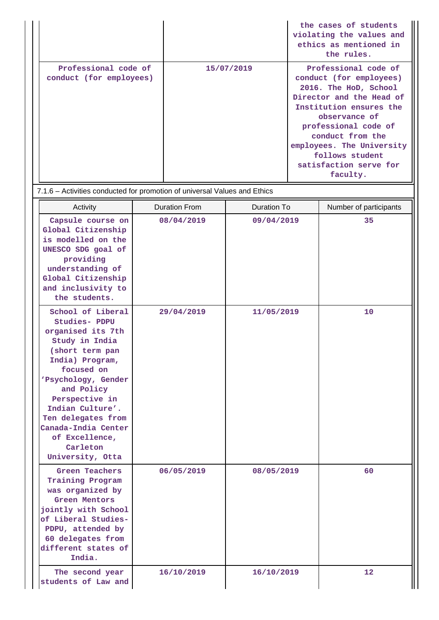|                                                 |            | the cases of students<br>violating the values and<br>ethics as mentioned in<br>the rules.                                                                                                                                                                                          |
|-------------------------------------------------|------------|------------------------------------------------------------------------------------------------------------------------------------------------------------------------------------------------------------------------------------------------------------------------------------|
| Professional code of<br>conduct (for employees) | 15/07/2019 | Professional code of<br>conduct (for employees)<br>2016. The HoD, School<br>Director and the Head of<br>Institution ensures the<br>observance of<br>professional code of<br>conduct from the<br>employees. The University<br>follows student<br>satisfaction serve for<br>faculty. |

7.1.6 – Activities conducted for promotion of universal Values and Ethics

| Activity                                                                                                                                                                                                                                                                                                | <b>Duration From</b> | Duration To | Number of participants |
|---------------------------------------------------------------------------------------------------------------------------------------------------------------------------------------------------------------------------------------------------------------------------------------------------------|----------------------|-------------|------------------------|
| Capsule course on<br>Global Citizenship<br>is modelled on the<br>UNESCO SDG goal of<br>providing<br>understanding of<br>Global Citizenship<br>and inclusivity to<br>the students.                                                                                                                       | 08/04/2019           | 09/04/2019  | 35                     |
| School of Liberal<br>Studies- PDPU<br>organised its 7th<br>Study in India<br>(short term pan<br>India) Program,<br>focused on<br>'Psychology, Gender<br>and Policy<br>Perspective in<br>Indian Culture'.<br>Ten delegates from<br>Canada-India Center<br>of Excellence,<br>Carleton<br>University, Otta | 29/04/2019           | 11/05/2019  | 10                     |
| Green Teachers<br>Training Program<br>was organized by<br><b>Green Mentors</b><br>jointly with School<br>of Liberal Studies-<br>PDPU, attended by<br>60 delegates from<br>different states of<br>India.                                                                                                 | 06/05/2019           | 08/05/2019  | 60                     |
| The second year<br>students of Law and                                                                                                                                                                                                                                                                  | 16/10/2019           | 16/10/2019  | 12                     |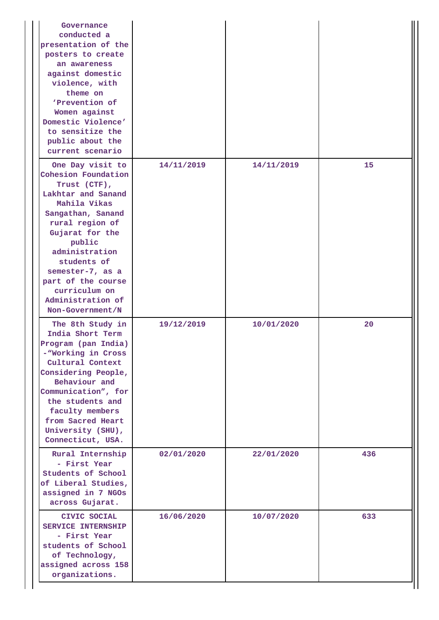| Governance<br>conducted a<br>presentation of the<br>posters to create<br>an awareness<br>against domestic<br>violence, with<br>theme on<br>'Prevention of<br>Women against<br>Domestic Violence'<br>to sensitize the<br>public about the<br>current scenario                                            |            |            |     |
|---------------------------------------------------------------------------------------------------------------------------------------------------------------------------------------------------------------------------------------------------------------------------------------------------------|------------|------------|-----|
| One Day visit to<br>Cohesion Foundation<br>Trust (CTF),<br>Lakhtar and Sanand<br>Mahila Vikas<br>Sangathan, Sanand<br>rural region of<br>Gujarat for the<br>public<br>administration<br>students of<br>semester-7, as a<br>part of the course<br>curriculum on<br>Administration of<br>Non-Government/N | 14/11/2019 | 14/11/2019 | 15  |
| The 8th Study in<br>India Short Term<br>Program (pan India)<br>-"Working in Cross<br>Cultural Context<br>Considering People,<br>Behaviour and<br>Communication", for<br>the students and<br>faculty members<br>from Sacred Heart<br>University (SHU),<br>Connecticut, USA.                              | 19/12/2019 | 10/01/2020 | 20  |
| Rural Internship<br>- First Year<br>Students of School<br>of Liberal Studies,<br>assigned in 7 NGOs<br>across Gujarat.                                                                                                                                                                                  | 02/01/2020 | 22/01/2020 | 436 |
| CIVIC SOCIAL<br><b>SERVICE INTERNSHIP</b><br>- First Year<br>students of School<br>of Technology,<br>assigned across 158<br>organizations.                                                                                                                                                              | 16/06/2020 | 10/07/2020 | 633 |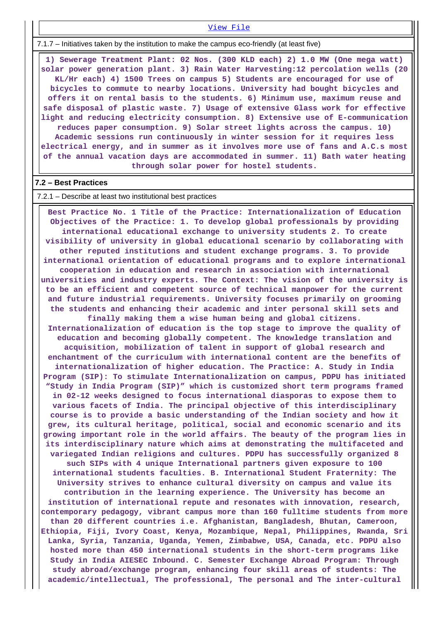[View File](https://assessmentonline.naac.gov.in/public/Postacc/promotion_activities/10088_promotion_activities_1624862608.xlsx)

7.1.7 – Initiatives taken by the institution to make the campus eco-friendly (at least five)

 **1) Sewerage Treatment Plant: 02 Nos. (300 KLD each) 2) 1.0 MW (One mega watt) solar power generation plant. 3) Rain Water Harvesting:12 percolation wells (20 KL/Hr each) 4) 1500 Trees on campus 5) Students are encouraged for use of bicycles to commute to nearby locations. University had bought bicycles and offers it on rental basis to the students. 6) Minimum use, maximum reuse and safe disposal of plastic waste. 7) Usage of extensive Glass work for effective light and reducing electricity consumption. 8) Extensive use of E-communication reduces paper consumption. 9) Solar street lights across the campus. 10) Academic sessions run continuously in winter session for it requires less electrical energy, and in summer as it involves more use of fans and A.C.s most of the annual vacation days are accommodated in summer. 11) Bath water heating through solar power for hostel students.**

#### **7.2 – Best Practices**

7.2.1 – Describe at least two institutional best practices

 **Best Practice No. 1 Title of the Practice: Internationalization of Education Objectives of the Practice: 1. To develop global professionals by providing international educational exchange to university students 2. To create visibility of university in global educational scenario by collaborating with other reputed institutions and student exchange programs. 3. To provide international orientation of educational programs and to explore international cooperation in education and research in association with international universities and industry experts. The Context: The vision of the university is to be an efficient and competent source of technical manpower for the current and future industrial requirements. University focuses primarily on grooming the students and enhancing their academic and inter personal skill sets and finally making them a wise human being and global citizens.**

**Internationalization of education is the top stage to improve the quality of education and becoming globally competent. The knowledge translation and acquisition, mobilization of talent in support of global research and enchantment of the curriculum with international content are the benefits of internationalization of higher education. The Practice: A. Study in India Program (SIP): To stimulate Internationalization on campus, PDPU has initiated "Study in India Program (SIP)" which is customized short term programs framed in 02-12 weeks designed to focus international diasporas to expose them to various facets of India. The principal objective of this interdisciplinary course is to provide a basic understanding of the Indian society and how it grew, its cultural heritage, political, social and economic scenario and its growing important role in the world affairs. The beauty of the program lies in its interdisciplinary nature which aims at demonstrating the multifaceted and variegated Indian religions and cultures. PDPU has successfully organized 8 such SIPs with 4 unique International partners given exposure to 100 international students faculties. B. International Student Fraternity: The University strives to enhance cultural diversity on campus and value its contribution in the learning experience. The University has become an institution of international repute and resonates with innovation, research, contemporary pedagogy, vibrant campus more than 160 fulltime students from more than 20 different countries i.e. Afghanistan, Bangladesh, Bhutan, Cameroon, Ethiopia, Fiji, Ivory Coast, Kenya, Mozambique, Nepal, Philippines, Rwanda, Sri Lanka, Syria, Tanzania, Uganda, Yemen, Zimbabwe, USA, Canada, etc. PDPU also hosted more than 450 international students in the short-term programs like Study in India AIESEC Inbound. C. Semester Exchange Abroad Program: Through study abroad/exchange program, enhancing four skill areas of students: The academic/intellectual, The professional, The personal and The inter-cultural**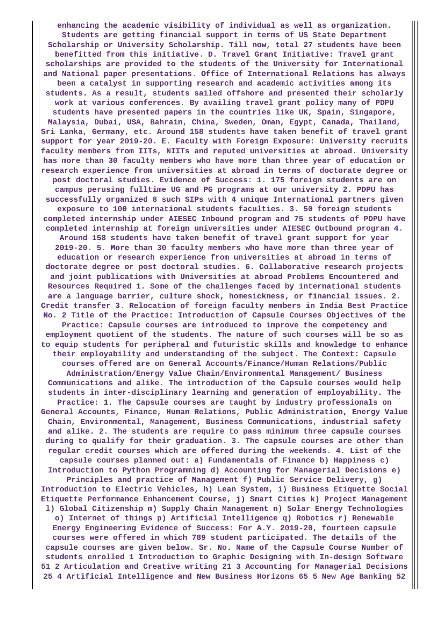**enhancing the academic visibility of individual as well as organization. Students are getting financial support in terms of US State Department Scholarship or University Scholarship. Till now, total 27 students have been benefitted from this initiative. D. Travel Grant Initiative: Travel grant scholarships are provided to the students of the University for International and National paper presentations. Office of International Relations has always been a catalyst in supporting research and academic activities among its students. As a result, students sailed offshore and presented their scholarly work at various conferences. By availing travel grant policy many of PDPU students have presented papers in the countries like UK, Spain, Singapore, Malaysia, Dubai, USA, Bahrain, China, Sweden, Oman, Egypt, Canada, Thailand, Sri Lanka, Germany, etc. Around 158 students have taken benefit of travel grant support for year 2019-20. E. Faculty with Foreign Exposure: University recruits faculty members from IITs, NIITs and reputed universities at abroad. University has more than 30 faculty members who have more than three year of education or research experience from universities at abroad in terms of doctorate degree or post doctoral studies. Evidence of Success: 1. 175 foreign students are on campus perusing fulltime UG and PG programs at our university 2. PDPU has successfully organized 8 such SIPs with 4 unique International partners given exposure to 100 international students faculties. 3. 50 foreign students completed internship under AIESEC Inbound program and 75 students of PDPU have completed internship at foreign universities under AIESEC Outbound program 4. Around 158 students have taken benefit of travel grant support for year 2019-20. 5. More than 30 faculty members who have more than three year of education or research experience from universities at abroad in terms of doctorate degree or post doctoral studies. 6. Collaborative research projects and joint publications with Universities at abroad Problems Encountered and Resources Required 1. Some of the challenges faced by international students are a language barrier, culture shock, homesickness, or financial issues. 2. Credit transfer 3. Relocation of foreign faculty members in India Best Practice No. 2 Title of the Practice: Introduction of Capsule Courses Objectives of the Practice: Capsule courses are introduced to improve the competency and employment quotient of the students. The nature of such courses will be so as to equip students for peripheral and futuristic skills and knowledge to enhance their employability and understanding of the subject. The Context: Capsule courses offered are on General Accounts/Finance/Human Relations/Public Administration/Energy Value Chain/Environmental Management/ Business Communications and alike. The introduction of the Capsule courses would help students in inter-disciplinary learning and generation of employability. The Practice: 1. The Capsule courses are taught by industry professionals on General Accounts, Finance, Human Relations, Public Administration, Energy Value Chain, Environmental, Management, Business Communications, industrial safety and alike. 2. The students are require to pass minimum three capsule courses during to qualify for their graduation. 3. The capsule courses are other than regular credit courses which are offered during the weekends. 4. List of the capsule courses planned out: a) Fundamentals of Finance b) Happiness c) Introduction to Python Programming d) Accounting for Managerial Decisions e) Principles and practice of Management f) Public Service Delivery, g) Introduction to Electric Vehicles, h) Lean System, i) Business Etiquette Social Etiquette Performance Enhancement Course, j) Smart Cities k) Project Management l) Global Citizenship m) Supply Chain Management n) Solar Energy Technologies o) Internet of things p) Artificial Intelligence q) Robotics r) Renewable Energy Engineering Evidence of Success: For A.Y. 2019-20, fourteen capsule courses were offered in which 789 student participated. The details of the capsule courses are given below. Sr. No. Name of the Capsule Course Number of students enrolled 1 Introduction to Graphic Designing with In-design Software 51 2 Articulation and Creative writing 21 3 Accounting for Managerial Decisions 25 4 Artificial Intelligence and New Business Horizons 65 5 New Age Banking 52**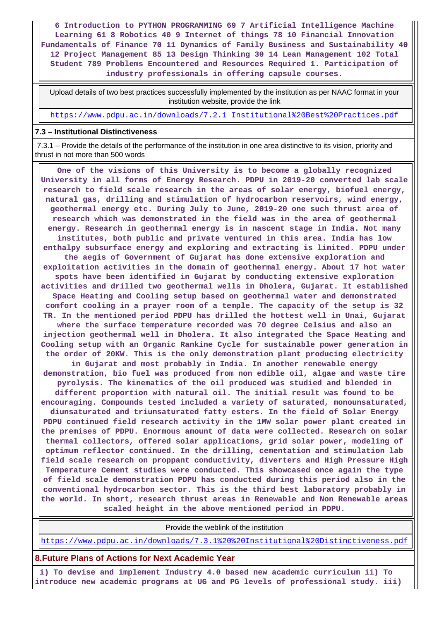**6 Introduction to PYTHON PROGRAMMING 69 7 Artificial Intelligence Machine Learning 61 8 Robotics 40 9 Internet of things 78 10 Financial Innovation Fundamentals of Finance 70 11 Dynamics of Family Business and Sustainability 40 12 Project Management 85 13 Design Thinking 30 14 Lean Management 102 Total Student 789 Problems Encountered and Resources Required 1. Participation of industry professionals in offering capsule courses.**

 Upload details of two best practices successfully implemented by the institution as per NAAC format in your institution website, provide the link

[https://www.pdpu.ac.in/downloads/7.2.1\\_Institutional%20Best%20Practices.pdf](https://www.pdpu.ac.in/downloads/7.2.1_Institutional%20Best%20Practices.pdf)

#### **7.3 – Institutional Distinctiveness**

 7.3.1 – Provide the details of the performance of the institution in one area distinctive to its vision, priority and thrust in not more than 500 words

 **One of the visions of this University is to become a globally recognized University in all forms of Energy Research. PDPU in 2019-20 converted lab scale research to field scale research in the areas of solar energy, biofuel energy, natural gas, drilling and stimulation of hydrocarbon reservoirs, wind energy, geothermal energy etc. During July to June, 2019-20 one such thrust area of research which was demonstrated in the field was in the area of geothermal energy. Research in geothermal energy is in nascent stage in India. Not many institutes, both public and private ventured in this area. India has low enthalpy subsurface energy and exploring and extracting is limited. PDPU under the aegis of Government of Gujarat has done extensive exploration and exploitation activities in the domain of geothermal energy. About 17 hot water spots have been identified in Gujarat by conducting extensive exploration activities and drilled two geothermal wells in Dholera, Gujarat. It established Space Heating and Cooling setup based on geothermal water and demonstrated comfort cooling in a prayer room of a temple. The capacity of the setup is 32 TR. In the mentioned period PDPU has drilled the hottest well in Unai, Gujarat where the surface temperature recorded was 70 degree Celsius and also an injection geothermal well in Dholera. It also integrated the Space Heating and Cooling setup with an Organic Rankine Cycle for sustainable power generation in the order of 20KW. This is the only demonstration plant producing electricity in Gujarat and most probably in India. In another renewable energy demonstration, bio fuel was produced from non edible oil, algae and waste tire pyrolysis. The kinematics of the oil produced was studied and blended in different proportion with natural oil. The initial result was found to be encouraging. Compounds tested included a variety of saturated, monounsaturated, diunsaturated and triunsaturated fatty esters. In the field of Solar Energy PDPU continued field research activity in the 1MW solar power plant created in the premises of PDPU. Enormous amount of data were collected. Research on solar thermal collectors, offered solar applications, grid solar power, modeling of optimum reflector continued. In the drilling, cementation and stimulation lab field scale research on proppant conductivity, diverters and High Pressure High Temperature Cement studies were conducted. This showcased once again the type of field scale demonstration PDPU has conducted during this period also in the conventional hydrocarbon sector. This is the third best laboratory probably in the world. In short, research thrust areas in Renewable and Non Renewable areas scaled height in the above mentioned period in PDPU.**

Provide the weblink of the institution

<https://www.pdpu.ac.in/downloads/7.3.1%20%20Institutional%20Distinctiveness.pdf>

**8.Future Plans of Actions for Next Academic Year**

 **i) To devise and implement Industry 4.0 based new academic curriculum ii) To introduce new academic programs at UG and PG levels of professional study. iii)**